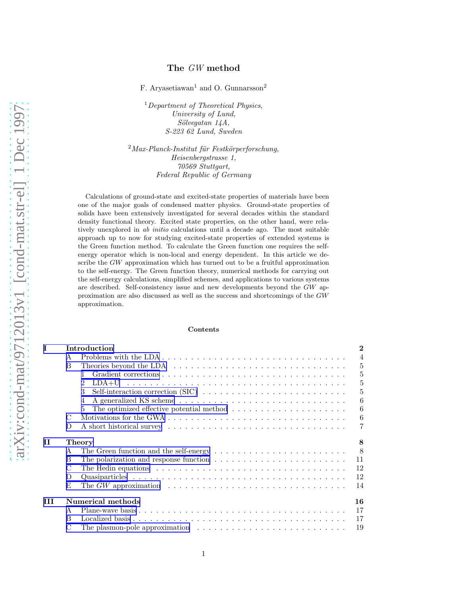# The GW method

F. Aryasetiawan<sup>1</sup> and O. Gunnarsson<sup>2</sup>

<sup>1</sup>*Department of Theoretical Physics*, *University of Lund, S¨olvegatan 14A, S-223 62 Lund, Sweden*

<sup>2</sup>*Max-Planck-Institut f¨ur Festk¨orperforschung, Heisenbergstrasse 1, 70569 Stuttgart, Federal Republic of Germany*

Calculations of ground-state and excited-state properties of materials have been one of the major goals of condensed matter physics. Ground-state properties of solids have been extensively investigated for several decades within the standard density functional theory. Excited state properties, on the other hand, were relatively unexplored in ab initio calculations until a decade ago. The most suitable approach up to now for studying excited-state properties of extended systems is the Green function method. To calculate the Green function one requires the selfenergy operator which is non-local and energy dependent. In this article we describe the GW approximation which has turned out to be a fruitful approximation to the self-energy. The Green function theory, numerical methods for carrying out the self-energy calculations, simplified schemes, and applications to various systems are described. Self-consistency issue and new developments beyond the GW approximation are also discussed as well as the success and shortcomings of the GW approximation.

#### Contents

|    |                    | Introduction                                                                                            | $\bf{2}$       |  |  |
|----|--------------------|---------------------------------------------------------------------------------------------------------|----------------|--|--|
|    | A                  |                                                                                                         | $\overline{4}$ |  |  |
|    | B                  | Theories beyond the LDA $\dots \dots \dots \dots \dots \dots \dots \dots \dots \dots \dots \dots$       | 5              |  |  |
|    |                    |                                                                                                         | 5              |  |  |
|    |                    | $\mathcal{D}_{\mathcal{L}}$                                                                             | $\overline{5}$ |  |  |
|    |                    | Self-interaction correction (SIC) $\ldots \ldots \ldots \ldots \ldots \ldots \ldots \ldots \ldots$<br>3 | $\overline{5}$ |  |  |
|    |                    |                                                                                                         | 6              |  |  |
|    |                    | The optimized effective potential method $\dots \dots \dots \dots \dots \dots \dots$<br>$\frac{5}{2}$   | 6              |  |  |
|    | $\mathcal{C}$      |                                                                                                         | 6              |  |  |
|    | D                  |                                                                                                         | $\overline{7}$ |  |  |
| TТ | 8<br><b>Theory</b> |                                                                                                         |                |  |  |
|    | $\mathsf{A}$       |                                                                                                         | 8              |  |  |
|    | B                  | The polarization and response function $\dots \dots \dots \dots \dots \dots \dots \dots \dots$          | 11             |  |  |
|    | C                  |                                                                                                         | 12             |  |  |
|    | D                  |                                                                                                         | 12             |  |  |
|    | E,                 | The GW approximation $\ldots \ldots \ldots \ldots \ldots \ldots \ldots \ldots \ldots \ldots \ldots$     | 14             |  |  |
| ш  |                    | Numerical methods                                                                                       | 16             |  |  |
|    | $\mathbf{A}$       |                                                                                                         | 17             |  |  |
|    | B                  |                                                                                                         | 17             |  |  |
|    | $\mathcal{C}$      | The plasmon-pole approximation $\dots \dots \dots \dots \dots \dots \dots \dots \dots \dots \dots$      | 19             |  |  |
|    |                    |                                                                                                         |                |  |  |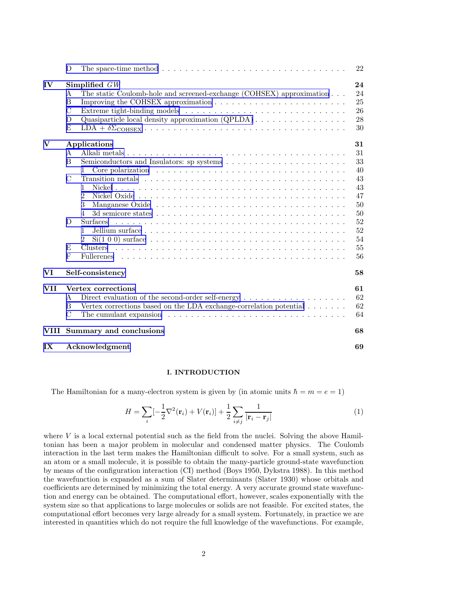<span id="page-1-0"></span>

|               | D<br>The space-time method $\ldots \ldots \ldots \ldots \ldots \ldots \ldots \ldots \ldots \ldots \ldots$                                                                                                                                                                                                                                                                                                                                                                  | 22                                                                               |
|---------------|----------------------------------------------------------------------------------------------------------------------------------------------------------------------------------------------------------------------------------------------------------------------------------------------------------------------------------------------------------------------------------------------------------------------------------------------------------------------------|----------------------------------------------------------------------------------|
| $\mathbf{IV}$ | Simplified GW<br>The static Coulomb-hole and screened-exchange (COHSEX) approximation<br>A<br>B<br>Improving the COHSEX approximation $\dots \dots \dots \dots \dots \dots \dots \dots \dots$<br>$\mathcal{C}$<br>D<br>E                                                                                                                                                                                                                                                   | 24<br>24<br>25<br>26<br>28<br>30                                                 |
| V             | Applications<br>$\mathsf{A}$<br>B<br>Semiconductors and Insulators: sp systems $\dots \dots \dots \dots \dots \dots \dots \dots$<br>$\mathcal{C}$<br>Transition metals $\ldots \ldots \ldots \ldots \ldots \ldots \ldots \ldots \ldots \ldots \ldots \ldots \ldots$<br>1<br>$\overline{2}$<br>3<br>3d semicore states $\dots \dots \dots \dots \dots \dots \dots \dots \dots \dots \dots \dots \dots \dots$<br>4<br>D<br><b>Surfaces</b><br>1.<br>$\overline{2}$<br>E<br>F | 31<br>31<br>33<br>40<br>43<br>43<br>47<br>50<br>50<br>52<br>52<br>54<br>55<br>56 |
| VI            | Self-consistency                                                                                                                                                                                                                                                                                                                                                                                                                                                           | 58                                                                               |
| <b>VII</b>    | Vertex corrections<br>Direct evaluation of the second-order self-energy<br>$\hfill\ldots\ldots\ldots\ldots\ldots\ldots\ldots\ldots\ldots$<br>A<br>Vertex corrections based on the LDA exchange-correlation potential $\dots \dots$<br>B<br>$\rm C$<br>The cumulant expansion $\ldots \ldots \ldots \ldots \ldots \ldots \ldots \ldots \ldots \ldots \ldots$                                                                                                                | 61<br>62<br>62<br>64                                                             |
|               | VIII Summary and conclusions                                                                                                                                                                                                                                                                                                                                                                                                                                               | 68                                                                               |
| IX            | Acknowledgment                                                                                                                                                                                                                                                                                                                                                                                                                                                             | 69                                                                               |

## I. INTRODUCTION

The Hamiltonian for a many-electron system is given by (in atomic units  $\hbar = m = e = 1$ )

$$
H = \sum_{i} \left[ -\frac{1}{2} \nabla^2(\mathbf{r}_i) + V(\mathbf{r}_i) \right] + \frac{1}{2} \sum_{i \neq j} \frac{1}{|\mathbf{r}_i - \mathbf{r}_j|} \tag{1}
$$

where  $V$  is a local external potential such as the field from the nuclei. Solving the above Hamiltonian has been a major problem in molecular and condensed matter physics. The Coulomb interaction in the last term makes the Hamiltonian difficult to solve. For a small system, such as an atom or a small molecule, it is possible to obtain the many-particle ground-state wavefunction by means of the configuration interaction (CI) method (Boys 1950, Dykstra 1988). In this method the wavefunction is expanded as a sum of Slater determinants (Slater 1930) whose orbitals and coefficients are determined by minimizing the total energy. A very accurate ground state wavefunction and energy can be obtained. The computational effort, however, scales exponentially with the system size so that applications to large molecules or solids are not feasible. For excited states, the computational effort becomes very large already for a small system. Fortunately, in practice we are interested in quantities which do not require the full knowledge of the wavefunctions. For example,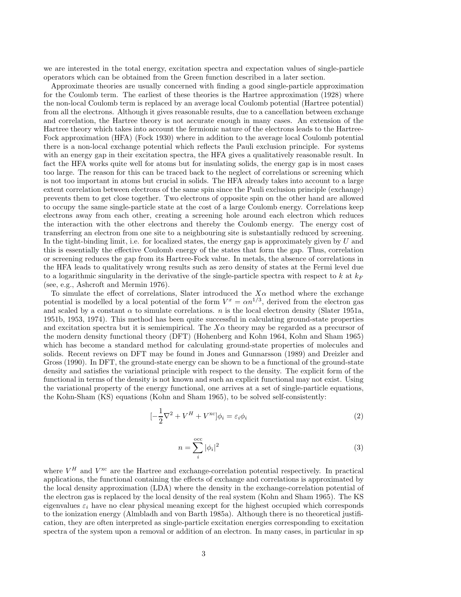we are interested in the total energy, excitation spectra and expectation values of single-particle operators which can be obtained from the Green function described in a later section.

Approximate theories are usually concerned with finding a good single-particle approximation for the Coulomb term. The earliest of these theories is the Hartree approximation (1928) where the non-local Coulomb term is replaced by an average local Coulomb potential (Hartree potential) from all the electrons. Although it gives reasonable results, due to a cancellation between exchange and correlation, the Hartree theory is not accurate enough in many cases. An extension of the Hartree theory which takes into account the fermionic nature of the electrons leads to the Hartree-Fock approximation (HFA) (Fock 1930) where in addition to the average local Coulomb potential there is a non-local exchange potential which reflects the Pauli exclusion principle. For systems with an energy gap in their excitation spectra, the HFA gives a qualitatively reasonable result. In fact the HFA works quite well for atoms but for insulating solids, the energy gap is in most cases too large. The reason for this can be traced back to the neglect of correlations or screening which is not too important in atoms but crucial in solids. The HFA already takes into account to a large extent correlation between electrons of the same spin since the Pauli exclusion principle (exchange) prevents them to get close together. Two electrons of opposite spin on the other hand are allowed to occupy the same single-particle state at the cost of a large Coulomb energy. Correlations keep electrons away from each other, creating a screening hole around each electron which reduces the interaction with the other electrons and thereby the Coulomb energy. The energy cost of transferring an electron from one site to a neighbouring site is substantially reduced by screening. In the tight-binding limit, i.e. for localized states, the energy gap is approximately given by  $U$  and this is essentially the effective Coulomb energy of the states that form the gap. Thus, correlation or screening reduces the gap from its Hartree-Fock value. In metals, the absence of correlations in the HFA leads to qualitatively wrong results such as zero density of states at the Fermi level due to a logarithmic singularity in the derivative of the single-particle spectra with respect to k at  $k_F$ (see, e.g., Ashcroft and Mermin 1976).

To simulate the effect of correlations, Slater introduced the  $X\alpha$  method where the exchange potential is modelled by a local potential of the form  $V^x = \alpha n^{1/3}$ , derived from the electron gas and scaled by a constant  $\alpha$  to simulate correlations. n is the local electron density (Slater 1951a, 1951b, 1953, 1974). This method has been quite successful in calculating ground-state properties and excitation spectra but it is semiempirical. The  $X\alpha$  theory may be regarded as a precursor of the modern density functional theory (DFT) (Hohenberg and Kohn 1964, Kohn and Sham 1965) which has become a standard method for calculating ground-state properties of molecules and solids. Recent reviews on DFT may be found in Jones and Gunnarsson (1989) and Dreizler and Gross (1990). In DFT, the ground-state energy can be shown to be a functional of the ground-state density and satisfies the variational principle with respect to the density. The explicit form of the functional in terms of the density is not known and such an explicit functional may not exist. Using the variational property of the energy functional, one arrives at a set of single-particle equations, the Kohn-Sham (KS) equations (Kohn and Sham 1965), to be solved self-consistently:

$$
[-\frac{1}{2}\nabla^2 + V^H + V^{xc}]\phi_i = \varepsilon_i \phi_i
$$
\n(2)

$$
n = \sum_{i}^{\text{occ}} |\phi_i|^2 \tag{3}
$$

where  $V^H$  and  $V^{xc}$  are the Hartree and exchange-correlation potential respectively. In practical applications, the functional containing the effects of exchange and correlations is approximated by the local density approximation (LDA) where the density in the exchange-correlation potential of the electron gas is replaced by the local density of the real system (Kohn and Sham 1965). The KS eigenvalues  $\varepsilon_i$  have no clear physical meaning except for the highest occupied which corresponds to the ionization energy (Almbladh and von Barth 1985a). Although there is no theoretical justification, they are often interpreted as single-particle excitation energies corresponding to excitation spectra of the system upon a removal or addition of an electron. In many cases, in particular in sp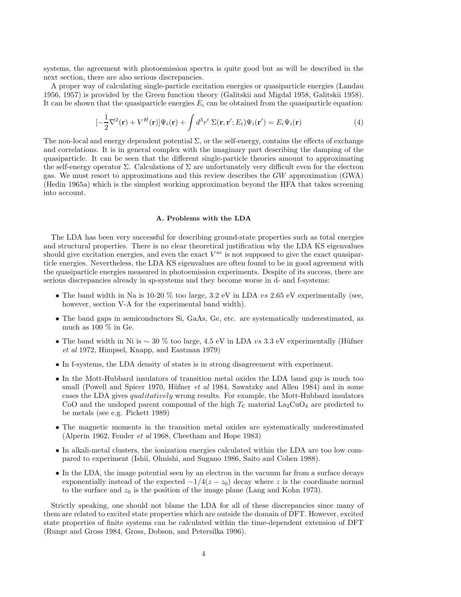<span id="page-3-0"></span>systems, the agreement with photoemission spectra is quite good but as will be described in the next section, there are also serious discrepancies.

A proper way of calculating single-particle excitation energies or quasiparticle energies (Landau 1956, 1957) is provided by the Green function theory (Galitskii and Migdal 1958, Galitskii 1958). It can be shown that the quasiparticle energies  $E_i$  can be obtained from the quasiparticle equation:

$$
[-\frac{1}{2}\nabla^2(\mathbf{r}) + V^H(\mathbf{r})]\Psi_i(\mathbf{r}) + \int d^3r' \ \Sigma(\mathbf{r}, \mathbf{r}'; E_i)\Psi_i(\mathbf{r}') = E_i\Psi_i(\mathbf{r})
$$
(4)

The non-local and energy dependent potential  $\Sigma$ , or the self-energy, contains the effects of exchange and correlations. It is in general complex with the imaginary part describing the damping of the quasiparticle. It can be seen that the different single-particle theories amount to approximating the self-energy operator  $\Sigma$ . Calculations of  $\Sigma$  are unfortunately very difficult even for the electron gas. We must resort to approximations and this review describes the GW approximation (GWA) (Hedin 1965a) which is the simplest working approximation beyond the HFA that takes screening into account.

#### A. Problems with the LDA

The LDA has been very successful for describing ground-state properties such as total energies and structural properties. There is no clear theoretical justification why the LDA KS eigenvalues should give excitation energies, and even the exact  $V^{\text{xc}}$  is not supposed to give the exact quasiparticle energies. Nevertheless, the LDA KS eigenvalues are often found to be in good agreement with the quasiparticle energies measured in photoemission experiments. Despite of its success, there are serious discrepancies already in sp-systems and they become worse in d- and f-systems:

- The band width in Na is 10-20  $\%$  too large, 3.2 eV in LDA vs 2.65 eV experimentally (see, however, section V-A for the experimental band width).
- The band gaps in semiconductors Si, GaAs, Ge, etc. are systematically underestimated, as much as 100  $\%$  in Ge.
- The band width in Ni is  $\sim 30\%$  too large, 4.5 eV in LDA vs 3.3 eV experimentally (Hüfner *et al* 1972, Himpsel, Knapp, and Eastman 1979)
- In f-systems, the LDA density of states is in strong disagreement with experiment.
- In the Mott-Hubbard insulators of transition metal oxides the LDA band gap is much too small (Powell and Spicer 1970, Hüfner *et al* 1984, Sawatzky and Allen 1984) and in some cases the LDA gives qualitatively wrong results. For example, the Mott-Hubbard insulators CoO and the undoped parent compound of the high  $T_c$  material La<sub>2</sub>CuO<sub>4</sub> are predicted to be metals (see e.g. Pickett 1989)
- The magnetic moments in the transition metal oxides are systematically underestimated (Alperin 1962, Fender *et al* 1968, Cheetham and Hope 1983)
- In alkali-metal clusters, the ionization energies calculated within the LDA are too low compared to experiment (Ishii, Ohnishi, and Sugano 1986, Saito and Cohen 1988).
- In the LDA, the image potential seen by an electron in the vacuum far from a surface decays exponentially instead of the expected  $-1/4(z - z_0)$  decay where z is the coordinate normal to the surface and  $z_0$  is the position of the image plane (Lang and Kohn 1973).

Strictly speaking, one should not blame the LDA for all of these discrepancies since many of them are related to excited state properties which are outside the domain of DFT. However, excited state properties of finite systems can be calculated within the time-dependent extension of DFT (Runge and Gross 1984, Gross, Dobson, and Petersilka 1996).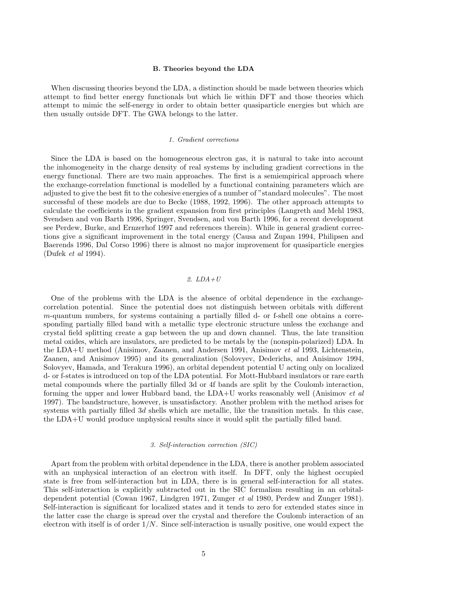#### B. Theories beyond the LDA

<span id="page-4-0"></span>When discussing theories beyond the LDA, a distinction should be made between theories which attempt to find better energy functionals but which lie within DFT and those theories which attempt to mimic the self-energy in order to obtain better quasiparticle energies but which are then usually outside DFT. The GWA belongs to the latter.

## 1. Gradient corrections

Since the LDA is based on the homogeneous electron gas, it is natural to take into account the inhomogeneity in the charge density of real systems by including gradient corrections in the energy functional. There are two main approaches. The first is a semiempirical approach where the exchange-correlation functional is modelled by a functional containing parameters which are adjusted to give the best fit to the cohesive energies of a number of "standard molecules". The most successful of these models are due to Becke (1988, 1992, 1996). The other approach attempts to calculate the coefficients in the gradient expansion from first principles (Langreth and Mehl 1983, Svendsen and von Barth 1996, Springer, Svendsen, and von Barth 1996, for a recent development see Perdew, Burke, and Ernzerhof 1997 and references therein). While in general gradient corrections give a significant improvement in the total energy (Causa and Zupan 1994, Philipsen and Baerends 1996, Dal Corso 1996) there is almost no major improvement for quasiparticle energies (Dufek *et al* 1994).

## 2.  $LDA+U$

One of the problems with the LDA is the absence of orbital dependence in the exchangecorrelation potential. Since the potential does not distinguish between orbitals with different m-quantum numbers, for systems containing a partially filled d- or f-shell one obtains a corresponding partially filled band with a metallic type electronic structure unless the exchange and crystal field splitting create a gap between the up and down channel. Thus, the late transition metal oxides, which are insulators, are predicted to be metals by the (nonspin-polarized) LDA. In the LDA+U method (Anisimov, Zaanen, and Andersen 1991, Anisimov *et al* 1993, Lichtenstein, Zaanen, and Anisimov 1995) and its generalization (Solovyev, Dederichs, and Anisimov 1994, Solovyev, Hamada, and Terakura 1996), an orbital dependent potential U acting only on localized d- or f-states is introduced on top of the LDA potential. For Mott-Hubbard insulators or rare earth metal compounds where the partially filled 3d or 4f bands are split by the Coulomb interaction, forming the upper and lower Hubbard band, the LDA+U works reasonably well (Anisimov *et al* 1997). The bandstructure, however, is unsatisfactory. Another problem with the method arises for systems with partially filled 3d shells which are metallic, like the transition metals. In this case, the LDA+U would produce unphysical results since it would split the partially filled band.

#### 3. Self-interaction correction (SIC)

Apart from the problem with orbital dependence in the LDA, there is another problem associated with an unphysical interaction of an electron with itself. In DFT, only the highest occupied state is free from self-interaction but in LDA, there is in general self-interaction for all states. This self-interaction is explicitly subtracted out in the SIC formalism resulting in an orbitaldependent potential (Cowan 1967, Lindgren 1971, Zunger *et al* 1980, Perdew and Zunger 1981). Self-interaction is significant for localized states and it tends to zero for extended states since in the latter case the charge is spread over the crystal and therefore the Coulomb interaction of an electron with itself is of order  $1/N$ . Since self-interaction is usually positive, one would expect the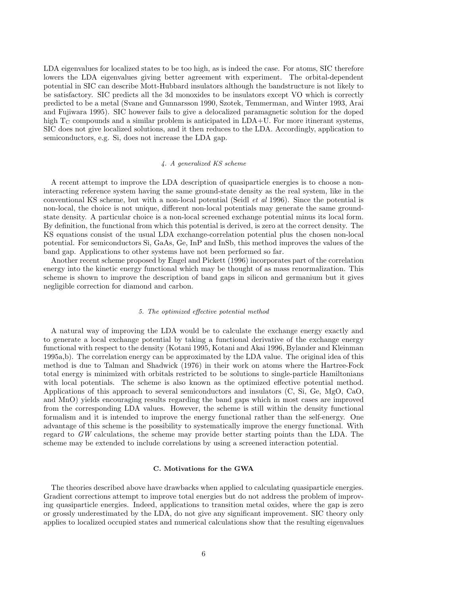<span id="page-5-0"></span>LDA eigenvalues for localized states to be too high, as is indeed the case. For atoms, SIC therefore lowers the LDA eigenvalues giving better agreement with experiment. The orbital-dependent potential in SIC can describe Mott-Hubbard insulators although the bandstructure is not likely to be satisfactory. SIC predicts all the 3d monoxides to be insulators except VO which is correctly predicted to be a metal (Svane and Gunnarsson 1990, Szotek, Temmerman, and Winter 1993, Arai and Fujiwara 1995). SIC however fails to give a delocalized paramagnetic solution for the doped high  $T_{\rm C}$  compounds and a similar problem is anticipated in LDA+U. For more itinerant systems, SIC does not give localized solutions, and it then reduces to the LDA. Accordingly, application to semiconductors, e.g. Si, does not increase the LDA gap.

## 4. A generalized KS scheme

A recent attempt to improve the LDA description of quasiparticle energies is to choose a noninteracting reference system having the same ground-state density as the real system, like in the conventional KS scheme, but with a non-local potential (Seidl *et al* 1996). Since the potential is non-local, the choice is not unique, different non-local potentials may generate the same groundstate density. A particular choice is a non-local screened exchange potential minus its local form. By definition, the functional from which this potential is derived, is zero at the correct density. The KS equations consist of the usual LDA exchange-correlation potential plus the chosen non-local potential. For semiconductors Si, GaAs, Ge, InP and InSb, this method improves the values of the band gap. Applications to other systems have not been performed so far.

Another recent scheme proposed by Engel and Pickett (1996) incorporates part of the correlation energy into the kinetic energy functional which may be thought of as mass renormalization. This scheme is shown to improve the description of band gaps in silicon and germanium but it gives negligible correction for diamond and carbon.

#### 5. The optimized effective potential method

A natural way of improving the LDA would be to calculate the exchange energy exactly and to generate a local exchange potential by taking a functional derivative of the exchange energy functional with respect to the density (Kotani 1995, Kotani and Akai 1996, Bylander and Kleinman 1995a,b). The correlation energy can be approximated by the LDA value. The original idea of this method is due to Talman and Shadwick (1976) in their work on atoms where the Hartree-Fock total energy is minimized with orbitals restricted to be solutions to single-particle Hamiltonians with local potentials. The scheme is also known as the optimized effective potential method. Applications of this approach to several semiconductors and insulators (C, Si, Ge, MgO, CaO, and MnO) yields encouraging results regarding the band gaps which in most cases are improved from the corresponding LDA values. However, the scheme is still within the density functional formalism and it is intended to improve the energy functional rather than the self-energy. One advantage of this scheme is the possibility to systematically improve the energy functional. With regard to *GW* calculations, the scheme may provide better starting points than the LDA. The scheme may be extended to include correlations by using a screened interaction potential.

## C. Motivations for the GWA

The theories described above have drawbacks when applied to calculating quasiparticle energies. Gradient corrections attempt to improve total energies but do not address the problem of improving quasiparticle energies. Indeed, applications to transition metal oxides, where the gap is zero or grossly underestimated by the LDA, do not give any significant improvement. SIC theory only applies to localized occupied states and numerical calculations show that the resulting eigenvalues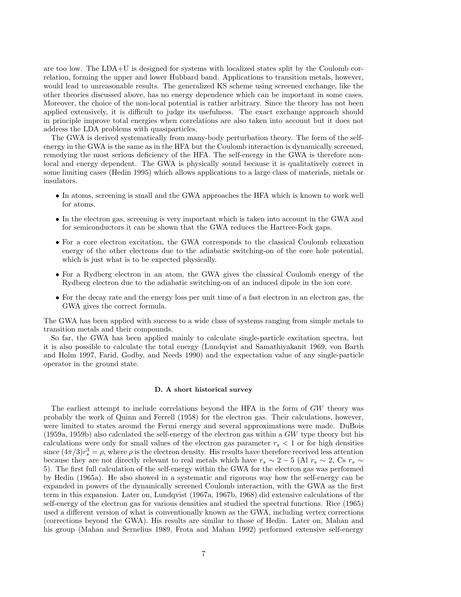<span id="page-6-0"></span>are too low. The LDA+U is designed for systems with localized states split by the Coulomb correlation, forming the upper and lower Hubbard band. Applications to transition metals, however, would lead to unreasonable results. The generalized KS scheme using screened exchange, like the other theories discussed above, has no energy dependence which can be important in some cases. Moreover, the choice of the non-local potential is rather arbitrary. Since the theory has not been applied extensively, it is difficult to judge its usefulness. The exact exchange approach should in principle improve total energies when correlations are also taken into account but it does not address the LDA problems with quasiparticles.

The GWA is derived systematically from many-body perturbation theory. The form of the selfenergy in the GWA is the same as in the HFA but the Coulomb interaction is dynamically screened, remedying the most serious deficiency of the HFA. The self-energy in the GWA is therefore nonlocal and energy dependent. The GWA is physically sound because it is qualitatively correct in some limiting cases (Hedin 1995) which allows applications to a large class of materials, metals or insulators.

- In atoms, screening is small and the GWA approaches the HFA which is known to work well for atoms.
- In the electron gas, screening is very important which is taken into account in the GWA and for semiconductors it can be shown that the GWA reduces the Hartree-Fock gaps.
- For a core electron excitation, the GWA corresponds to the classical Coulomb relaxation energy of the other electrons due to the adiabatic switching-on of the core hole potential, which is just what is to be expected physically.
- For a Rydberg electron in an atom, the GWA gives the classical Coulomb energy of the Rydberg electron due to the adiabatic switching-on of an induced dipole in the ion core.
- For the decay rate and the energy loss per unit time of a fast electron in an electron gas, the GWA gives the correct formula.

The GWA has been applied with success to a wide class of systems ranging from simple metals to transition metals and their compounds.

So far, the GWA has been applied mainly to calculate single-particle excitation spectra, but it is also possible to calculate the total energy (Lundqvist and Samathiyakanit 1969, von Barth and Holm 1997, Farid, Godby, and Needs 1990) and the expectation value of any single-particle operator in the ground state.

#### D. A short historical survey

The earliest attempt to include correlations beyond the HFA in the form of GW theory was probably the work of Quinn and Ferrell (1958) for the electron gas. Their calculations, however, were limited to states around the Fermi energy and several approximations were made. DuBois (1959a, 1959b) also calculated the self-energy of the electron gas within a GW type theory but his calculations were only for small values of the electron gas parameter  $r_s < 1$  or for high densities since  $(4\pi/3)r_s^3 = \rho$ , where  $\rho$  is the electron density. His results have therefore received less attention because they are not directly relevant to real metals which have  $r_s \sim 2-5$  (Al  $r_s \sim 2$ , Cs  $r_s \sim$ 5). The first full calculation of the self-energy within the GWA for the electron gas was performed by Hedin (1965a). He also showed in a systematic and rigorous way how the self-energy can be expanded in powers of the dynamically screened Coulomb interaction, with the GWA as the first term in this expansion. Later on, Lundqvist (1967a, 1967b, 1968) did extensive calculations of the self-energy of the electron gas for various densities and studied the spectral functions. Rice (1965) used a different version of what is conventionally known as the GWA, including vertex corrections (corrections beyond the GWA). His results are similar to those of Hedin. Later on, Mahan and his group (Mahan and Sernelius 1989, Frota and Mahan 1992) performed extensive self-energy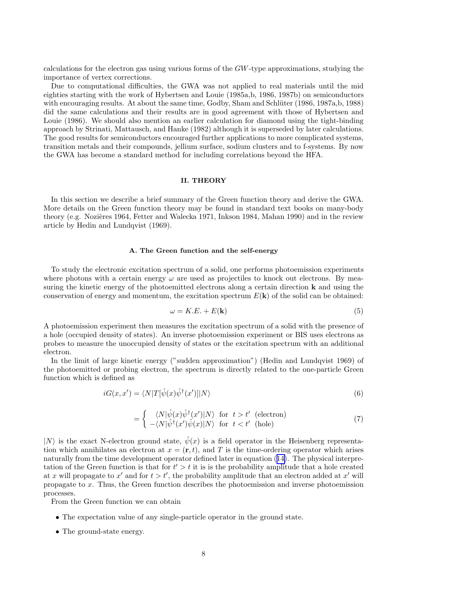<span id="page-7-0"></span>calculations for the electron gas using various forms of the GW-type approximations, studying the importance of vertex corrections.

Due to computational difficulties, the GWA was not applied to real materials until the mid eighties starting with the work of Hybertsen and Louie (1985a,b, 1986, 1987b) on semiconductors with encouraging results. At about the same time, Godby, Sham and Schlüter (1986, 1987a, b, 1988) did the same calculations and their results are in good agreement with those of Hybertsen and Louie (1986). We should also mention an earlier calculation for diamond using the tight-binding approach by Strinati, Mattausch, and Hanke (1982) although it is superseded by later calculations. The good results for semiconductors encouraged further applications to more complicated systems, transition metals and their compounds, jellium surface, sodium clusters and to f-systems. By now the GWA has become a standard method for including correlations beyond the HFA.

#### II. THEORY

In this section we describe a brief summary of the Green function theory and derive the GWA. More details on the Green function theory may be found in standard text books on many-body theory (e.g. Nozières 1964, Fetter and Walecka 1971, Inkson 1984, Mahan 1990) and in the review article by Hedin and Lundqvist (1969).

#### A. The Green function and the self-energy

To study the electronic excitation spectrum of a solid, one performs photoemission experiments where photons with a certain energy  $\omega$  are used as projectiles to knock out electrons. By measuring the kinetic energy of the photoemitted electrons along a certain direction  $\bf{k}$  and using the conservation of energy and momentum, the excitation spectrum  $E(\mathbf{k})$  of the solid can be obtained:

$$
\omega = K.E. + E(\mathbf{k})\tag{5}
$$

A photoemission experiment then measures the excitation spectrum of a solid with the presence of a hole (occupied density of states). An inverse photoemission experiment or BIS uses electrons as probes to measure the unoccupied density of states or the excitation spectrum with an additional electron.

In the limit of large kinetic energy ("sudden approximation") (Hedin and Lundqvist 1969) of the photoemitted or probing electron, the spectrum is directly related to the one-particle Green function which is defined as

$$
iG(x, x') = \langle N|T[\hat{\psi}(x)\hat{\psi}^{\dagger}(x')]|N\rangle
$$
\n(6)

$$
= \begin{cases} \langle N|\hat{\psi}(x)\hat{\psi}^{\dagger}(x')|N\rangle & \text{for } t > t' \text{ (electron)}\\ -\langle N|\hat{\psi}^{\dagger}(x')\hat{\psi}(x)|N\rangle & \text{for } t < t' \text{ (hole)} \end{cases}
$$
(7)

 $|N\rangle$  is the exact N-electron ground state,  $\hat{\psi}(x)$  is a field operator in the Heisenberg representation which annihilates an electron at  $x = (\mathbf{r}, t)$ , and T is the time-ordering operator which arises naturally from the time development operator defined later in equation([14\)](#page-8-0). The physical interpretation of the Green function is that for  $t' > t$  it is is the probability amplitude that a hole created at x will propagate to x' and for  $t > t'$ , the probability amplitude that an electron added at x' will propagate to x. Thus, the Green function describes the photoemission and inverse photoemission processes.

From the Green function we can obtain

- The expectation value of any single-particle operator in the ground state.
- The ground-state energy.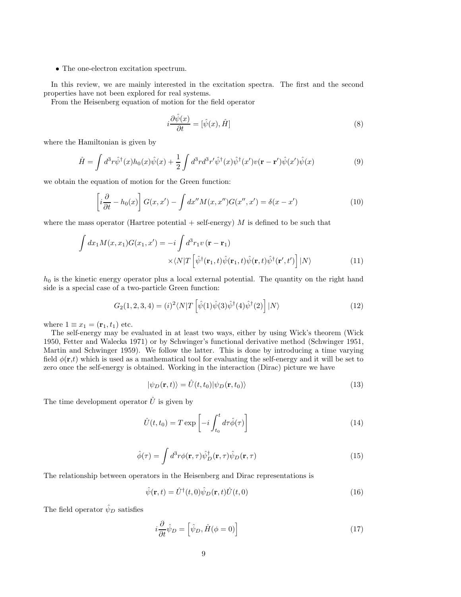<span id="page-8-0"></span>• The one-electron excitation spectrum.

In this review, we are mainly interested in the excitation spectra. The first and the second properties have not been explored for real systems.

From the Heisenberg equation of motion for the field operator

$$
i\frac{\partial \hat{\psi}(x)}{\partial t} = [\hat{\psi}(x), \hat{H}]
$$
\n(8)

where the Hamiltonian is given by

$$
\hat{H} = \int d^3r \hat{\psi}^\dagger(x) h_0(x) \hat{\psi}(x) + \frac{1}{2} \int d^3r d^3r' \hat{\psi}^\dagger(x) \hat{\psi}^\dagger(x') v(\mathbf{r} - \mathbf{r}') \hat{\psi}(x') \hat{\psi}(x) \tag{9}
$$

we obtain the equation of motion for the Green function:

$$
\left[i\frac{\partial}{\partial t} - h_0(x)\right]G(x, x') - \int dx'' M(x, x'')G(x'', x') = \delta(x - x')
$$
\n(10)

where the mass operator (Hartree potential  $+$  self-energy) M is defined to be such that

$$
\int dx_1 M(x, x_1) G(x_1, x') = -i \int d^3 r_1 v(\mathbf{r} - \mathbf{r}_1)
$$

$$
\times \langle N | T \left[ \hat{\psi}^\dagger(\mathbf{r}_1, t) \hat{\psi}(\mathbf{r}_1, t) \hat{\psi}(\mathbf{r}, t) \hat{\psi}^\dagger(\mathbf{r}', t') \right] | N \rangle
$$
(11)

 $h_0$  is the kinetic energy operator plus a local external potential. The quantity on the right hand side is a special case of a two-particle Green function:

$$
G_2(1,2,3,4) = (i)^2 \langle N|T \left[ \hat{\psi}(1)\hat{\psi}(3)\hat{\psi}^\dagger(4)\hat{\psi}^\dagger(2) \right]|N\rangle \tag{12}
$$

where  $1 \equiv x_1 = (\mathbf{r}_1, t_1)$  etc.

The self-energy may be evaluated in at least two ways, either by using Wick's theorem (Wick 1950, Fetter and Walecka 1971) or by Schwinger's functional derivative method (Schwinger 1951, Martin and Schwinger 1959). We follow the latter. This is done by introducing a time varying field  $\phi(\mathbf{r},t)$  which is used as a mathematical tool for evaluating the self-energy and it will be set to zero once the self-energy is obtained. Working in the interaction (Dirac) picture we have

$$
|\psi_D(\mathbf{r},t)\rangle = \hat{U}(t,t_0)|\psi_D(\mathbf{r},t_0)\rangle
$$
\n(13)

The time development operator  $\hat{U}$  is given by

$$
\hat{U}(t,t_0) = T \exp\left[-i \int_{t_0}^t d\tau \hat{\phi}(\tau)\right]
$$
\n(14)

$$
\hat{\phi}(\tau) = \int d^3r \phi(\mathbf{r}, \tau) \hat{\psi}_D^{\dagger}(\mathbf{r}, \tau) \hat{\psi}_D(\mathbf{r}, \tau)
$$
\n(15)

The relationship between operators in the Heisenberg and Dirac representations is

$$
\hat{\psi}(\mathbf{r},t) = \hat{U}^{\dagger}(t,0)\hat{\psi}_D(\mathbf{r},t)\hat{U}(t,0)
$$
\n(16)

The field operator  $\hat{\psi}_D$  satisfies

$$
i\frac{\partial}{\partial t}\hat{\psi}_D = \left[\hat{\psi}_D, \hat{H}(\phi = 0)\right]
$$
\n(17)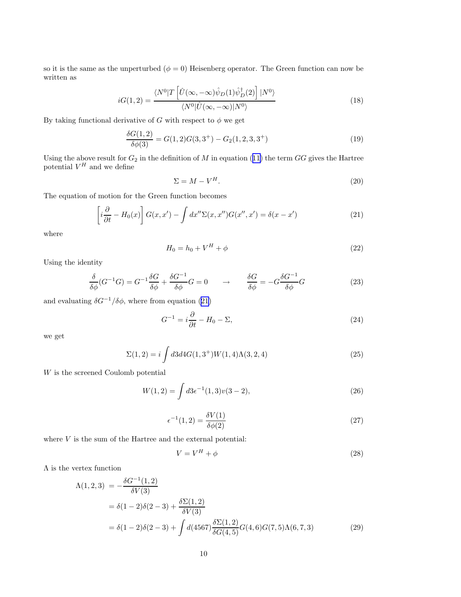<span id="page-9-0"></span>so it is the same as the unperturbed  $(\phi = 0)$  Heisenberg operator. The Green function can now be written as

$$
iG(1,2) = \frac{\langle N^0|T\left[\hat{U}(\infty, -\infty)\hat{\psi}_D(1)\hat{\psi}_D^\dagger(2)\right]|N^0\rangle}{\langle N^0|\hat{U}(\infty, -\infty)|N^0\rangle} \tag{18}
$$

By taking functional derivative of G with respect to  $\phi$  we get

$$
\frac{\delta G(1,2)}{\delta \phi(3)} = G(1,2)G(3,3^+) - G_2(1,2,3,3^+) \tag{19}
$$

Usingthe above result for  $G_2$  in the definition of M in equation ([11\)](#page-8-0) the term  $GG$  gives the Hartree potential  $V^H$  and we define

$$
\Sigma = M - V^H. \tag{20}
$$

The equation of motion for the Green function becomes

$$
\left[i\frac{\partial}{\partial t} - H_0(x)\right]G(x, x') - \int dx'' \Sigma(x, x'')G(x'', x') = \delta(x - x')
$$
\n(21)

where

$$
H_0 = h_0 + V^H + \phi \tag{22}
$$

Using the identity

$$
\frac{\delta}{\delta \phi} (G^{-1}G) = G^{-1} \frac{\delta G}{\delta \phi} + \frac{\delta G^{-1}}{\delta \phi} G = 0 \qquad \rightarrow \qquad \frac{\delta G}{\delta \phi} = -G \frac{\delta G^{-1}}{\delta \phi} G \tag{23}
$$

and evaluating  $\delta G^{-1}/\delta \phi$ , where from equation (21)

$$
G^{-1} = i\frac{\partial}{\partial t} - H_0 - \Sigma,
$$
\n(24)

we get

$$
\Sigma(1,2) = i \int d3d4G(1,3^+)W(1,4)\Lambda(3,2,4)
$$
\n(25)

W is the screened Coulomb potential

$$
W(1,2) = \int d3\epsilon^{-1}(1,3)v(3-2),\tag{26}
$$

$$
\epsilon^{-1}(1,2) = \frac{\delta V(1)}{\delta \phi(2)}\tag{27}
$$

where  ${\cal V}$  is the sum of the Hartree and the external potential:

$$
V = V^H + \phi \tag{28}
$$

 $\Lambda$  is the vertex function

$$
\Lambda(1,2,3) = -\frac{\delta G^{-1}(1,2)}{\delta V(3)}
$$
  
=  $\delta(1-2)\delta(2-3) + \frac{\delta \Sigma(1,2)}{\delta V(3)}$   
=  $\delta(1-2)\delta(2-3) + \int d(4567) \frac{\delta \Sigma(1,2)}{\delta G(4,5)} G(4,6)G(7,5)\Lambda(6,7,3)$  (29)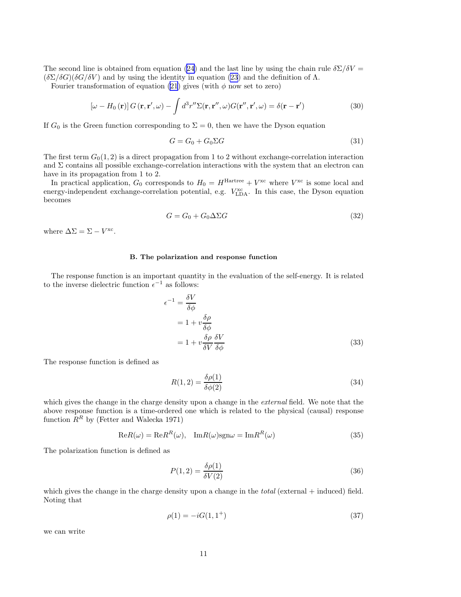<span id="page-10-0"></span>The second line is obtained from equation [\(24](#page-9-0)) and the last line by using the chain rule  $\delta \Sigma / \delta V =$  $(\delta \Sigma / \delta G)(\delta G/\delta V)$  and by using the identity in equation [\(23](#page-9-0)) and the definition of  $\Lambda$ .

Fourier transformation of equation [\(21](#page-9-0)) gives (with  $\phi$  now set to zero)

$$
\left[\omega - H_0(\mathbf{r})\right] G(\mathbf{r}, \mathbf{r}', \omega) - \int d^3 r'' \Sigma(\mathbf{r}, \mathbf{r}'', \omega) G(\mathbf{r}'', \mathbf{r}', \omega) = \delta(\mathbf{r} - \mathbf{r}')
$$
(30)

If  $G_0$  is the Green function corresponding to  $\Sigma = 0$ , then we have the Dyson equation

$$
G = G_0 + G_0 \Sigma G \tag{31}
$$

The first term  $G_0(1, 2)$  is a direct propagation from 1 to 2 without exchange-correlation interaction and  $\Sigma$  contains all possible exchange-correlation interactions with the system that an electron can have in its propagation from 1 to 2.

In practical application,  $G_0$  corresponds to  $H_0 = H^{\text{Hartree}} + V^{\text{xc}}$  where  $V^{\text{xc}}$  is some local and energy-independent exchange-correlation potential, e.g.  $V_{\text{LDA}}^{\text{xc}}$ . In this case, the Dyson equation becomes

$$
G = G_0 + G_0 \Delta \Sigma G \tag{32}
$$

where  $\Delta \Sigma = \Sigma - V^{\text{xc}}$ .

## B. The polarization and response function

The response function is an important quantity in the evaluation of the self-energy. It is related to the inverse dielectric function  $\epsilon^{-1}$  as follows:

$$
\epsilon^{-1} = \frac{\delta V}{\delta \phi}
$$
  
= 1 + v \frac{\delta \rho}{\delta \phi}  
= 1 + v \frac{\delta \rho}{\delta V} \frac{\delta V}{\delta \phi} (33)

The response function is defined as

$$
R(1,2) = \frac{\delta \rho(1)}{\delta \phi(2)}\tag{34}
$$

which gives the change in the charge density upon a change in the *external* field. We note that the above response function is a time-ordered one which is related to the physical (causal) response function  $\mathbb{R}^R$  by (Fetter and Walecka 1971)

$$
ReR(\omega) = ReR^{R}(\omega), ImR(\omega)sgn\omega = ImR^{R}(\omega)
$$
\n(35)

The polarization function is defined as

$$
P(1,2) = \frac{\delta \rho(1)}{\delta V(2)}\tag{36}
$$

which gives the change in the charge density upon a change in the *total* (external + induced) field. Noting that

$$
\rho(1) = -iG(1, 1^+) \tag{37}
$$

we can write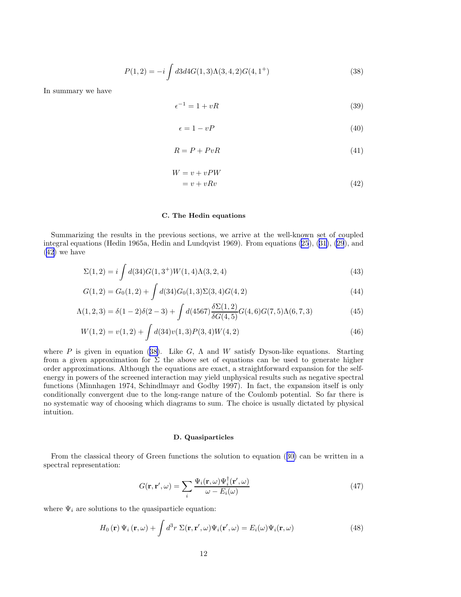$$
P(1,2) = -i \int d3d4G(1,3)\Lambda(3,4,2)G(4,1^+)
$$
\n(38)

<span id="page-11-0"></span>In summary we have

$$
\epsilon^{-1} = 1 + vR \tag{39}
$$

$$
\epsilon = 1 - vP \tag{40}
$$

$$
R = P + PvR \tag{41}
$$

$$
W = v + vPW
$$
  
= v + vRv (42)

## C. The Hedin equations

Summarizing the results in the previous sections, we arrive at the well-known set of coupled integral equations (Hedin 1965a, Hedin and Lundqvist 1969). From equations [\(25](#page-9-0)),([31\)](#page-10-0), [\(29](#page-9-0)), and (42) we have

$$
\Sigma(1,2) = i \int d(34)G(1,3^+)W(1,4)\Lambda(3,2,4)
$$
\n(43)

$$
G(1,2) = G_0(1,2) + \int d(34)G_0(1,3)\Sigma(3,4)G(4,2)
$$
\n(44)

$$
\Lambda(1,2,3) = \delta(1-2)\delta(2-3) + \int d(4567) \frac{\delta \Sigma(1,2)}{\delta G(4,5)} G(4,6) G(7,5) \Lambda(6,7,3)
$$
\n(45)

$$
W(1,2) = v(1,2) + \int d(34)v(1,3)P(3,4)W(4,2)
$$
\n(46)

where P is given in equation (38). Like G,  $\Lambda$  and W satisfy Dyson-like equations. Starting from a given approximation for  $\Sigma$  the above set of equations can be used to generate higher order approximations. Although the equations are exact, a straightforward expansion for the selfenergy in powers of the screened interaction may yield unphysical results such as negative spectral functions (Minnhagen 1974, Schindlmayr and Godby 1997). In fact, the expansion itself is only conditionally convergent due to the long-range nature of the Coulomb potential. So far there is no systematic way of choosing which diagrams to sum. The choice is usually dictated by physical intuition.

#### D. Quasiparticles

From the classical theory of Green functions the solution to equation([30\)](#page-10-0) can be written in a spectral representation:

$$
G(\mathbf{r}, \mathbf{r}', \omega) = \sum_{i} \frac{\Psi_i(\mathbf{r}, \omega) \Psi_i^{\dagger}(\mathbf{r}', \omega)}{\omega - E_i(\omega)}
$$
(47)

where  $\Psi_i$  are solutions to the quasiparticle equation:

$$
H_0(\mathbf{r})\,\Psi_i(\mathbf{r},\omega) + \int d^3r\,\Sigma(\mathbf{r},\mathbf{r}',\omega)\Psi_i(\mathbf{r}',\omega) = E_i(\omega)\Psi_i(\mathbf{r},\omega)
$$
\n(48)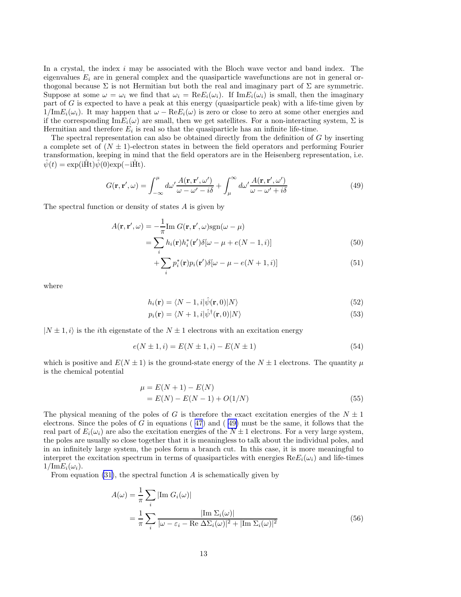<span id="page-12-0"></span>In a crystal, the index  $i$  may be associated with the Bloch wave vector and band index. The eigenvalues  $E_i$  are in general complex and the quasiparticle wavefunctions are not in general orthogonal because  $\Sigma$  is not Hermitian but both the real and imaginary part of  $\Sigma$  are symmetric. Suppose at some  $\omega = \omega_i$  we find that  $\omega_i = \text{Re}E_i(\omega_i)$ . If  $\text{Im}E_i(\omega_i)$  is small, then the imaginary part of G is expected to have a peak at this energy (quasiparticle peak) with a life-time given by  $1/\mathrm{Im}E_i(\omega_i)$ . It may happen that  $\omega - \mathrm{Re}E_i(\omega)$  is zero or close to zero at some other energies and if the corresponding  $\text{Im}E_i(\omega)$  are small, then we get satellites. For a non-interacting system,  $\Sigma$  is Hermitian and therefore  $E_i$  is real so that the quasiparticle has an infinite life-time.

The spectral representation can also be obtained directly from the definition of G by inserting a complete set of  $(N \pm 1)$ -electron states in between the field operators and performing Fourier transformation, keeping in mind that the field operators are in the Heisenberg representation, i.e.  $\hat{\psi}(t) = \exp(i\hat{H}t)\hat{\psi}(0) \exp(-i\hat{H}t).$ 

$$
G(\mathbf{r}, \mathbf{r}', \omega) = \int_{-\infty}^{\mu} d\omega' \frac{A(\mathbf{r}, \mathbf{r}', \omega')}{\omega - \omega' - i\delta} + \int_{\mu}^{\infty} d\omega' \frac{A(\mathbf{r}, \mathbf{r}', \omega')}{\omega - \omega' + i\delta}
$$
(49)

The spectral function or density of states A is given by

$$
A(\mathbf{r}, \mathbf{r}', \omega) = -\frac{1}{\pi} \text{Im } G(\mathbf{r}, \mathbf{r}', \omega) \text{sgn}(\omega - \mu)
$$
  
= 
$$
\sum_{i} h_i(\mathbf{r}) h_i^*(\mathbf{r}') \delta[\omega - \mu + e(N - 1, i)]
$$
 (50)

$$
+\sum_{i}p_i^*(\mathbf{r})p_i(\mathbf{r}')\delta[\omega-\mu-e(N+1,i)]\tag{51}
$$

where

$$
h_i(\mathbf{r}) = \langle N-1, i | \hat{\psi}(\mathbf{r}, 0) | N \rangle \tag{52}
$$

$$
p_i(\mathbf{r}) = \langle N+1, i | \hat{\psi}^\dagger(\mathbf{r}, 0) | N \rangle \tag{53}
$$

 $|N \pm 1, i\rangle$  is the *i*th eigenstate of the  $N \pm 1$  electrons with an excitation energy

$$
e(N \pm 1, i) = E(N \pm 1, i) - E(N \pm 1)
$$
\n(54)

which is positive and  $E(N \pm 1)$  is the ground-state energy of the  $N \pm 1$  electrons. The quantity  $\mu$ is the chemical potential

$$
\mu = E(N + 1) - E(N)
$$
  
= E(N) - E(N - 1) + O(1/N) (55)

The physical meaning of the poles of G is therefore the exact excitation energies of the  $N \pm 1$ electrons. Since the poles of G in equations  $(47)$  and  $(49)$  must be the same, it follows that the real part of  $E_i(\omega_i)$  are also the excitation energies of the  $N \pm 1$  electrons. For a very large system, the poles are usually so close together that it is meaningless to talk about the individual poles, and in an infinitely large system, the poles form a branch cut. In this case, it is more meaningful to interpret the excitation spectrum in terms of quasiparticles with energies  $\text{Re}E_i(\omega_i)$  and life-times  $1/\mathrm{Im}E_i(\omega_i)$ .

From equation  $(31)$ , the spectral function A is schematically given by

$$
A(\omega) = \frac{1}{\pi} \sum_{i} |\text{Im } G_i(\omega)|
$$
  
= 
$$
\frac{1}{\pi} \sum_{i} \frac{|\text{Im } \Sigma_i(\omega)|}{|\omega - \varepsilon_i - \text{Re } \Delta \Sigma_i(\omega)|^2 + |\text{Im } \Sigma_i(\omega)|^2}
$$
 (56)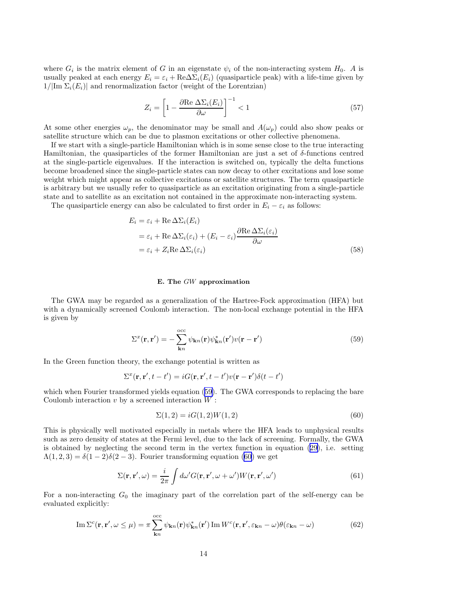<span id="page-13-0"></span>where  $G_i$  is the matrix element of G in an eigenstate  $\psi_i$  of the non-interacting system  $H_0$ . A is usually peaked at each energy  $E_i = \varepsilon_i + \text{Re}\Delta\Sigma_i(E_i)$  (quasiparticle peak) with a life-time given by  $1/|\text{Im }\Sigma_i(E_i)|$  and renormalization factor (weight of the Lorentzian)

$$
Z_i = \left[1 - \frac{\partial \text{Re }\Delta \Sigma_i(E_i)}{\partial \omega}\right]^{-1} < 1\tag{57}
$$

At some other energies  $\omega_p$ , the denominator may be small and  $A(\omega_p)$  could also show peaks or satellite structure which can be due to plasmon excitations or other collective phenomena.

If we start with a single-particle Hamiltonian which is in some sense close to the true interacting Hamiltonian, the quasiparticles of the former Hamiltonian are just a set of δ-functions centred at the single-particle eigenvalues. If the interaction is switched on, typically the delta functions become broadened since the single-particle states can now decay to other excitations and lose some weight which might appear as collective excitations or satellite structures. The term quasiparticle is arbitrary but we usually refer to quasiparticle as an excitation originating from a single-particle state and to satellite as an excitation not contained in the approximate non-interacting system.

The quasiparticle energy can also be calculated to first order in  $E_i - \varepsilon_i$  as follows:

$$
E_i = \varepsilon_i + \text{Re}\,\Delta\Sigma_i(E_i)
$$
  
=  $\varepsilon_i + \text{Re}\,\Delta\Sigma_i(\varepsilon_i) + (E_i - \varepsilon_i)\frac{\partial \text{Re}\,\Delta\Sigma_i(\varepsilon_i)}{\partial \omega}$   
=  $\varepsilon_i + Z_i \text{Re}\,\Delta\Sigma_i(\varepsilon_i)$  (58)

#### E. The GW approximation

The GWA may be regarded as a generalization of the Hartree-Fock approximation (HFA) but with a dynamically screened Coulomb interaction. The non-local exchange potential in the HFA is given by

$$
\Sigma^{x}(\mathbf{r}, \mathbf{r}') = -\sum_{\mathbf{k}n}^{\text{occ}} \psi_{\mathbf{k}n}(\mathbf{r}) \psi_{\mathbf{k}n}^{*}(\mathbf{r}') v(\mathbf{r} - \mathbf{r}')
$$
(59)

In the Green function theory, the exchange potential is written as

$$
\Sigma^{x}(\mathbf{r}, \mathbf{r}', t-t') = iG(\mathbf{r}, \mathbf{r}', t-t')v(\mathbf{r} - \mathbf{r}')\delta(t-t')
$$

which when Fourier transformed yields equation (59). The GWA corresponds to replacing the bare Coulomb interaction  $v$  by a screened interaction  $W$ :

$$
\Sigma(1,2) = iG(1,2)W(1,2) \tag{60}
$$

This is physically well motivated especially in metals where the HFA leads to unphysical results such as zero density of states at the Fermi level, due to the lack of screening. Formally, the GWA is obtained by neglecting the second term in the vertex function in equation([29\)](#page-9-0), i.e. setting  $\Lambda(1,2,3) = \delta(1-2)\delta(2-3)$ . Fourier transforming equation (60) we get

$$
\Sigma(\mathbf{r}, \mathbf{r}', \omega) = \frac{i}{2\pi} \int d\omega' G(\mathbf{r}, \mathbf{r}', \omega + \omega') W(\mathbf{r}, \mathbf{r}', \omega')
$$
(61)

For a non-interacting  $G_0$  the imaginary part of the correlation part of the self-energy can be evaluated explicitly:

Im 
$$
\Sigma^c(\mathbf{r}, \mathbf{r}', \omega \le \mu) = \pi \sum_{\mathbf{k}n}^{\text{occ}} \psi_{\mathbf{k}n}(\mathbf{r}) \psi_{\mathbf{k}n}^*(\mathbf{r}') \operatorname{Im} W^c(\mathbf{r}, \mathbf{r}', \varepsilon_{\mathbf{k}n} - \omega) \theta(\varepsilon_{\mathbf{k}n} - \omega)
$$
 (62)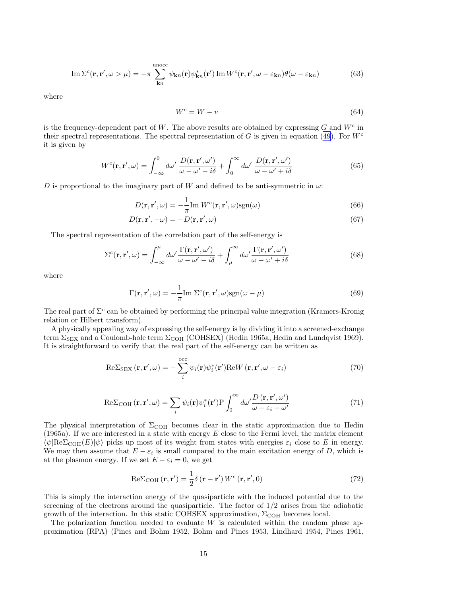<span id="page-14-0"></span>Im 
$$
\Sigma^c(\mathbf{r}, \mathbf{r}', \omega > \mu) = -\pi \sum_{\mathbf{k}n}^{\text{unocc}} \psi_{\mathbf{k}n}(\mathbf{r}) \psi_{\mathbf{k}n}^*(\mathbf{r}') \operatorname{Im} W^c(\mathbf{r}, \mathbf{r}', \omega - \varepsilon_{\mathbf{k}n}) \theta(\omega - \varepsilon_{\mathbf{k}n})
$$
 (63)

where

$$
W^c = W - v \tag{64}
$$

is the frequency-dependent part of W. The above results are obtained by expressing  $G$  and  $W^c$  in their spectral representations. The spectral representation of G is given in equation [\(49](#page-12-0)). For  $W^c$ it is given by

$$
W^{c}(\mathbf{r}, \mathbf{r}', \omega) = \int_{-\infty}^{0} d\omega' \, \frac{D(\mathbf{r}, \mathbf{r}', \omega')}{\omega - \omega' - i\delta} + \int_{0}^{\infty} d\omega' \, \frac{D(\mathbf{r}, \mathbf{r}', \omega')}{\omega - \omega' + i\delta}
$$
(65)

D is proportional to the imaginary part of W and defined to be anti-symmetric in  $\omega$ :

$$
D(\mathbf{r}, \mathbf{r}', \omega) = -\frac{1}{\pi} \text{Im } W^c(\mathbf{r}, \mathbf{r}', \omega) \text{sgn}(\omega)
$$
 (66)

$$
D(\mathbf{r}, \mathbf{r}', -\omega) = -D(\mathbf{r}, \mathbf{r}', \omega) \tag{67}
$$

The spectral representation of the correlation part of the self-energy is

$$
\Sigma^{c}(\mathbf{r}, \mathbf{r}', \omega) = \int_{-\infty}^{\mu} d\omega' \frac{\Gamma(\mathbf{r}, \mathbf{r}', \omega')}{\omega - \omega' - i\delta} + \int_{\mu}^{\infty} d\omega' \frac{\Gamma(\mathbf{r}, \mathbf{r}', \omega')}{\omega - \omega' + i\delta}
$$
(68)

where

$$
\Gamma(\mathbf{r}, \mathbf{r}', \omega) = -\frac{1}{\pi} \text{Im } \Sigma^{c}(\mathbf{r}, \mathbf{r}', \omega) \text{sgn}(\omega - \mu)
$$
\n(69)

The real part of  $\Sigma^c$  can be obtained by performing the principal value integration (Kramers-Kronig relation or Hilbert transform).

A physically appealing way of expressing the self-energy is by dividing it into a screened-exchange term  $\Sigma_{\rm{SEX}}$  and a Coulomb-hole term  $\Sigma_{\rm{COH}}$  (COHSEX) (Hedin 1965a, Hedin and Lundqvist 1969). It is straightforward to verify that the real part of the self-energy can be written as

$$
\text{Re}\Sigma_{\text{SEX}}\left(\mathbf{r}, \mathbf{r}', \omega\right) = -\sum_{i}^{\text{occ}} \psi_{i}(\mathbf{r}) \psi_{i}^{*}(\mathbf{r}') \text{Re}W\left(\mathbf{r}, \mathbf{r}', \omega - \varepsilon_{i}\right)
$$
(70)

$$
\text{Re}\Sigma_{\text{COH}}(\mathbf{r}, \mathbf{r}', \omega) = \sum_{i} \psi_{i}(\mathbf{r}) \psi_{i}^{*}(\mathbf{r}') \text{P} \int_{0}^{\infty} d\omega' \frac{D(\mathbf{r}, \mathbf{r}', \omega')}{\omega - \varepsilon_{i} - \omega'} \tag{71}
$$

The physical interpretation of  $\Sigma_{\text{COH}}$  becomes clear in the static approximation due to Hedin (1965a). If we are interested in a state with energy  $E$  close to the Fermi level, the matrix element  $\langle \psi | \text{Re}\Sigma_{\text{COH}}(E) | \psi \rangle$  picks up most of its weight from states with energies  $\varepsilon_i$  close to E in energy. We may then assume that  $E - \varepsilon_i$  is small compared to the main excitation energy of D, which is at the plasmon energy. If we set  $E - \varepsilon_i = 0$ , we get

$$
\text{Re}\Sigma_{\text{COH}}\left(\mathbf{r},\mathbf{r}'\right) = \frac{1}{2}\delta\left(\mathbf{r} - \mathbf{r}'\right)W^{c}\left(\mathbf{r},\mathbf{r}',0\right) \tag{72}
$$

This is simply the interaction energy of the quasiparticle with the induced potential due to the screening of the electrons around the quasiparticle. The factor of  $1/2$  arises from the adiabatic growth of the interaction. In this static COHSEX approximation,  $\Sigma_{\text{COH}}$  becomes local.

The polarization function needed to evaluate  $W$  is calculated within the random phase approximation (RPA) (Pines and Bohm 1952, Bohm and Pines 1953, Lindhard 1954, Pines 1961,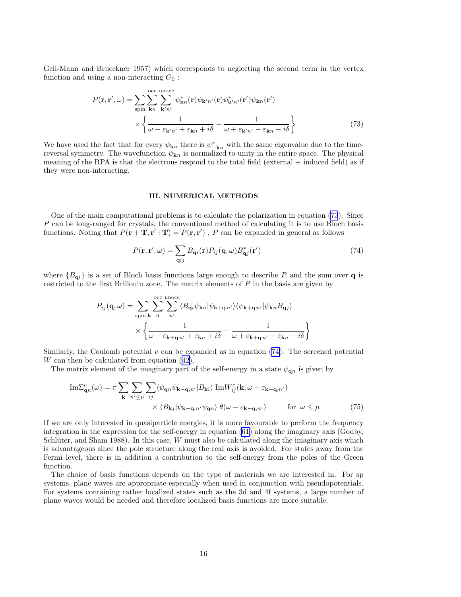<span id="page-15-0"></span>Gell-Mann and Brueckner 1957) which corresponds to neglecting the second term in the vertex function and using a non-interacting  $G_0$ :

$$
P(\mathbf{r}, \mathbf{r}', \omega) = \sum_{\text{spin}} \sum_{\mathbf{k}n} \sum_{\mathbf{k}'n'} \psi_{\mathbf{k}n}^*(\mathbf{r}) \psi_{\mathbf{k}'n'}(\mathbf{r}) \psi_{\mathbf{k}'n'}^*(\mathbf{r}') \psi_{\mathbf{k}n}(\mathbf{r}')
$$

$$
\times \left\{ \frac{1}{\omega - \varepsilon_{\mathbf{k}'n'} + \varepsilon_{\mathbf{k}n} + i\delta} - \frac{1}{\omega + \varepsilon_{\mathbf{k}'n'} - \varepsilon_{\mathbf{k}n} - i\delta} \right\}
$$
(73)

We have used the fact that for every  $\psi_{\mathbf{k}n}$  there is  $\psi^*_{-\mathbf{k}n}$  with the same eigenvalue due to the timereversal symmetry. The wavefunction  $\psi_{\mathbf{k}n}$  is normalized to unity in the entire space. The physical meaning of the RPA is that the electrons respond to the total field (external + induced field) as if they were non-interacting.

## III. NUMERICAL METHODS

One of the main computational problems is to calculate the polarization in equation (73). Since P can be long-ranged for crystals, the conventional method of calculating it is to use Bloch basis functions. Noting that  $P(\mathbf{r}+\mathbf{T}, \mathbf{r'}+\mathbf{T}) = P(\mathbf{r}, \mathbf{r'})$ , P can be expanded in general as follows

$$
P(\mathbf{r}, \mathbf{r}', \omega) = \sum_{\mathbf{q}ij} B_{\mathbf{q}i}(\mathbf{r}) P_{ij}(\mathbf{q}, \omega) B_{\mathbf{q}j}^*(\mathbf{r}')
$$
(74)

where  ${B_{qi}}$  is a set of Bloch basis functions large enough to describe P and the sum over q is restricted to the first Brillouin zone. The matrix elements of  $P$  in the basis are given by

$$
P_{ij}(\mathbf{q}, \omega) = \sum_{\text{spin}, \mathbf{k}} \sum_{n}^{\text{occ}} \sum_{n'}^{\text{unocc}} \langle B_{\mathbf{q}i} \psi_{\mathbf{k}n} | \psi_{\mathbf{k}+\mathbf{q}n'} \rangle \langle \psi_{\mathbf{k}+\mathbf{q}n'} | \psi_{\mathbf{k}n} B_{\mathbf{q}j} \rangle
$$

$$
\times \left\{ \frac{1}{\omega - \varepsilon_{\mathbf{k}+\mathbf{q}n'} + \varepsilon_{\mathbf{k}n} + i\delta} - \frac{1}{\omega + \varepsilon_{\mathbf{k}+\mathbf{q}n'} - \varepsilon_{\mathbf{k}n} - i\delta} \right\}
$$

Similarly, the Coulomb potential  $v$  can be expanded as in equation (74). The screened potential Wcan then be calculated from equation  $(42)$  $(42)$ .

The matrix element of the imaginary part of the self-energy in a state  $\psi_{\mathbf{q}n}$  is given by

$$
\mathrm{Im}\Sigma_{\mathbf{q}n}^{c}(\omega) = \pi \sum_{\mathbf{k}} \sum_{n' \leq \mu} \sum_{ij} \langle \psi_{\mathbf{q}n} \psi_{\mathbf{k} - \mathbf{q},n'} | B_{\mathbf{k}i} \rangle \mathrm{Im} W_{ij}^{c}(\mathbf{k}, \omega - \varepsilon_{\mathbf{k} - \mathbf{q},n'})
$$

$$
\times \langle B_{\mathbf{k}j} | \psi_{\mathbf{k} - \mathbf{q},n'} \psi_{\mathbf{q}n} \rangle \theta(\omega - \varepsilon_{\mathbf{k} - \mathbf{q},n'}) \qquad \text{for } \omega \leq \mu
$$
(75)

If we are only interested in quasiparticle energies, it is more favourable to perform the frequency integration in the expression for the self-energy in equation [\(61](#page-13-0)) along the imaginary axis (Godby, Schlüter, and Sham 1988). In this case,  $W$  must also be calculated along the imaginary axis which is advantageous since the pole structure along the real axis is avoided. For states away from the Fermi level, there is in addition a contribution to the self-energy from the poles of the Green function.

The choice of basis functions depends on the type of materials we are interested in. For sp systems, plane waves are appropriate especially when used in conjunction with pseudopotentials. For systems containing rather localized states such as the 3d and 4f systems, a large number of plane waves would be needed and therefore localized basis functions are more suitable.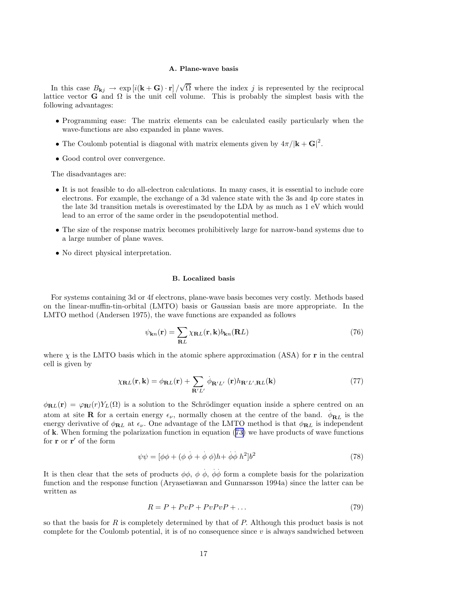#### A. Plane-wave basis

<span id="page-16-0"></span>In this case  $B_{kj} \to \exp[i(\mathbf{k}+\mathbf{G})\cdot\mathbf{r}]/\sqrt{\Omega}$  where the index j is represented by the reciprocal lattice vector **G** and  $\Omega$  is the unit cell volume. This is probably the simplest basis with the following advantages:

- Programming ease: The matrix elements can be calculated easily particularly when the wave-functions are also expanded in plane waves.
- The Coulomb potential is diagonal with matrix elements given by  $4\pi/|\mathbf{k} + \mathbf{G}|^2$ .
- Good control over convergence.

The disadvantages are:

- It is not feasible to do all-electron calculations. In many cases, it is essential to include core electrons. For example, the exchange of a 3d valence state with the 3s and 4p core states in the late 3d transition metals is overestimated by the LDA by as much as 1 eV which would lead to an error of the same order in the pseudopotential method.
- The size of the response matrix becomes prohibitively large for narrow-band systems due to a large number of plane waves.
- No direct physical interpretation.

## B. Localized basis

For systems containing 3d or 4f electrons, plane-wave basis becomes very costly. Methods based on the linear-muffin-tin-orbital (LMTO) basis or Gaussian basis are more appropriate. In the LMTO method (Andersen 1975), the wave functions are expanded as follows

$$
\psi_{\mathbf{k}n}(\mathbf{r}) = \sum_{\mathbf{R}L} \chi_{\mathbf{R}L}(\mathbf{r}, \mathbf{k}) b_{\mathbf{k}n}(\mathbf{R}L)
$$
\n(76)

where  $\chi$  is the LMTO basis which in the atomic sphere approximation (ASA) for **r** in the central cell is given by

$$
\chi_{\mathbf{R}L}(\mathbf{r}, \mathbf{k}) = \phi_{\mathbf{R}L}(\mathbf{r}) + \sum_{\mathbf{R}'L'} \dot{\phi}_{\mathbf{R}'L'}(\mathbf{r}) h_{\mathbf{R}'L', \mathbf{R}L}(\mathbf{k}) \tag{77}
$$

 $\phi_{\mathbf{R}L}(\mathbf{r}) = \varphi_{\mathbf{R}l}(r)Y_L(\Omega)$  is a solution to the Schrödinger equation inside a sphere centred on an atom at site **R** for a certain energy  $\epsilon_{\nu}$ , normally chosen at the centre of the band.  $\phi_{\mathbf{R}L}$  is the energy derivative of  $\phi_{\mathbf{R}L}$  at  $\epsilon_{\nu}$ . One advantage of the LMTO method is that  $\phi_{\mathbf{R}L}$  is independent ofk. When forming the polarization function in equation  $(73)$  $(73)$  we have products of wave functions for  $\mathbf{r}$  or  $\mathbf{r}'$  of the form

$$
\psi \psi = [\phi \phi + (\phi \phi + \phi \phi)h + \phi \phi h^2]b^2 \tag{78}
$$

It is then clear that the sets of products  $\phi\phi$ ,  $\phi$ ,  $\phi\phi$  form a complete basis for the polarization function and the response function (Aryasetiawan and Gunnarsson 1994a) since the latter can be written as

$$
R = P + PvP + PvPvP + \dots \tag{79}
$$

so that the basis for  $R$  is completely determined by that of  $P$ . Although this product basis is not complete for the Coulomb potential, it is of no consequence since  $v$  is always sandwiched between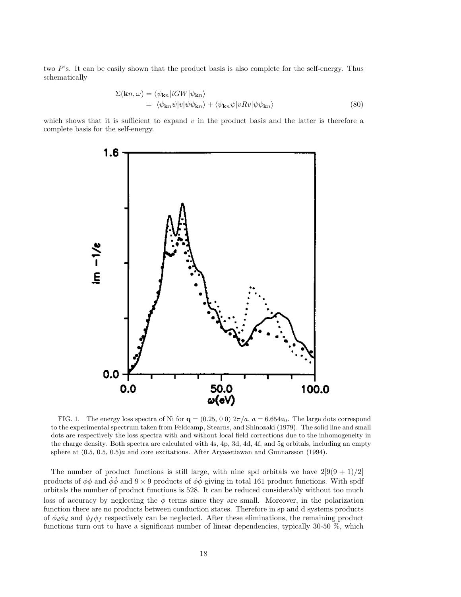<span id="page-17-0"></span>two P's. It can be easily shown that the product basis is also complete for the self-energy. Thus schematically

$$
\Sigma(\mathbf{k}n,\omega) = \langle \psi_{\mathbf{k}n} | iGW | \psi_{\mathbf{k}n} \rangle \n= \langle \psi_{\mathbf{k}n} \psi | v | \psi \psi_{\mathbf{k}n} \rangle + \langle \psi_{\mathbf{k}n} \psi | v R v | \psi \psi_{\mathbf{k}n} \rangle
$$
\n(80)

which shows that it is sufficient to expand  $v$  in the product basis and the latter is therefore a complete basis for the self-energy.



FIG. 1. The energy loss spectra of Ni for  $\mathbf{q} = (0.25, 0.0) 2\pi/a$ ,  $a = 6.654a_0$ . The large dots correspond to the experimental spectrum taken from Feldcamp, Stearns, and Shinozaki (1979). The solid line and small dots are respectively the loss spectra with and without local field corrections due to the inhomogeneity in the charge density. Both spectra are calculated with 4s, 4p, 3d, 4d, 4f, and 5g orbitals, including an empty sphere at  $(0.5, 0.5, 0.5)a$  and core excitations. After Aryasetiawan and Gunnarsson (1994).

The number of product functions is still large, with nine spd orbitals we have  $2[9(9 + 1)/2]$ products of  $\phi\phi$  and  $\dot{\phi}\dot{\phi}$  and 9 × 9 products of  $\dot{\phi}\dot{\phi}$  giving in total 161 product functions. With spdf orbitals the number of product functions is 528. It can be reduced considerably without too much . loss of accuracy by neglecting the  $\phi$  terms since they are small. Moreover, in the polarization function there are no products between conduction states. Therefore in sp and d systems products of  $\phi_d \phi_d$  and  $\phi_f \phi_f$  respectively can be neglected. After these eliminations, the remaining product functions turn out to have a significant number of linear dependencies, typically 30-50 %, which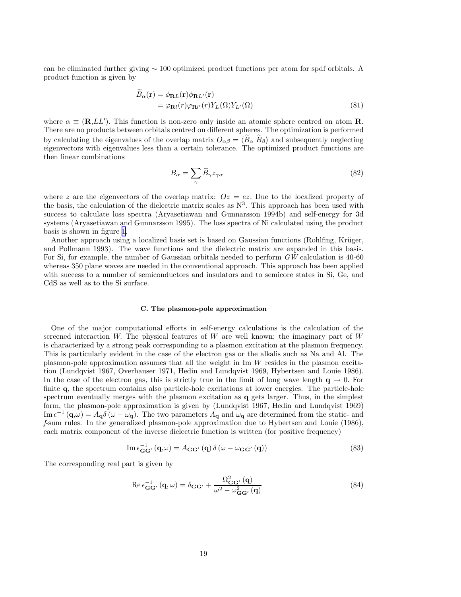<span id="page-18-0"></span>can be eliminated further giving ∼ 100 optimized product functions per atom for spdf orbitals. A product function is given by

$$
\widetilde{B}_{\alpha}(\mathbf{r}) = \phi_{\mathbf{R}L}(\mathbf{r})\phi_{\mathbf{R}L'}(\mathbf{r}) \n= \varphi_{\mathbf{R}l}(\mathbf{r})\varphi_{\mathbf{R}l'}(\mathbf{r})Y_L(\Omega)Y_{L'}(\Omega)
$$
\n(81)

where  $\alpha \equiv (\mathbf{R}, LL')$ . This function is non-zero only inside an atomic sphere centred on atom  $\mathbf{R}$ . There are no products between orbitals centred on different spheres. The optimization is performed by calculating the eigenvalues of the overlap matrix  $O_{\alpha\beta} = \langle B_{\alpha} | B_{\beta} \rangle$  and subsequently neglecting eigenvectors with eigenvalues less than a certain tolerance. The optimized product functions are then linear combinations

$$
B_{\alpha} = \sum_{\gamma} \widetilde{B}_{\gamma} z_{\gamma \alpha} \tag{82}
$$

where z are the eigenvectors of the overlap matrix:  $Oz = ez$ . Due to the localized property of the basis, the calculation of the dielectric matrix scales as  $N^3$ . This approach has been used with success to calculate loss spectra (Aryasetiawan and Gunnarsson 1994b) and self-energy for 3d systems (Aryasetiawan and Gunnarsson 1995). The loss spectra of Ni calculated using the product basis is shown in figure [1.](#page-17-0)

Another approach using a localized basis set is based on Gaussian functions (Rohlfing, Krüger, and Pollmann 1993). The wave functions and the dielectric matrix are expanded in this basis. For Si, for example, the number of Gaussian orbitals needed to perform *GW* calculation is 40-60 whereas 350 plane waves are needed in the conventional approach. This approach has been applied with success to a number of semiconductors and insulators and to semicore states in Si, Ge, and CdS as well as to the Si surface.

#### C. The plasmon-pole approximation

One of the major computational efforts in self-energy calculations is the calculation of the screened interaction W. The physical features of W are well known; the imaginary part of W is characterized by a strong peak corresponding to a plasmon excitation at the plasmon frequency. This is particularly evident in the case of the electron gas or the alkalis such as Na and Al. The plasmon-pole approximation assumes that all the weight in Im W resides in the plasmon excitation (Lundqvist 1967, Overhauser 1971, Hedin and Lundqvist 1969, Hybertsen and Louie 1986). In the case of the electron gas, this is strictly true in the limit of long wave length  $q \to 0$ . For finite q, the spectrum contains also particle-hole excitations at lower energies. The particle-hole spectrum eventually merges with the plasmon excitation as q gets larger. Thus, in the simplest form, the plasmon-pole approximation is given by (Lundqvist 1967, Hedin and Lundqvist 1969)  $\text{Im } \epsilon^{-1} (\mathbf{q}, \omega) = A_{\mathbf{q}} \delta (\omega - \omega_{\mathbf{q}}).$  The two parameters  $A_{\mathbf{q}}$  and  $\omega_{\mathbf{q}}$  are determined from the static- and *f*-sum rules. In the generalized plasmon-pole approximation due to Hybertsen and Louie (1986), each matrix component of the inverse dielectric function is written (for positive frequency)

$$
\operatorname{Im}\epsilon_{\mathbf{G}\mathbf{G}'}^{-1}\left(\mathbf{q},\omega\right) = A_{\mathbf{G}\mathbf{G}'}\left(\mathbf{q}\right)\delta\left(\omega - \omega_{\mathbf{G}\mathbf{G}'}\left(\mathbf{q}\right)\right) \tag{83}
$$

The corresponding real part is given by

$$
\operatorname{Re}\epsilon_{\mathbf{G}\mathbf{G}'}^{-1}\left(\mathbf{q},\omega\right) = \delta_{\mathbf{G}\mathbf{G}'} + \frac{\Omega_{\mathbf{G}\mathbf{G}'}^{2}\left(\mathbf{q}\right)}{\omega^{2} - \omega_{\mathbf{G}\mathbf{G}'}^{2}\left(\mathbf{q}\right)}
$$
(84)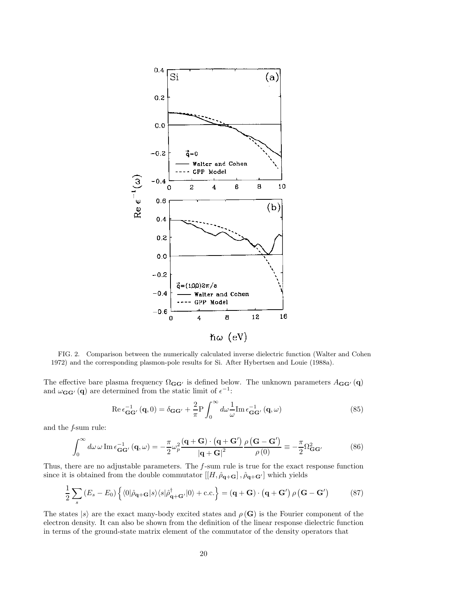<span id="page-19-0"></span>

FIG. 2. Comparison between the numerically calculated inverse dielectric function (Walter and Cohen 1972) and the corresponding plasmon-pole results for Si. After Hybertsen and Louie (1988a).

The effective bare plasma frequency  $\Omega_{GG'}$  is defined below. The unknown parameters  $A_{GG'}(q)$ and  $\omega_{\mathbf{G}\mathbf{G}'}\left(\mathbf{q}\right)$  are determined from the static limit of  $\epsilon^{-1}$ :

$$
\operatorname{Re}\epsilon_{\mathbf{G}\mathbf{G}'}^{-1}\left(\mathbf{q},0\right) = \delta_{\mathbf{G}\mathbf{G}'} + \frac{2}{\pi} \operatorname{P} \int_{0}^{\infty} d\omega \frac{1}{\omega} \operatorname{Im}\epsilon_{\mathbf{G}\mathbf{G}'}^{-1}\left(\mathbf{q},\omega\right)
$$
(85)

and the *f*-sum rule:

$$
\int_0^\infty d\omega \,\omega \operatorname{Im} \epsilon_{\mathbf{G}\mathbf{G}'}^{-1}(\mathbf{q}, \omega) = -\frac{\pi}{2} \omega_p^2 \frac{(\mathbf{q} + \mathbf{G}) \cdot (\mathbf{q} + \mathbf{G}')}{|\mathbf{q} + \mathbf{G}|^2} \frac{\rho(\mathbf{G} - \mathbf{G}')}{\rho(0)} \equiv -\frac{\pi}{2} \Omega_{\mathbf{G}\mathbf{G}'}^2 \tag{86}
$$

Thus, there are no adjustable parameters. The *f*-sum rule is true for the exact response function since it is obtained from the double commutator  $[[H, \hat{\rho}_{q+G}], \hat{\rho}_{q+G'}]$  which yields

$$
\frac{1}{2}\sum_{s}(E_{s}-E_{0})\left\{\langle 0|\hat{\rho}_{\mathbf{q}+\mathbf{G}}|s\rangle\langle s|\hat{\rho}_{\mathbf{q}+\mathbf{G}'}^{\dagger}|0\rangle + \text{c.c.}\right\} = (\mathbf{q}+\mathbf{G})\cdot(\mathbf{q}+\mathbf{G}')\,\rho\left(\mathbf{G}-\mathbf{G}'\right) \tag{87}
$$

The states  $|s\rangle$  are the exact many-body excited states and  $\rho(G)$  is the Fourier component of the electron density. It can also be shown from the definition of the linear response dielectric function in terms of the ground-state matrix element of the commutator of the density operators that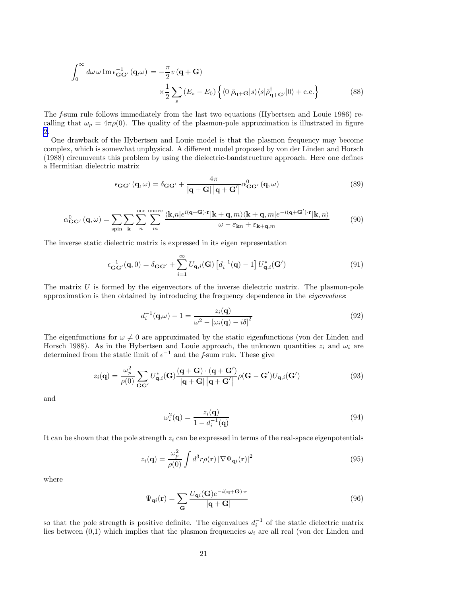$$
\int_0^\infty d\omega \,\omega \,\mathrm{Im}\,\epsilon_{\mathbf{G}\mathbf{G}'}^{-1}(\mathbf{q},\omega) = -\frac{\pi}{2}v(\mathbf{q}+\mathbf{G})
$$
\n
$$
\times \frac{1}{2} \sum_s (E_s - E_0) \left\{ \langle 0|\hat{\rho}_{\mathbf{q}+\mathbf{G}}|s\rangle \langle s|\hat{\rho}_{\mathbf{q}+\mathbf{G}'}^{\dagger}|0\rangle + \text{c.c.} \right\} \tag{88}
$$

The *f*-sum rule follows immediately from the last two equations (Hybertsen and Louie 1986) recalling that  $\omega_p = 4\pi \rho(0)$ . The quality of the plasmon-pole approximation is illustrated in figure [2.](#page-19-0)

One drawback of the Hybertsen and Louie model is that the plasmon frequency may become complex, which is somewhat unphysical. A different model proposed by von der Linden and Horsch (1988) circumvents this problem by using the dielectric-bandstructure approach. Here one defines a Hermitian dielectric matrix

$$
\epsilon_{\mathbf{G}\mathbf{G}'}\left(\mathbf{q},\omega\right) = \delta_{\mathbf{G}\mathbf{G}'} + \frac{4\pi}{|\mathbf{q} + \mathbf{G}| |\mathbf{q} + \mathbf{G}'|} \alpha_{\mathbf{G}\mathbf{G}'}^{0}\left(\mathbf{q},\omega\right)
$$
(89)

$$
\alpha_{\mathbf{G}\mathbf{G}'}^{0}\left(\mathbf{q},\omega\right) = \sum_{\text{spin}} \sum_{\mathbf{k}} \sum_{n} \sum_{m}^{occ \text{ unocc}} \frac{\langle \mathbf{k}, n | e^{i(\mathbf{q} + \mathbf{G}) \cdot \mathbf{r}} | \mathbf{k} + \mathbf{q}, m \rangle \langle \mathbf{k} + \mathbf{q}, m | e^{-i(\mathbf{q} + \mathbf{G}') \cdot \mathbf{r}} | \mathbf{k}, n \rangle}{\omega - \varepsilon_{\mathbf{k}n} + \varepsilon_{\mathbf{k} + \mathbf{q}, m}}
$$
(90)

The inverse static dielectric matrix is expressed in its eigen representation

$$
\epsilon_{\mathbf{G}\mathbf{G}'}^{-1}(\mathbf{q},0) = \delta_{\mathbf{G}\mathbf{G}'} + \sum_{i=1}^{\infty} U_{\mathbf{q},i}(\mathbf{G}) \left[ d_i^{-1}(\mathbf{q}) - 1 \right] U_{\mathbf{q},i}^*(\mathbf{G}') \tag{91}
$$

The matrix  $U$  is formed by the eigenvectors of the inverse dielectric matrix. The plasmon-pole approximation is then obtained by introducing the frequency dependence in the *eigenvalues*:

$$
d_i^{-1}(\mathbf{q},\omega) - 1 = \frac{z_i(\mathbf{q})}{\omega^2 - [\omega_i(\mathbf{q}) - i\delta]^2}
$$
(92)

The eigenfunctions for  $\omega \neq 0$  are approximated by the static eigenfunctions (von der Linden and Horsch 1988). As in the Hybertsen and Louie approach, the unknown quantities  $z_i$  and  $\omega_i$  are determined from the static limit of  $\epsilon^{-1}$  and the *f*-sum rule. These give

$$
z_i(\mathbf{q}) = \frac{\omega_p^2}{\rho(0)} \sum_{\mathbf{G}\mathbf{G}'} U_{\mathbf{q},i}^*(\mathbf{G}) \frac{(\mathbf{q} + \mathbf{G}) \cdot (\mathbf{q} + \mathbf{G}')}{|\mathbf{q} + \mathbf{G}| |\mathbf{q} + \mathbf{G}'|} \rho(\mathbf{G} - \mathbf{G}') U_{\mathbf{q},i}(\mathbf{G}')
$$
(93)

and

$$
\omega_i^2(\mathbf{q}) = \frac{z_i(\mathbf{q})}{1 - d_i^{-1}(\mathbf{q})}
$$
\n(94)

It can be shown that the pole strength  $z_i$  can be expressed in terms of the real-space eigenpotentials

$$
z_i(\mathbf{q}) = \frac{\omega_p^2}{\rho(0)} \int d^3r \rho(\mathbf{r}) \left| \nabla \Psi_{\mathbf{q}i}(\mathbf{r}) \right|^2 \tag{95}
$$

where

$$
\Psi_{\mathbf{q}i}(\mathbf{r}) = \sum_{\mathbf{G}} \frac{U_{\mathbf{q}i}(\mathbf{G})e^{-i(\mathbf{q}+\mathbf{G})\cdot\mathbf{r}}}{|\mathbf{q}+\mathbf{G}|}
$$
(96)

so that the pole strength is positive definite. The eigenvalues  $d_i^{-1}$  of the static dielectric matrix lies between (0,1) which implies that the plasmon frequencies  $\omega_i$  are all real (von der Linden and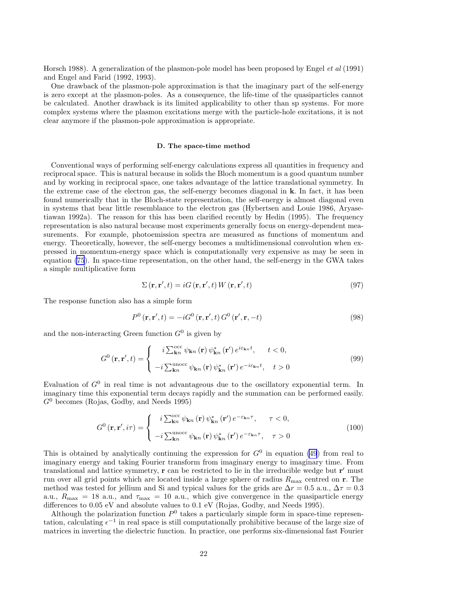<span id="page-21-0"></span>Horsch 1988). A generalization of the plasmon-pole model has been proposed by Engel *et al* (1991) and Engel and Farid (1992, 1993).

One drawback of the plasmon-pole approximation is that the imaginary part of the self-energy is zero except at the plasmon-poles. As a consequence, the life-time of the quasiparticles cannot be calculated. Another drawback is its limited applicability to other than sp systems. For more complex systems where the plasmon excitations merge with the particle-hole excitations, it is not clear anymore if the plasmon-pole approximation is appropriate.

#### D. The space-time method

Conventional ways of performing self-energy calculations express all quantities in frequency and reciprocal space. This is natural because in solids the Bloch momentum is a good quantum number and by working in reciprocal space, one takes advantage of the lattice translational symmetry. In the extreme case of the electron gas, the self-energy becomes diagonal in k. In fact, it has been found numerically that in the Bloch-state representation, the self-energy is almost diagonal even in systems that bear little resemblance to the electron gas (Hybertsen and Louie 1986, Aryasetiawan 1992a). The reason for this has been clarified recently by Hedin (1995). The frequency representation is also natural because most experiments generally focus on energy-dependent measurements. For example, photoemission spectra are measured as functions of momentum and energy. Theoretically, however, the self-energy becomes a multidimensional convolution when expressed in momentum-energy space which is computationally very expensive as may be seen in equation [\(75](#page-15-0)). In space-time representation, on the other hand, the self-energy in the GWA takes a simple multiplicative form

$$
\Sigma(\mathbf{r}, \mathbf{r}', t) = iG(\mathbf{r}, \mathbf{r}', t) W(\mathbf{r}, \mathbf{r}', t)
$$
\n(97)

The response function also has a simple form

$$
P^{0}\left(\mathbf{r},\mathbf{r}',t\right) = -iG^{0}\left(\mathbf{r},\mathbf{r}',t\right)G^{0}\left(\mathbf{r}',\mathbf{r},-t\right)
$$
\n(98)

and the non-interacting Green function  $G^0$  is given by

$$
G^{0}(\mathbf{r}, \mathbf{r}', t) = \begin{cases} i \sum_{\mathbf{k}n}^{\text{occ}} \psi_{\mathbf{k}n}(\mathbf{r}) \psi_{\mathbf{k}n}^{*}(\mathbf{r}') e^{i\varepsilon_{\mathbf{k}n}t}, & t < 0, \\ -i \sum_{\mathbf{k}n}^{\text{unocc}} \psi_{\mathbf{k}n}(\mathbf{r}) \psi_{\mathbf{k}n}^{*}(\mathbf{r}') e^{-i\varepsilon_{\mathbf{k}n}t}, & t > 0 \end{cases}
$$
(99)

Evaluation of  $G^0$  in real time is not advantageous due to the oscillatory exponential term. In imaginary time this exponential term decays rapidly and the summation can be performed easily.  $G^0$  becomes (Rojas, Godby, and Needs 1995)

$$
G^{0}(\mathbf{r}, \mathbf{r}', i\tau) = \begin{cases} i \sum_{\mathbf{k}n}^{\text{occ}} \psi_{\mathbf{k}n}(\mathbf{r}) \psi_{\mathbf{k}n}^{*}(\mathbf{r}') e^{-\varepsilon_{\mathbf{k}n}\tau}, & \tau < 0, \\ -i \sum_{\mathbf{k}n}^{\text{unocc}} \psi_{\mathbf{k}n}(\mathbf{r}) \psi_{\mathbf{k}n}^{*}(\mathbf{r}') e^{-\varepsilon_{\mathbf{k}n}\tau}, & \tau > 0 \end{cases}
$$
(100)

This is obtained by analytically continuing the expression for  $G^0$  in equation [\(49](#page-12-0)) from real to imaginary energy and taking Fourier transform from imaginary energy to imaginary time. From translational and lattice symmetry, **r** can be restricted to lie in the irreducible wedge but **r'** must run over all grid points which are located inside a large sphere of radius  $R_{\text{max}}$  centred on r. The method was tested for jellium and Si and typical values for the grids are  $\Delta r = 0.5$  a.u.,  $\Delta \tau = 0.3$ a.u.,  $R_{\text{max}} = 18$  a.u., and  $\tau_{\text{max}} = 10$  a.u., which give convergence in the quasiparticle energy differences to 0.05 eV and absolute values to 0.1 eV (Rojas, Godby, and Needs 1995).

Although the polarization function  $P^0$  takes a particularly simple form in space-time representation, calculating  $\epsilon^{-1}$  in real space is still computationally prohibitive because of the large size of matrices in inverting the dielectric function. In practice, one performs six-dimensional fast Fourier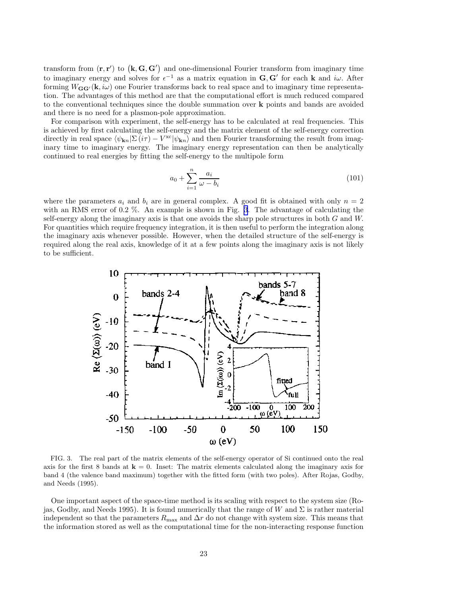transform from  $(\mathbf{r}, \mathbf{r}')$  to  $(\mathbf{k}, \mathbf{G}, \mathbf{G}')$  and one-dimensional Fourier transform from imaginary time to imaginary energy and solves for  $\epsilon^{-1}$  as a matrix equation in  $\mathbf{G}, \mathbf{G}'$  for each k and  $i\omega$ . After forming  $W_{\mathbf{G}\mathbf{G}'}(\mathbf{k}, \tilde{\omega})$  one Fourier transforms back to real space and to imaginary time representation. The advantages of this method are that the computational effort is much reduced compared to the conventional techniques since the double summation over k points and bands are avoided and there is no need for a plasmon-pole approximation.

For comparison with experiment, the self-energy has to be calculated at real frequencies. This is achieved by first calculating the self-energy and the matrix element of the self-energy correction directly in real space  $\langle \psi_{\mathbf{k}n} | \Sigma (i\tau) - V^{\text{xc}} | \psi_{\mathbf{k}n} \rangle$  and then Fourier transforming the result from imaginary time to imaginary energy. The imaginary energy representation can then be analytically continued to real energies by fitting the self-energy to the multipole form

$$
a_0 + \sum_{i=1}^{n} \frac{a_i}{\omega - b_i} \tag{101}
$$

where the parameters  $a_i$  and  $b_i$  are in general complex. A good fit is obtained with only  $n = 2$ with an RMS error of 0.2 %. An example is shown in Fig. 3. The advantage of calculating the self-energy along the imaginary axis is that one avoids the sharp pole structures in both  $G$  and  $W$ . For quantities which require frequency integration, it is then useful to perform the integration along the imaginary axis whenever possible. However, when the detailed structure of the self-energy is required along the real axis, knowledge of it at a few points along the imaginary axis is not likely to be sufficient.



FIG. 3. The real part of the matrix elements of the self-energy operator of Si continued onto the real axis for the first 8 bands at  $\mathbf{k} = 0$ . Inset: The matrix elements calculated along the imaginary axis for band 4 (the valence band maximum) together with the fitted form (with two poles). After Rojas, Godby, and Needs (1995).

One important aspect of the space-time method is its scaling with respect to the system size (Rojas, Godby, and Needs 1995). It is found numerically that the range of W and  $\Sigma$  is rather material independent so that the parameters  $R_{\text{max}}$  and  $\Delta r$  do not change with system size. This means that the information stored as well as the computational time for the non-interacting response function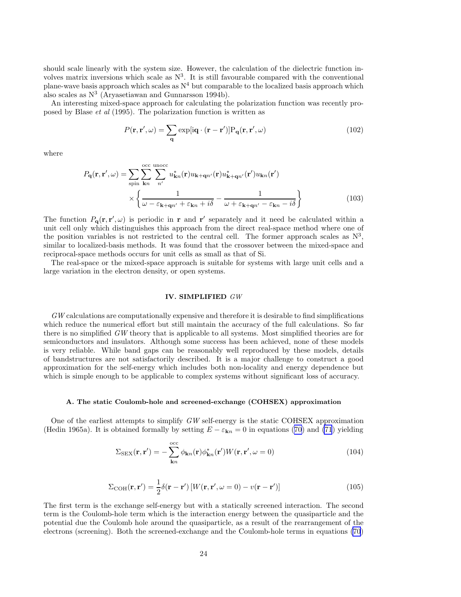<span id="page-23-0"></span>should scale linearly with the system size. However, the calculation of the dielectric function involves matrix inversions which scale as  $N^3$ . It is still favourable compared with the conventional plane-wave basis approach which scales as  $N<sup>4</sup>$  but comparable to the localized basis approach which also scales as  $N^3$  (Aryasetiawan and Gunnarsson 1994b).

An interesting mixed-space approach for calculating the polarization function was recently proposed by Blase *et al* (1995). The polarization function is written as

$$
P(\mathbf{r}, \mathbf{r}', \omega) = \sum_{\mathbf{q}} \exp[i\mathbf{q} \cdot (\mathbf{r} - \mathbf{r}')] P_{\mathbf{q}}(\mathbf{r}, \mathbf{r}', \omega)
$$
(102)

where

$$
P_{\mathbf{q}}(\mathbf{r}, \mathbf{r}', \omega) = \sum_{\text{spin}} \sum_{\mathbf{k}n} \sum_{n'} \sum_{n'} u_{\mathbf{k}n}^*(\mathbf{r}) u_{\mathbf{k}+\mathbf{q}n'}(\mathbf{r}) u_{\mathbf{k}+\mathbf{q}n'}^*(\mathbf{r}') u_{\mathbf{k}n}(\mathbf{r}')
$$

$$
\times \left\{ \frac{1}{\omega - \varepsilon_{\mathbf{k}+\mathbf{q}n'} + \varepsilon_{\mathbf{k}n} + i\delta} - \frac{1}{\omega + \varepsilon_{\mathbf{k}+\mathbf{q}n'} - \varepsilon_{\mathbf{k}n} - i\delta} \right\}
$$
(103)

The function  $P_{\bf q}({\bf r},{\bf r}',\omega)$  is periodic in **r** and **r'** separately and it need be calculated within a unit cell only which distinguishes this approach from the direct real-space method where one of the position variables is not restricted to the central cell. The former approach scales as  $N^3$ , similar to localized-basis methods. It was found that the crossover between the mixed-space and reciprocal-space methods occurs for unit cells as small as that of Si.

The real-space or the mixed-space approach is suitable for systems with large unit cells and a large variation in the electron density, or open systems.

## IV. SIMPLIFIED GW

*GW* calculations are computationally expensive and therefore it is desirable to find simplifications which reduce the numerical effort but still maintain the accuracy of the full calculations. So far there is no simplified *GW* theory that is applicable to all systems. Most simplified theories are for semiconductors and insulators. Although some success has been achieved, none of these models is very reliable. While band gaps can be reasonably well reproduced by these models, details of bandstructures are not satisfactorily described. It is a major challenge to construct a good approximation for the self-energy which includes both non-locality and energy dependence but which is simple enough to be applicable to complex systems without significant loss of accuracy.

### A. The static Coulomb-hole and screened-exchange (COHSEX) approximation

One of the earliest attempts to simplify *GW* self-energy is the static COHSEX approximation (Hedin 1965a). It is obtained formally by setting  $E - \varepsilon_{kn} = 0$  in equations [\(70](#page-14-0)) and [\(71](#page-14-0)) yielding

$$
\Sigma_{\text{SEX}}(\mathbf{r}, \mathbf{r}') = -\sum_{\mathbf{k}n}^{\text{occ}} \phi_{\mathbf{k}n}(\mathbf{r}) \phi_{\mathbf{k}n}^*(\mathbf{r}') W(\mathbf{r}, \mathbf{r}', \omega = 0)
$$
(104)

$$
\Sigma_{\text{COH}}(\mathbf{r}, \mathbf{r}') = \frac{1}{2}\delta(\mathbf{r} - \mathbf{r}') \left[ W(\mathbf{r}, \mathbf{r}', \omega = 0) - v(\mathbf{r} - \mathbf{r}') \right]
$$
(105)

The first term is the exchange self-energy but with a statically screened interaction. The second term is the Coulomb-hole term which is the interaction energy between the quasiparticle and the potential due the Coulomb hole around the quasiparticle, as a result of the rearrangement of the electrons (screening). Both the screened-exchange and the Coulomb-hole terms in equations [\(70](#page-14-0))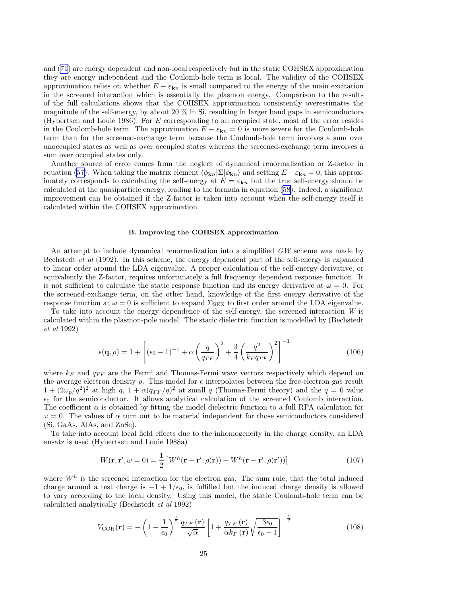<span id="page-24-0"></span>and [\(71](#page-14-0)) are energy dependent and non-local respectively but in the static COHSEX approximation they are energy independent and the Coulomb-hole term is local. The validity of the COHSEX approximation relies on whether  $E - \varepsilon_{kn}$  is small compared to the energy of the main excitation in the screened interaction which is essentially the plasmon energy. Comparison to the results of the full calculations shows that the COHSEX approximation consistently overestimates the magnitude of the self-energy, by about 20 % in Si, resulting in larger band gaps in semiconductors (Hybertsen and Louie 1986). For E corresponding to an occupied state, most of the error resides in the Coulomb-hole term. The approximation  $E - \varepsilon_{kn} = 0$  is more severe for the Coulomb-hole term than for the screened-exchange term because the Coulomb-hole term involves a sum over unoccupied states as well as over occupied states whereas the screened-exchange term involves a sum over occupied states only.

Another source of error comes from the neglect of dynamical renormalization or Z-factor in equation([57\)](#page-13-0). When taking the matrix element  $\langle \phi_{\mathbf{k}n}|\Sigma|\phi_{\mathbf{k}n}\rangle$  and setting  $E - \varepsilon_{\mathbf{k}n} = 0$ , this approximately corresponds to calculating the self-energy at  $E = \varepsilon_{kn}$  but the true self-energy should be calculated at the quasiparticle energy, leading to the formula in equation([58\)](#page-13-0). Indeed, a significant improvement can be obtained if the Z-factor is taken into account when the self-energy itself is calculated within the COHSEX approximation.

#### B. Improving the COHSEX approximation

An attempt to include dynamical renormalization into a simplified *GW* scheme was made by Bechstedt *et al* (1992). In this scheme, the energy dependent part of the self-energy is expanded to linear order around the LDA eigenvalue. A proper calculation of the self-energy derivative, or equivalently the Z-factor, requires unfortunately a full frequency dependent response function. It is not sufficient to calculate the static response function and its energy derivative at  $\omega = 0$ . For the screened-exchange term, on the other hand, knowledge of the first energy derivative of the response function at  $\omega = 0$  is sufficient to expand  $\Sigma_{\text{SEX}}$  to first order around the LDA eigenvalue.

To take into account the energy dependence of the self-energy, the screened interaction *W* is calculated within the plasmon-pole model. The static dielectric function is modelled by (Bechstedt *et al* 1992)

$$
\epsilon(\mathbf{q}, \rho) = 1 + \left[ (\epsilon_0 - 1)^{-1} + \alpha \left( \frac{q}{q_{TF}} \right)^2 + \frac{3}{4} \left( \frac{q^2}{k_F q_{TF}} \right)^2 \right]^{-1}
$$
(106)

where  $k_F$  and  $q_{TF}$  are the Fermi and Thomas-Fermi wave vectors respectively which depend on the average electron density  $\rho$ . This model for  $\epsilon$  interpolates between the free-electron gas result  $1 + (2\omega_p/q^2)^2$  at high q,  $1 + \alpha(q_{TF}/q)^2$  at small q (Thomas-Fermi theory) and the  $q = 0$  value  $\epsilon_0$  for the semiconductor. It allows analytical calculation of the screened Coulomb interaction. The coefficient  $\alpha$  is obtained by fitting the model dielectric function to a full RPA calculation for  $\omega = 0$ . The values of  $\alpha$  turn out to be material independent for those semiconductors considered (Si, GaAs, AlAs, and ZnSe).

To take into account local field effects due to the inhomogeneity in the charge density, an LDA ansatz is used (Hybertsen and Louie 1988a)

$$
W(\mathbf{r}, \mathbf{r}', \omega = 0) = \frac{1}{2} \left[ W^h(\mathbf{r} - \mathbf{r}', \rho(\mathbf{r})) + W^h(\mathbf{r} - \mathbf{r}', \rho(\mathbf{r}')) \right]
$$
(107)

where  $W<sup>h</sup>$  is the screened interaction for the electron gas. The sum rule, that the total induced charge around a test charge is  $-1 + 1/\epsilon_0$ , is fulfilled but the induced charge density is allowed to vary according to the local density. Using this model, the static Coulomb-hole term can be calculated analytically (Bechstedt *et al* 1992)

$$
V_{\text{COH}}(\mathbf{r}) = -\left(1 - \frac{1}{\epsilon_0}\right)^{\frac{1}{2}} \frac{q_{TF}(\mathbf{r})}{\sqrt{\alpha}} \left[1 + \frac{q_{TF}(\mathbf{r})}{\alpha k_F(\mathbf{r})} \sqrt{\frac{3\epsilon_0}{\epsilon_0 - 1}}\right]^{-\frac{1}{2}}
$$
(108)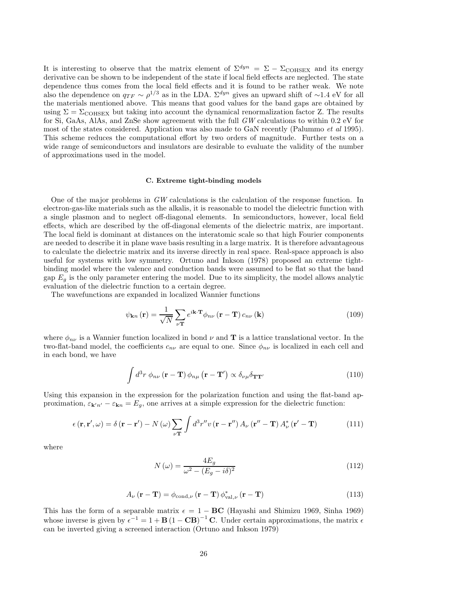<span id="page-25-0"></span>It is interesting to observe that the matrix element of  $\Sigma^{dyn} = \Sigma - \Sigma_{\text{COHSEX}}$  and its energy derivative can be shown to be independent of the state if local field effects are neglected. The state dependence thus comes from the local field effects and it is found to be rather weak. We note also the dependence on  $q_{TF} \sim \rho^{1/3}$  as in the LDA.  $\Sigma^{dyn}$  gives an upward shift of ~1.4 eV for all the materials mentioned above. This means that good values for the band gaps are obtained by using  $\Sigma = \Sigma_{\text{COMSEX}}$  but taking into account the dynamical renormalization factor Z. The results for Si, GaAs, AlAs, and ZnSe show agreement with the full *GW* calculations to within 0.2 eV for most of the states considered. Application was also made to GaN recently (Palummo *et al* 1995). This scheme reduces the computational effort by two orders of magnitude. Further tests on a wide range of semiconductors and insulators are desirable to evaluate the validity of the number of approximations used in the model.

#### C. Extreme tight-binding models

One of the major problems in *GW* calculations is the calculation of the response function. In electron-gas-like materials such as the alkalis, it is reasonable to model the dielectric function with a single plasmon and to neglect off-diagonal elements. In semiconductors, however, local field effects, which are described by the off-diagonal elements of the dielectric matrix, are important. The local field is dominant at distances on the interatomic scale so that high Fourier components are needed to describe it in plane wave basis resulting in a large matrix. It is therefore advantageous to calculate the dielectric matrix and its inverse directly in real space. Real-space approach is also useful for systems with low symmetry. Ortuno and Inkson (1978) proposed an extreme tightbinding model where the valence and conduction bands were assumed to be flat so that the band gap  $E_q$  is the only parameter entering the model. Due to its simplicity, the model allows analytic evaluation of the dielectric function to a certain degree.

The wavefunctions are expanded in localized Wannier functions

$$
\psi_{\mathbf{k}n}(\mathbf{r}) = \frac{1}{\sqrt{N}} \sum_{\nu \mathbf{T}} e^{i\mathbf{k} \cdot \mathbf{T}} \phi_{n\nu}(\mathbf{r} - \mathbf{T}) c_{n\nu}(\mathbf{k}) \tag{109}
$$

where  $\phi_{n\nu}$  is a Wannier function localized in bond  $\nu$  and **T** is a lattice translational vector. In the two-flat-band model, the coefficients  $c_{n\nu}$  are equal to one. Since  $\phi_{n\nu}$  is localized in each cell and in each bond, we have

$$
\int d^3r \, \phi_{n\nu} (\mathbf{r} - \mathbf{T}) \phi_{n\mu} (\mathbf{r} - \mathbf{T}') \propto \delta_{\nu\mu} \delta_{\mathbf{T}\mathbf{T}'} \tag{110}
$$

Using this expansion in the expression for the polarization function and using the flat-band approximation,  $\varepsilon_{\mathbf{k}'n'} - \varepsilon_{\mathbf{k}n} = E_q$ , one arrives at a simple expression for the dielectric function:

$$
\epsilon(\mathbf{r}, \mathbf{r}', \omega) = \delta(\mathbf{r} - \mathbf{r}') - N(\omega) \sum_{\nu \mathbf{T}} \int d^3 r'' v(\mathbf{r} - \mathbf{r}'') A_{\nu}(\mathbf{r}'' - \mathbf{T}) A_{\nu}^* (\mathbf{r}' - \mathbf{T})
$$
(111)

where

$$
N(\omega) = \frac{4E_g}{\omega^2 - (E_g - i\delta)^2}
$$
\n(112)

$$
A_{\nu}(\mathbf{r} - \mathbf{T}) = \phi_{\text{cond},\nu}(\mathbf{r} - \mathbf{T}) \phi_{\text{val},\nu}^*(\mathbf{r} - \mathbf{T})
$$
\n(113)

This has the form of a separable matrix  $\epsilon = 1 - BC$  (Hayashi and Shimizu 1969, Sinha 1969) whose inverse is given by  $\epsilon^{-1} = 1 + \mathbf{B} (1 - \mathbf{CB})^{-1} \mathbf{C}$ . Under certain approximations, the matrix  $\epsilon$ can be inverted giving a screened interaction (Ortuno and Inkson 1979)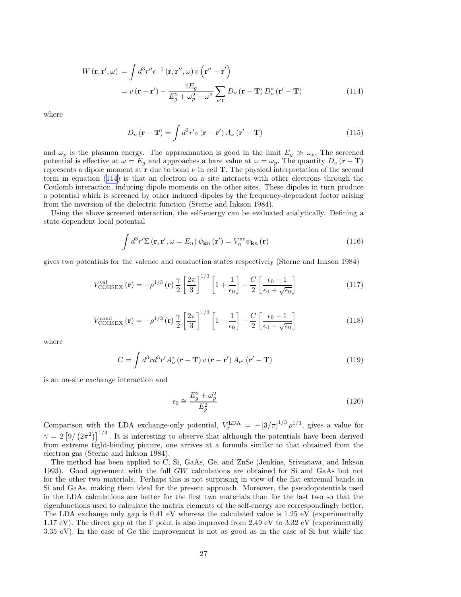$$
W(\mathbf{r}, \mathbf{r}', \omega) = \int d^3 r'' \epsilon^{-1} (\mathbf{r}, \mathbf{r}'', \omega) v (\mathbf{r}'' - \mathbf{r}')
$$
  
=  $v(\mathbf{r} - \mathbf{r}') - \frac{4E_g}{E_g^2 + \omega_p^2 - \omega^2} \sum_{\nu \mathbf{T}} D_{\nu} (\mathbf{r} - \mathbf{T}) D_{\nu}^* (\mathbf{r}' - \mathbf{T})$  (114)

where

$$
D_{\nu}(\mathbf{r} - \mathbf{T}) = \int d^3 r' v(\mathbf{r} - \mathbf{r}') A_{\nu}(\mathbf{r}' - \mathbf{T})
$$
\n(115)

and  $\omega_p$  is the plasmon energy. The approximation is good in the limit  $E_g \gg \omega_p$ . The screened potential is effective at  $\omega = E_g$  and approaches a bare value at  $\omega = \omega_p$ . The quantity  $D_\nu$  (**r** − **T**) represents a dipole moment at  $\bf{r}$  due to bond  $\nu$  in cell  $\bf{T}$ . The physical interpretation of the second term in equation (114) is that an electron on a site interacts with other electrons through the Coulomb interaction, inducing dipole moments on the other sites. These dipoles in turn produce a potential which is screened by other induced dipoles by the frequency-dependent factor arising from the inversion of the dielectric function (Sterne and Inkson 1984).

Using the above screened interaction, the self-energy can be evaluated analytically. Defining a state-dependent local potential

$$
\int d^3 r' \Sigma(\mathbf{r}, \mathbf{r}', \omega = E_n) \psi_{\mathbf{k}n}(\mathbf{r}') = V_n^{\text{xc}} \psi_{\mathbf{k}n}(\mathbf{r})
$$
\n(116)

gives two potentials for the valence and conduction states respectively (Sterne and Inkson 1984)

$$
V_{\text{COHSEX}}^{\text{val}}\left(\mathbf{r}\right) = -\rho^{1/3}\left(\mathbf{r}\right)\frac{\gamma}{2}\left[\frac{2\pi}{3}\right]^{1/3}\left[1 + \frac{1}{\epsilon_0}\right] - \frac{C}{2}\left[\frac{\epsilon_0 - 1}{\epsilon_0 + \sqrt{\epsilon_0}}\right]
$$
(117)

$$
V_{\text{COHSEX}}^{\text{cond}}\left(\mathbf{r}\right) = -\rho^{1/3}\left(\mathbf{r}\right)\frac{\gamma}{2}\left[\frac{2\pi}{3}\right]^{1/3}\left[1 - \frac{1}{\epsilon_0}\right] - \frac{C}{2}\left[\frac{\epsilon_0 - 1}{\epsilon_0 - \sqrt{\epsilon_0}}\right]
$$
(118)

where

$$
C = \int d^3r d^3r' A^*_{\nu} (\mathbf{r} - \mathbf{T}) v (\mathbf{r} - \mathbf{r}') A_{\nu'} (\mathbf{r}' - \mathbf{T})
$$
(119)

is an on-site exchange interaction and

$$
\epsilon_0 \cong \frac{E_g^2 + \omega_p^2}{E_g^2} \tag{120}
$$

Comparison with the LDA exchange-only potential,  $V_x^{\text{LDA}} = -[3/\pi]^{1/3} \rho^{1/3}$ , gives a value for  $\gamma = 2 \left[ 9 / (2 \pi^2) \right]^{1/3}$ . It is interesting to observe that although the potentials have been derived from extreme tight-binding picture, one arrives at a formula similar to that obtained from the electron gas (Sterne and Inkson 1984).

ǫ0

The method has been applied to C, Si, GaAs, Ge, and ZnSe (Jenkins, Srivastava, and Inkson 1993). Good agreement with the full GW calculations are obtained for Si and GaAs but not for the other two materials. Perhaps this is not surprising in view of the flat extremal bands in Si and GaAs, making them ideal for the present approach. Moreover, the pseudopotentials used in the LDA calculations are better for the first two materials than for the last two so that the eigenfunctions used to calculate the matrix elements of the self-energy are correspondingly better. The LDA exchange only gap is 0.41 eV whereas the calculated value is 1.25 eV (experimentally 1.17 eV). The direct gap at the Γ point is also improved from 2.49 eV to 3.32 eV (experimentally 3.35 eV). In the case of Ge the improvement is not as good as in the case of Si but while the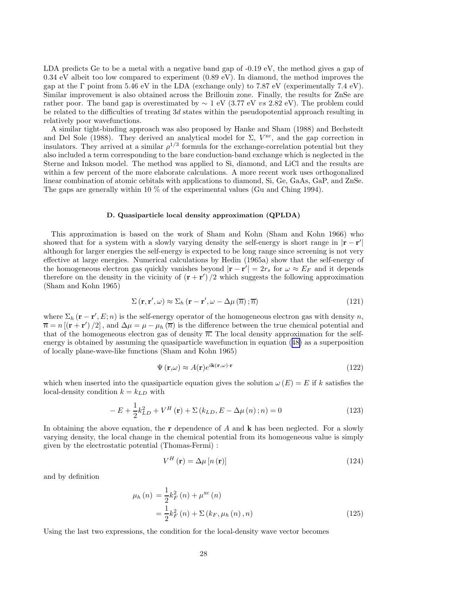<span id="page-27-0"></span>LDA predicts Ge to be a metal with a negative band gap of  $-0.19 \text{ eV}$ , the method gives a gap of 0.34 eV albeit too low compared to experiment  $(0.89 \text{ eV})$ . In diamond, the method improves the gap at the  $\Gamma$  point from 5.46 eV in the LDA (exchange only) to 7.87 eV (experimentally 7.4 eV). Similar improvement is also obtained across the Brillouin zone. Finally, the results for ZnSe are rather poor. The band gap is overestimated by  $\sim 1$  eV (3.77 eV vs 2.82 eV). The problem could be related to the difficulties of treating  $3d$  states within the pseudopotential approach resulting in relatively poor wavefunctions.

A similar tight-binding approach was also proposed by Hanke and Sham (1988) and Bechstedt and Del Sole (1988). They derived an analytical model for  $\Sigma$ ,  $V^{\text{xc}}$ , and the gap correction in insulators. They arrived at a similar  $\rho^{1/3}$  formula for the exchange-correlation potential but they also included a term corresponding to the bare conduction-band exchange which is neglected in the Sterne and Inkson model. The method was applied to Si, diamond, and LiCl and the results are within a few percent of the more elaborate calculations. A more recent work uses orthogonalized linear combination of atomic orbitals with applications to diamond, Si, Ge, GaAs, GaP, and ZnSe. The gaps are generally within 10 % of the experimental values (Gu and Ching 1994).

## D. Quasiparticle local density approximation (QPLDA)

This approximation is based on the work of Sham and Kohn (Sham and Kohn 1966) who showed that for a system with a slowly varying density the self-energy is short range in  $|\mathbf{r} - \mathbf{r}'|$ although for larger energies the self-energy is expected to be long range since screening is not very effective at large energies. Numerical calculations by Hedin (1965a) show that the self-energy of the homogeneous electron gas quickly vanishes beyond  $|\mathbf{r} - \mathbf{r}'| = 2r_s$  for  $\omega \approx E_F$  and it depends therefore on the density in the vicinity of  $(\mathbf{r} + \mathbf{r}')/2$  which suggests the following approximation (Sham and Kohn 1965)

$$
\Sigma(\mathbf{r}, \mathbf{r}', \omega) \approx \Sigma_h(\mathbf{r} - \mathbf{r}', \omega - \Delta \mu(\overline{n}); \overline{n})
$$
\n(121)

where  $\Sigma_h$  (**r** – **r**', *E*; *n*) is the self-energy operator of the homogeneous electron gas with density *n*,  $\overline{n} = n [(\mathbf{r} + \mathbf{r}')/2]$ , and  $\Delta \mu = \mu - \mu_h (\overline{n})$  is the difference between the true chemical potential and that of the homogeneous electron gas of density  $\overline{n}$ . The local density approximation for the selfenergy is obtained by assuming the quasiparticle wavefunction in equation([48\)](#page-11-0) as a superposition of locally plane-wave-like functions (Sham and Kohn 1965)

$$
\Psi(\mathbf{r},\omega) \approx A(\mathbf{r})e^{i\mathbf{k}(\mathbf{r},\omega)\cdot\mathbf{r}} \tag{122}
$$

which when inserted into the quasiparticle equation gives the solution  $\omega(E) = E$  if k satisfies the local-density condition  $k = k_{LD}$  with

$$
- E + \frac{1}{2} k_{LD}^{2} + V^{H}(\mathbf{r}) + \Sigma (k_{LD}, E - \Delta \mu (n); n) = 0
$$
\n(123)

In obtaining the above equation, the **r** dependence of A and **k** has been neglected. For a slowly varying density, the local change in the chemical potential from its homogeneous value is simply given by the electrostatic potential (Thomas-Fermi) :

$$
V^{H}(\mathbf{r}) = \Delta \mu \left[ n \left( \mathbf{r} \right) \right] \tag{124}
$$

and by definition

$$
\mu_h(n) = \frac{1}{2} k_F^2(n) + \mu^{xc}(n)
$$
  
= 
$$
\frac{1}{2} k_F^2(n) + \Sigma(k_F, \mu_h(n), n)
$$
 (125)

Using the last two expressions, the condition for the local-density wave vector becomes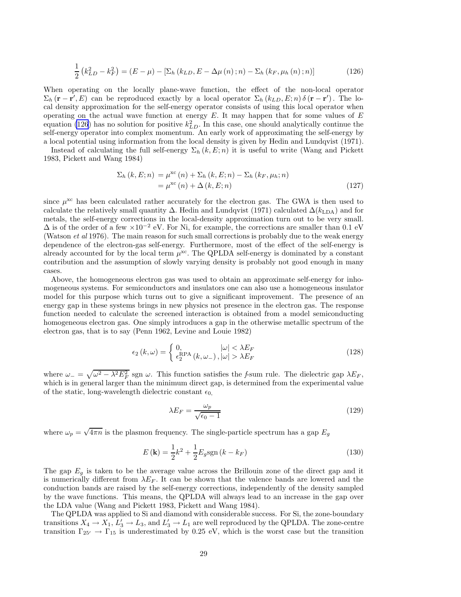$$
\frac{1}{2}\left(k_{LD}^{2}-k_{F}^{2}\right)=(E-\mu)-[\Sigma_{h}\left(k_{LD},E-\Delta\mu\left(n\right);n\right)-\Sigma_{h}\left(k_{F},\mu_{h}\left(n\right);n\right)]\tag{126}
$$

When operating on the locally plane-wave function, the effect of the non-local operator  $\Sigma_h(\mathbf{r}-\mathbf{r}',E)$  can be reproduced exactly by a local operator  $\Sigma_h(k_{LD},E;n)\delta(\mathbf{r}-\mathbf{r}')$ . The local density approximation for the self-energy operator consists of using this local operator when operating on the actual wave function at energy  $E$ . It may happen that for some values of  $E$ equation (126) has no solution for positive  $k_{LD}^2$ . In this case, one should analytically continue the self-energy operator into complex momentum. An early work of approximating the self-energy by a local potential using information from the local density is given by Hedin and Lundqvist (1971).

Instead of calculating the full self-energy  $\Sigma_h (k, E; n)$  it is useful to write (Wang and Pickett 1983, Pickett and Wang 1984)

$$
\Sigma_h(k, E; n) = \mu^{\text{xc}}(n) + \Sigma_h(k, E; n) - \Sigma_h(k, \mu_h; n)
$$
  
= 
$$
\mu^{\text{xc}}(n) + \Delta(k, E; n)
$$
 (127)

since  $\mu^{xc}$  has been calculated rather accurately for the electron gas. The GWA is then used to calculate the relatively small quantity  $\Delta$ . Hedin and Lundqvist (1971) calculated  $\Delta(k_{\text{LDA}})$  and for metals, the self-energy corrections in the local-density approximation turn out to be very small.  $\Delta$  is of the order of a few  $\times 10^{-2}$  eV. For Ni, for example, the corrections are smaller than 0.1 eV (Watson *et al* 1976). The main reason for such small corrections is probably due to the weak energy dependence of the electron-gas self-energy. Furthermore, most of the effect of the self-energy is already accounted for by the local term  $\mu^{xc}$ . The QPLDA self-energy is dominated by a constant contribution and the assumption of slowly varying density is probably not good enough in many cases.

Above, the homogeneous electron gas was used to obtain an approximate self-energy for inhomogeneous systems. For semiconductors and insulators one can also use a homogeneous insulator model for this purpose which turns out to give a significant improvement. The presence of an energy gap in these systems brings in new physics not presence in the electron gas. The response function needed to calculate the screened interaction is obtained from a model semiconducting homogeneous electron gas. One simply introduces a gap in the otherwise metallic spectrum of the electron gas, that is to say (Penn 1962, Levine and Louie 1982)

$$
\epsilon_{2}\left(k,\omega\right) = \begin{cases} 0, & |\omega| < \lambda E_{F} \\ \epsilon_{2}^{\text{RPA}}\left(k,\omega_{-}\right), |\omega| > \lambda E_{F} \end{cases}
$$
\n(128)

where  $\omega = \sqrt{\omega^2 - \lambda^2 E_F^2}$  sgn  $\omega$ . This function satisfies the *f*-sum rule. The dielectric gap  $\lambda E_F$ , which is in general larger than the minimum direct gap, is determined from the experimental value of the static, long-wavelength dielectric constant  $\epsilon_0$ ,

$$
\lambda E_F = \frac{\omega_p}{\sqrt{\epsilon_0 - 1}}\tag{129}
$$

where  $\omega_p = \sqrt{4\pi n}$  is the plasmon frequency. The single-particle spectrum has a gap  $E_g$ 

$$
E(\mathbf{k}) = \frac{1}{2}k^2 + \frac{1}{2}E_g \text{sgn}(k - k_F)
$$
\n(130)

The gap  $E<sub>g</sub>$  is taken to be the average value across the Brillouin zone of the direct gap and it is numerically different from  $\lambda E_F$ . It can be shown that the valence bands are lowered and the conduction bands are raised by the self-energy corrections, independently of the density sampled by the wave functions. This means, the QPLDA will always lead to an increase in the gap over the LDA value (Wang and Pickett 1983, Pickett and Wang 1984).

The QPLDA was applied to Si and diamond with considerable success. For Si, the zone-boundary transitions  $X_4 \to X_1, L'_3 \to L_3$ , and  $L'_3 \to L_1$  are well reproduced by the QPLDA. The zone-centre transition  $\Gamma_{25'} \to \Gamma_{15}$  is underestimated by 0.25 eV, which is the worst case but the transition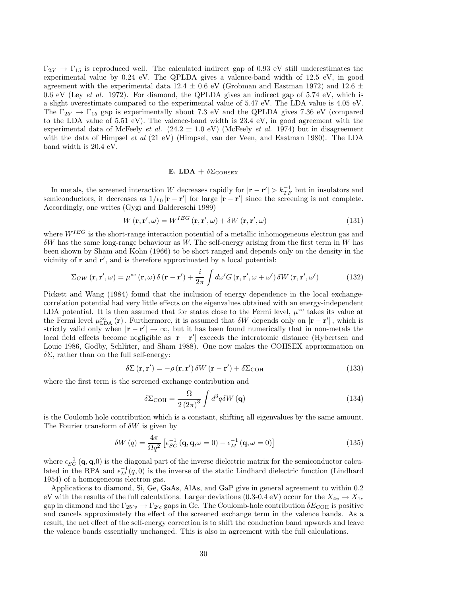<span id="page-29-0"></span> $\Gamma_{25'} \rightarrow \Gamma_{15}$  is reproduced well. The calculated indirect gap of 0.93 eV still underestimates the experimental value by 0.24 eV. The QPLDA gives a valence-band width of 12.5 eV, in good agreement with the experimental data 12.4  $\pm$  0.6 eV (Grobman and Eastman 1972) and 12.6  $\pm$ 0.6 eV (Ley *et al.* 1972). For diamond, the QPLDA gives an indirect gap of 5.74 eV, which is a slight overestimate compared to the experimental value of 5.47 eV. The LDA value is 4.05 eV. The  $\Gamma_{25'} \to \Gamma_{15}$  gap is experimentally about 7.3 eV and the QPLDA gives 7.36 eV (compared to the LDA value of 5.51 eV). The valence-band width is  $23.4 \text{ eV}$ , in good agreement with the experimental data of McFeely *et al.*  $(24.2 \pm 1.0 \text{ eV})$  (McFeely *et al.* 1974) but in disagreement with the data of Himpsel *et al* (21 eV) (Himpsel, van der Veen, and Eastman 1980). The LDA band width is 20.4 eV.

## E. LDA +  $\delta \Sigma$ COHSEX

In metals, the screened interaction W decreases rapidly for  $|\mathbf{r} - \mathbf{r}'| > k_{TF}^{-1}$  but in insulators and semiconductors, it decreases as  $1/\epsilon_0 |\mathbf{r} - \mathbf{r}'|$  for large  $|\mathbf{r} - \mathbf{r}'|$  since the screening is not complete. Accordingly, one writes (Gygi and Baldereschi 1989)

$$
W\left(\mathbf{r}, \mathbf{r}', \omega\right) = W^{IEG}\left(\mathbf{r}, \mathbf{r}', \omega\right) + \delta W\left(\mathbf{r}, \mathbf{r}', \omega\right) \tag{131}
$$

where  $W^{IEG}$  is the short-range interaction potential of a metallic inhomogeneous electron gas and  $\delta W$  has the same long-range behaviour as W. The self-energy arising from the first term in W has been shown by Sham and Kohn (1966) to be short ranged and depends only on the density in the vicinity of **r** and **r'**, and is therefore approximated by a local potential:

$$
\Sigma_{GW}(\mathbf{r}, \mathbf{r}', \omega) = \mu^{\text{xc}}(\mathbf{r}, \omega) \,\delta(\mathbf{r} - \mathbf{r}') + \frac{i}{2\pi} \int d\omega' G(\mathbf{r}, \mathbf{r}', \omega + \omega') \,\delta W(\mathbf{r}, \mathbf{r}', \omega') \tag{132}
$$

Pickett and Wang (1984) found that the inclusion of energy dependence in the local exchangecorrelation potential had very little effects on the eigenvalues obtained with an energy-independent LDA potential. It is then assumed that for states close to the Fermi level,  $\mu^{xc}$  takes its value at the Fermi level  $\mu_{\text{LDA}}^{xc}(\mathbf{r})$ . Furthermore, it is assumed that  $\delta W$  depends only on  $|\mathbf{r} - \mathbf{r}'|$ , which is strictly valid only when  $|\mathbf{r} - \mathbf{r}'| \to \infty$ , but it has been found numerically that in non-metals the local field effects become negligible as  $|\mathbf{r} - \mathbf{r}'|$  exceeds the interatomic distance (Hybertsen and Louie 1986, Godby, Schlüter, and Sham 1988). One now makes the COHSEX approximation on  $\delta\Sigma$ , rather than on the full self-energy:

$$
\delta \Sigma (\mathbf{r}, \mathbf{r}') = -\rho (\mathbf{r}, \mathbf{r}') \, \delta W (\mathbf{r} - \mathbf{r}') + \delta \Sigma_{\text{COH}} \tag{133}
$$

where the first term is the screened exchange contribution and

$$
\delta \Sigma_{\text{COH}} = \frac{\Omega}{2 \left(2\pi\right)^3} \int d^3 q \delta W \left(\mathbf{q}\right) \tag{134}
$$

is the Coulomb hole contribution which is a constant, shifting all eigenvalues by the same amount. The Fourier transform of  $\delta W$  is given by

$$
\delta W(q) = \frac{4\pi}{\Omega q^2} \left[ \epsilon_{SC}^{-1} \left( \mathbf{q}, \mathbf{q}, \omega = 0 \right) - \epsilon_M^{-1} \left( \mathbf{q}, \omega = 0 \right) \right]
$$
 (135)

where  $\epsilon_{SC}^{-1}(\mathbf{q}, \mathbf{q}, 0)$  is the diagonal part of the inverse dielectric matrix for the semiconductor calculated in the RPA and  $\epsilon_M^{-1}(q,0)$  is the inverse of the static Lindhard dielectric function (Lindhard 1954) of a homogeneous electron gas.

Applications to diamond, Si, Ge, GaAs, AlAs, and GaP give in general agreement to within 0.2 eV with the results of the full calculations. Larger deviations (0.3-0.4 eV) occur for the  $X_{4v} \to X_{1c}$ gap in diamond and the  $\Gamma_{25'v} \to \Gamma_{2'c}$  gaps in Ge. The Coulomb-hole contribution  $\delta E_{\text{COH}}$  is positive and cancels approximately the effect of the screened exchange term in the valence bands. As a result, the net effect of the self-energy correction is to shift the conduction band upwards and leave the valence bands essentially unchanged. This is also in agreement with the full calculations.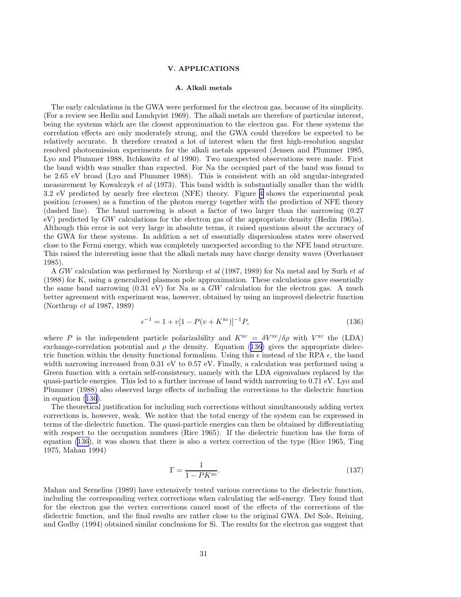#### V. APPLICATIONS

## A. Alkali metals

<span id="page-30-0"></span>The early calculations in the GWA were performed for the electron gas, because of its simplicity. (For a review see Hedin and Lundqvist 1969). The alkali metals are therefore of particular interest, being the systems which are the closest approximation to the electron gas. For these systems the correlation effects are only moderately strong, and the GWA could therefore be expected to be relatively accurate. It therefore created a lot of interest when the first high-resolution angular resolved photoemission experiments for the alkali metals appeared (Jensen and Plummer 1985, Lyo and Plummer 1988, Itchkawitz *et al* 1990). Two unexpected observations were made. First the band width was smaller than expected. For Na the occupied part of the band was found to be 2.65 eV broad (Lyo and Plummer 1988). This is consistent with an old angular-integrated measurement by Kowalczyk *et al* (1973). This band width is substantially smaller than the width 3.2 eV predicted by nearly free electron (NFE) theory. Figure [4](#page-31-0) shows the experimental peak position (crosses) as a function of the photon energy together with the prediction of NFE theory (dashed line). The band narrowing is about a factor of two larger than the narrowing (0.27 eV) predicted by GW calculations for the electron gas of the appropriate density (Hedin 1965a). Although this error is not very large in absolute terms, it raised questions about the accuracy of the GWA for these systems. In addition a set of essentially dispersionless states were observed close to the Fermi energy, which was completely unexpected according to the NFE band structure. This raised the interesting issue that the alkali metals may have charge density waves (Overhauser 1985).

A GW calculation was performed by Northrup *et al* (1987, 1989) for Na metal and by Surh *et al* (1988) for K, using a generalized plasmon pole approximation. These calculations gave essentially the same band narrowing  $(0.31 \text{ eV})$  for Na as a GW calculation for the electron gas. A much better agreement with experiment was, however, obtained by using an improved dielectric function (Northrup *et al* 1987, 1989)

$$
\epsilon^{-1} = 1 + v[1 - P(v + K^{xc})]^{-1}P,
$$
\n(136)

where P is the independent particle polarizability and  $K^{xc} = \delta V^{xc}/\delta \rho$  with  $V^{xc}$  the (LDA) exchange-correlation potential and  $\rho$  the density. Equation (136) gives the appropriate dielectric function within the density functional formalism. Using this  $\epsilon$  instead of the RPA  $\epsilon$ , the band width narrowing increased from 0.31 eV to 0.57 eV. Finally, a calculation was performed using a Green function with a certain self-consistency, namely with the LDA eigenvalues replaced by the quasi-particle energies. This led to a further increase of band width narrowing to 0.71 eV. Lyo and Plummer (1988) also observed large effects of including the corrections to the dielectric function in equation (136).

The theoretical justification for including such corrections without simultaneously adding vertex corrections is, however, weak. We notice that the total energy of the system can be expressed in terms of the dielectric function. The quasi-particle energies can then be obtained by differentiating with respect to the occupation numbers (Rice 1965). If the dielectric function has the form of equation (136), it was shown that there is also a vertex correction of the type (Rice 1965, Ting 1975, Mahan 1994)

$$
\Gamma = \frac{1}{1 - PK^{\text{xc}}}.\tag{137}
$$

Mahan and Sernelius (1989) have extensively tested various corrections to the dielectric function, including the corresponding vertex corrections when calculating the self-energy. They found that for the electron gas the vertex corrections cancel most of the effects of the corrections of the dielectric function, and the final results are rather close to the original GWA. Del Sole, Reining, and Godby (1994) obtained similar conclusions for Si. The results for the electron gas suggest that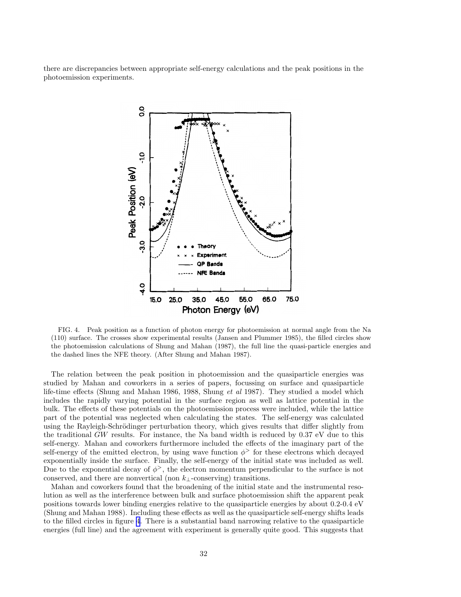<span id="page-31-0"></span>there are discrepancies between appropriate self-energy calculations and the peak positions in the photoemission experiments.



FIG. 4. Peak position as a function of photon energy for photoemission at normal angle from the Na (110) surface. The crosses show experimental results (Jansen and Plummer 1985), the filled circles show the photoemission calculations of Shung and Mahan (1987), the full line the quasi-particle energies and the dashed lines the NFE theory. (After Shung and Mahan 1987).

The relation between the peak position in photoemission and the quasiparticle energies was studied by Mahan and coworkers in a series of papers, focussing on surface and quasiparticle life-time effects (Shung and Mahan 1986, 1988, Shung *et al* 1987). They studied a model which includes the rapidly varying potential in the surface region as well as lattice potential in the bulk. The effects of these potentials on the photoemission process were included, while the lattice part of the potential was neglected when calculating the states. The self-energy was calculated using the Rayleigh-Schrödinger perturbation theory, which gives results that differ slightly from the traditional GW results. For instance, the Na band width is reduced by 0.37 eV due to this self-energy. Mahan and coworkers furthermore included the effects of the imaginary part of the self-energy of the emitted electron, by using wave function  $\phi$  for these electrons which decayed exponentially inside the surface. Finally, the self-energy of the initial state was included as well. Due to the exponential decay of  $\phi^>$ , the electron momentum perpendicular to the surface is not conserved, and there are nonvertical (non  $k_{\perp}$ -conserving) transitions.

Mahan and coworkers found that the broadening of the initial state and the instrumental resolution as well as the interference between bulk and surface photoemission shift the apparent peak positions towards lower binding energies relative to the quasiparticle energies by about 0.2-0.4 eV (Shung and Mahan 1988). Including these effects as well as the quasiparticle self-energy shifts leads to the filled circles in figure 4. There is a substantial band narrowing relative to the quasiparticle energies (full line) and the agreement with experiment is generally quite good. This suggests that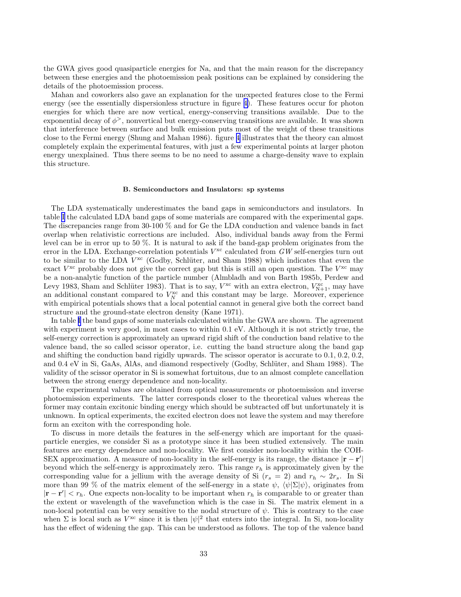<span id="page-32-0"></span>the GWA gives good quasiparticle energies for Na, and that the main reason for the discrepancy between these energies and the photoemission peak positions can be explained by considering the details of the photoemission process.

Mahan and coworkers also gave an explanation for the unexpected features close to the Fermi energy (see the essentially dispersionless structure in figure [4\)](#page-31-0). These features occur for photon energies for which there are now vertical, energy-conserving transitions available. Due to the exponential decay of  $\phi^>$ , nonvertical but energy-conserving transitions are available. It was shown that interference between surface and bulk emission puts most of the weight of these transitions close to the Fermi energy (Shung and Mahan 1986). figure [4](#page-31-0) illustrates that the theory can almost completely explain the experimental features, with just a few experimental points at larger photon energy unexplained. Thus there seems to be no need to assume a charge-density wave to explain this structure.

#### B. Semiconductors and Insulators: sp systems

The LDA systematically underestimates the band gaps in semiconductors and insulators. In table [I](#page-37-0) the calculated LDA band gaps of some materials are compared with the experimental gaps. The discrepancies range from 30-100 % and for Ge the LDA conduction and valence bands in fact overlap when relativistic corrections are included. Also, individual bands away from the Fermi level can be in error up to 50 %. It is natural to ask if the band-gap problem originates from the error in the LDA. Exchange-correlation potentials  $V^{xc}$  calculated from *GW* self-energies turn out to be similar to the LDA  $V^{\text{xc}}$  (Godby, Schlüter, and Sham 1988) which indicates that even the exact  $V^{\text{xc}}$  probably does not give the correct gap but this is still an open question. The  $V^{\text{xc}}$  may be a non-analytic function of the particle number (Almbladh and von Barth 1985b, Perdew and Levy 1983, Sham and Schlüter 1983). That is to say,  $V^{\text{xc}}$  with an extra electron,  $V_{N+1}^{\text{xc}}$ , may have an additional constant compared to  $V_N^{\text{xc}}$  and this constant may be large. Moreover, experience with empirical potentials shows that a local potential cannot in general give both the correct band structure and the ground-state electron density (Kane 1971).

In table [I](#page-37-0) the band gaps of some materials calculated within the GWA are shown. The agreement with experiment is very good, in most cases to within 0.1 eV. Although it is not strictly true, the self-energy correction is approximately an upward rigid shift of the conduction band relative to the valence band, the so called scissor operator, i.e. cutting the band structure along the band gap and shifting the conduction band rigidly upwards. The scissor operator is accurate to 0.1, 0.2, 0.2, and 0.4 eV in Si, GaAs, AlAs, and diamond respectively (Godby, Schlüter, and Sham 1988). The validity of the scissor operator in Si is somewhat fortuitous, due to an almost complete cancellation between the strong energy dependence and non-locality.

The experimental values are obtained from optical measurements or photoemission and inverse photoemission experiments. The latter corresponds closer to the theoretical values whereas the former may contain excitonic binding energy which should be subtracted off but unfortunately it is unknown. In optical experiments, the excited electron does not leave the system and may therefore form an exciton with the corresponding hole.

To discuss in more details the features in the self-energy which are important for the quasiparticle energies, we consider Si as a prototype since it has been studied extensively. The main features are energy dependence and non-locality. We first consider non-locality within the COH-SEX approximation. A measure of non-locality in the self-energy is its range, the distance  $|\mathbf{r} - \mathbf{r}'|$ beyond which the self-energy is approximately zero. This range  $r<sub>h</sub>$  is approximately given by the corresponding value for a jellium with the average density of Si  $(r_s = 2)$  and  $r_h \sim 2r_s$ . In Si more than 99 % of the matrix element of the self-energy in a state  $\psi$ ,  $\langle \psi | \Sigma | \psi \rangle$ , originates from  $|\mathbf{r} - \mathbf{r}'| < r_h$ . One expects non-locality to be important when  $r_h$  is comparable to or greater than the extent or wavelength of the wavefunction which is the case in Si. The matrix element in a non-local potential can be very sensitive to the nodal structure of  $\psi$ . This is contrary to the case when  $\Sigma$  is local such as  $V^{\text{xc}}$  since it is then  $|\psi|^2$  that enters into the integral. In Si, non-locality has the effect of widening the gap. This can be understood as follows. The top of the valence band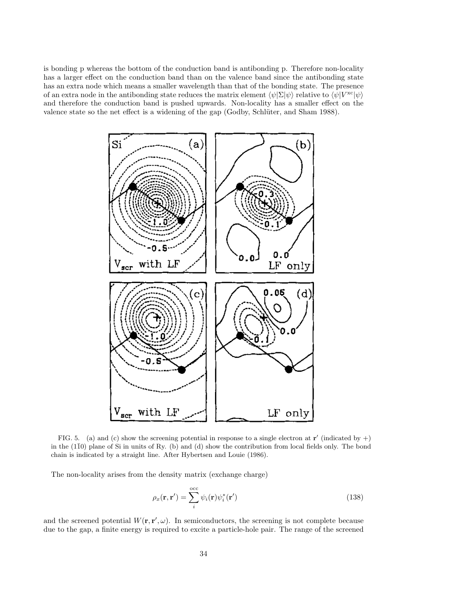<span id="page-33-0"></span>is bonding p whereas the bottom of the conduction band is antibonding p. Therefore non-locality has a larger effect on the conduction band than on the valence band since the antibonding state has an extra node which means a smaller wavelength than that of the bonding state. The presence of an extra node in the antibonding state reduces the matrix element  $\langle \psi | \Sigma | \psi \rangle$  relative to  $\langle \psi | V^{\text{xc}} | \psi \rangle$ and therefore the conduction band is pushed upwards. Non-locality has a smaller effect on the valence state so the net effect is a widening of the gap (Godby, Schlüter, and Sham 1988).



FIG. 5. (a) and (c) show the screening potential in response to a single electron at  $\mathbf{r}'$  (indicated by  $+)$ in the  $(1\bar{1}0)$  plane of Si in units of Ry. (b) and (d) show the contribution from local fields only. The bond chain is indicated by a straight line. After Hybertsen and Louie (1986).

The non-locality arises from the density matrix (exchange charge)

$$
\rho_x(\mathbf{r}, \mathbf{r}') = \sum_{i}^{\text{occ}} \psi_i(\mathbf{r}) \psi_i^*(\mathbf{r}')
$$
\n(138)

and the screened potential  $W(\mathbf{r}, \mathbf{r}', \omega)$ . In semiconductors, the screening is not complete because due to the gap, a finite energy is required to excite a particle-hole pair. The range of the screened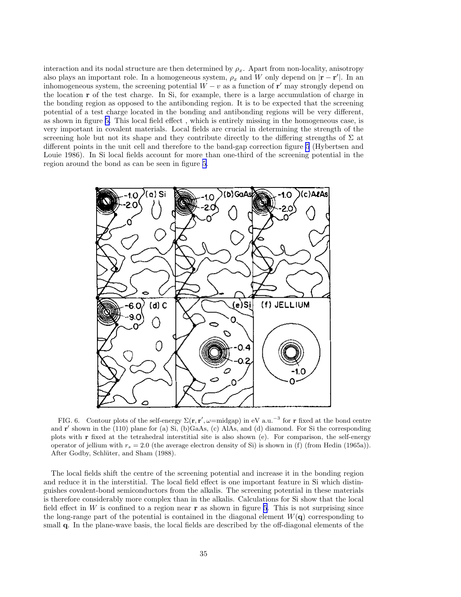<span id="page-34-0"></span>interaction and its nodal structure are then determined by  $\rho_x$ . Apart from non-locality, anisotropy also plays an important role. In a homogeneous system,  $\rho_x$  and W only depend on  $|\mathbf{r} - \mathbf{r}'|$ . In an inhomogeneous system, the screening potential  $W - v$  as a function of r' may strongly depend on the location r of the test charge. In Si, for example, there is a large accumulation of charge in the bonding region as opposed to the antibonding region. It is to be expected that the screening potential of a test charge located in the bonding and antibonding regions will be very different, as shown in figure [5.](#page-33-0) This local field effect , which is entirely missing in the homogeneous case, is very important in covalent materials. Local fields are crucial in determining the strength of the screening hole but not its shape and they contribute directly to the differing strengths of  $\Sigma$  at different points in the unit cell and therefore to the band-gap correction figure [5](#page-33-0) (Hybertsen and Louie 1986). In Si local fields account for more than one-third of the screening potential in the region around the bond as can be seen in figure [5.](#page-33-0)



FIG. 6. Contour plots of the self-energy  $\Sigma(\mathbf{r}, \mathbf{r}', \omega = \text{midgap})$  in eV a.u.<sup>-3</sup> for **r** fixed at the bond centre and  $\mathbf{r}'$  shown in the (110) plane for (a) Si, (b)GaAs, (c) AlAs, and (d) diamond. For Si the corresponding plots with r fixed at the tetrahedral interstitial site is also shown (e). For comparison, the self-energy operator of jellium with  $r_s = 2.0$  (the average electron density of Si) is shown in (f) (from Hedin (1965a)). After Godby, Schlüter, and Sham (1988).

The local fields shift the centre of the screening potential and increase it in the bonding region and reduce it in the interstitial. The local field effect is one important feature in Si which distinguishes covalent-bond semiconductors from the alkalis. The screening potential in these materials is therefore considerably more complex than in the alkalis. Calculations for Si show that the local field effect in W is confined to a region near  $\bf{r}$  as shown in figure [5](#page-33-0). This is not surprising since the long-range part of the potential is contained in the diagonal element  $W(q)$  corresponding to small q. In the plane-wave basis, the local fields are described by the off-diagonal elements of the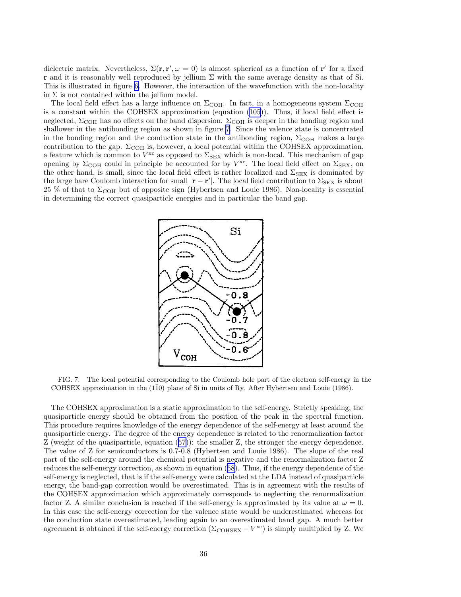dielectric matrix. Nevertheless,  $\Sigma(\mathbf{r}, \mathbf{r}', \omega = 0)$  is almost spherical as a function of  $\mathbf{r}'$  for a fixed r and it is reasonably well reproduced by jellium  $\Sigma$  with the same average density as that of Si. This is illustrated in figure [6.](#page-34-0) However, the interaction of the wavefunction with the non-locality in  $\Sigma$  is not contained within the jellium model.

The local field effect has a large influence on  $\Sigma_{\text{COH}}$ . In fact, in a homogeneous system  $\Sigma_{\text{COH}}$ is a constant within the COHSEX approximation (equation [\(105](#page-23-0))). Thus, if local field effect is neglected,  $\Sigma_{\text{COH}}$  has no effects on the band dispersion.  $\Sigma_{\text{COH}}$  is deeper in the bonding region and shallower in the antibonding region as shown in figure 7. Since the valence state is concentrated in the bonding region and the conduction state in the antibonding region,  $\Sigma_{\text{COH}}$  makes a large contribution to the gap.  $\Sigma_{\text{COH}}$  is, however, a local potential within the COHSEX approximation, a feature which is common to  $V^{xc}$  as opposed to  $\Sigma_{\text{SEX}}$  which is non-local. This mechanism of gap opening by  $\Sigma_{\text{COH}}$  could in principle be accounted for by  $V^{xc}$ . The local field effect on  $\Sigma_{\text{SEX}}$ , on the other hand, is small, since the local field effect is rather localized and  $\Sigma_{\rm SEX}$  is dominated by the large bare Coulomb interaction for small  $|\mathbf{r} - \mathbf{r}'|$ . The local field contribution to  $\Sigma_{\text{SEX}}$  is about 25 % of that to  $\Sigma_{\text{COH}}$  but of opposite sign (Hybertsen and Louie 1986). Non-locality is essential in determining the correct quasiparticle energies and in particular the band gap.



FIG. 7. The local potential corresponding to the Coulomb hole part of the electron self-energy in the COHSEX approximation in the  $(1\bar{1}0)$  plane of Si in units of Ry. After Hybertsen and Louie (1986).

The COHSEX approximation is a static approximation to the self-energy. Strictly speaking, the quasiparticle energy should be obtained from the position of the peak in the spectral function. This procedure requires knowledge of the energy dependence of the self-energy at least around the quasiparticle energy. The degree of the energy dependence is related to the renormalization factor Z (weight of the quasiparticle, equation([57\)](#page-13-0)): the smaller Z, the stronger the energy dependence. The value of Z for semiconductors is 0.7-0.8 (Hybertsen and Louie 1986). The slope of the real part of the self-energy around the chemical potential is negative and the renormalization factor Z reduces the self-energy correction, as shown in equation([58\)](#page-13-0). Thus, if the energy dependence of the self-energy is neglected, that is if the self-energy were calculated at the LDA instead of quasiparticle energy, the band-gap correction would be overestimated. This is in agreement with the results of the COHSEX approximation which approximately corresponds to neglecting the renormalization factor Z. A similar conclusion is reached if the self-energy is approximated by its value at  $\omega = 0$ . In this case the self-energy correction for the valence state would be underestimated whereas for the conduction state overestimated, leading again to an overestimated band gap. A much better agreement is obtained if the self-energy correction  $(\Sigma_{\text{COHSEX}} - V^{\text{xc}})$  is simply multiplied by Z. We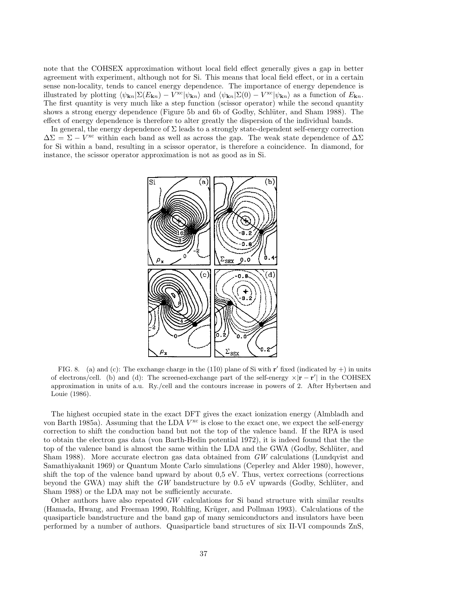note that the COHSEX approximation without local field effect generally gives a gap in better agreement with experiment, although not for Si. This means that local field effect, or in a certain sense non-locality, tends to cancel energy dependence. The importance of energy dependence is illustrated by plotting  $\langle \psi_{\mathbf{k}n} | \Sigma(E_{\mathbf{k}n}) - V^{\text{xc}} | \psi_{\mathbf{k}n} \rangle$  and  $\langle \psi_{\mathbf{k}n} | \Sigma(0) - V^{\text{xc}} | \psi_{\mathbf{k}n} \rangle$  as a function of  $E_{\mathbf{k}n}$ . The first quantity is very much like a step function (scissor operator) while the second quantity shows a strong energy dependence (Figure 5b and 6b of Godby, Schlüter, and Sham 1988). The effect of energy dependence is therefore to alter greatly the dispersion of the individual bands.

In general, the energy dependence of  $\Sigma$  leads to a strongly state-dependent self-energy correction  $\Delta\Sigma = \Sigma - V^{\text{xc}}$  within each band as well as across the gap. The weak state dependence of  $\Delta\Sigma$ for Si within a band, resulting in a scissor operator, is therefore a coincidence. In diamond, for instance, the scissor operator approximation is not as good as in Si.



FIG. 8. (a) and (c): The exchange charge in the  $(1\bar{1}0)$  plane of Si with r' fixed (indicated by +) in units of electrons/cell. (b) and (d): The screened-exchange part of the self-energy  $\times |\mathbf{r} - \mathbf{r}'|$  in the COHSEX approximation in units of a.u. Ry./cell and the contours increase in powers of 2. After Hybertsen and Louie (1986).

The highest occupied state in the exact DFT gives the exact ionization energy (Almbladh and von Barth 1985a). Assuming that the LDA  $V^{xc}$  is close to the exact one, we expect the self-energy correction to shift the conduction band but not the top of the valence band. If the RPA is used to obtain the electron gas data (von Barth-Hedin potential 1972), it is indeed found that the the top of the valence band is almost the same within the LDA and the GWA (Godby, Schlüter, and Sham 1988). More accurate electron gas data obtained from *GW* calculations (Lundqvist and Samathiyakanit 1969) or Quantum Monte Carlo simulations (Ceperley and Alder 1980), however, shift the top of the valence band upward by about 0,5 eV. Thus, vertex corrections (corrections beyond the GWA) may shift the *GW* bandstructure by 0.5 eV upwards (Godby, Schlüter, and Sham 1988) or the LDA may not be sufficiently accurate.

Other authors have also repeated GW calculations for Si band structure with similar results (Hamada, Hwang, and Freeman 1990, Rohlfing, Krüger, and Pollman 1993). Calculations of the quasiparticle bandstructure and the band gap of many semiconductors and insulators have been performed by a number of authors. Quasiparticle band structures of six II-VI compounds ZnS,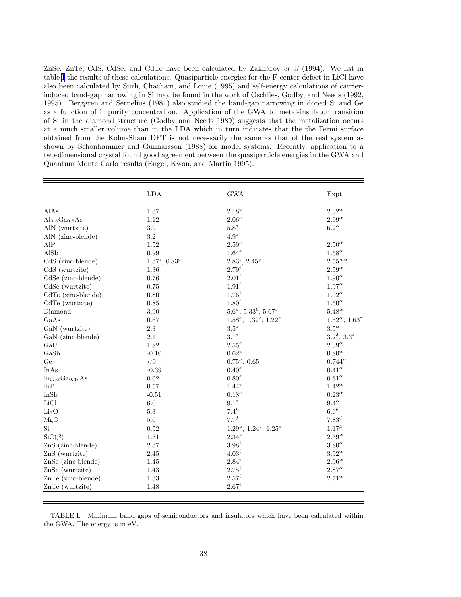ZnSe, ZnTe, CdS, CdSe, and CdTe have been calculated by Zakharov *et al* (1994). We list in table I the results of these calculations. Quasiparticle energies for the F-center defect in LiCl have also been calculated by Surh, Chacham, and Louie (1995) and self-energy calculations of carrierinduced band-gap narrowing in Si may be found in the work of Oschlies, Godby, and Needs (1992, 1995). Berggren and Sernelius (1981) also studied the band-gap narrowing in doped Si and Ge as a function of impurity concentration. Application of the GWA to metal-insulator transition of Si in the diamond structure (Godby and Needs 1989) suggests that the metalization occurs at a much smaller volume than in the LDA which in turn indicates that the the Fermi surface obtained from the Kohn-Sham DFT is not necessarily the same as that of the real system as shown by Schönhammer and Gunnarsson (1988) for model systems. Recently, application to a two-dimensional crystal found good agreement between the quasiparticle energies in the GWA and Quantum Monte Carlo results (Engel, Kwon, and Martin 1995).

|                                                 | <b>LDA</b>          | <b>GWA</b>                     | Expt.                          |
|-------------------------------------------------|---------------------|--------------------------------|--------------------------------|
|                                                 |                     |                                |                                |
| AlAs                                            | 1.37                | $2.18^{b}$                     | $2.32^\alpha$                  |
| $\mathrm{Al}_{0.5}\mathrm{Ga}_{0.5}\mathrm{As}$ | 1.12                | $2.06^e$                       | $2.09^{\alpha}$                |
| AlN (wurtzite)                                  | $3.9\,$             | $5.8^d$                        | $6.2^\alpha$                   |
| AlN (zinc-blende)                               | $3.2\,$             | 4.9 <sup>d</sup>               |                                |
| AlP                                             | 1.52                | $2.59^e$                       | $2.50^{\alpha}$                |
| AlSb                                            | 0.99                | $1.64^e$                       | $1.68^{\alpha}$                |
| CdS (zinc-blende)                               | $1.37^i$ , $0.83^g$ | $2.83^i$ , $2.45^g$            | $2.55^{\eta,\alpha}$           |
| CdS (wurtzite)                                  | $1.36\,$            | $2.79^{i}$                     | $2.59^{\alpha}$                |
| CdSe (zinc-blende)                              | 0.76                | $2.01^i$                       | $1.90^\alpha$                  |
| CdSe (wurtzite)                                 | 0.75                | 1.91 <sup>i</sup>              | $1.97^\alpha$                  |
| CdTe (zinc-blende)                              | $0.80\,$            | $1.76^{i}$                     | $1.92^{\alpha}$                |
| CdTe (wurtzite)                                 | 0.85                | $1.80^{i}$                     | $1.60^{\alpha}$                |
| Diamond                                         | 3.90                | $5.6^a$ , $5.33^b$ , $5.67^c$  | $5.48^{\alpha}$                |
| GaAs                                            | $0.67\,$            | $1.58^b$ , $1.32^c$ , $1.22^e$ | $1.52^{\alpha}, 1.63^{\gamma}$ |
| GaN (wurtzite)                                  | $2.3\,$             | $3.5^d$                        | $3.5^{\alpha}$                 |
| GaN (zinc-blende)                               | 2.1                 | 3.1 <sup>d</sup>               | $3.2^{\delta}, 3.3^{\epsilon}$ |
| GaP                                             | 1.82                | $2.55^e$                       | $2.39^{\alpha}$                |
| GaSb                                            | $-0.10$             | $0.62^e$                       | $0.80^\alpha$                  |
| Ge                                              | < 0                 | $0.75^a, 0.65^c$               | $0.744^{\alpha}$               |
| InAs                                            | $-0.39$             | $0.40^{e}$                     | $0.41^{\alpha}$                |
| $In_{0.53}Ga_{0.47}As$                          | $\rm 0.02$          | $0.80^e$                       | $0.81^{\alpha}$                |
| InP                                             | $0.57\,$            | $1.44^e$                       | $1.42^{\alpha}$                |
| InSb                                            | $-0.51$             | $0.18^e$                       | $0.23^\alpha$                  |
| LiCl                                            | 6.0                 | 9.1 <sup>a</sup>               | $9.4^{\alpha}$                 |
| Li <sub>2</sub> O                               | $5.3\,$             | $7.4^h$                        | $6.6^{\theta}$                 |
| MgO                                             | $5.0\,$             | $7.7^{f}$                      | 7.83 <sup>6</sup>              |
| Si                                              | $0.52\,$            | $1.29^a$ , $1.24^b$ , $1.25^c$ | $1.17^{\beta}$                 |
| $\operatorname{SiC}(\beta)$                     | $1.31\,$            | 2.34 <sup>c</sup>              | $2.39^{\alpha}$                |
| ZnS (zinc-blende)                               | $2.37\,$            | $3.98^i$                       | $3.80^\alpha$                  |
| ZnS (wurtzite)                                  | 2.45                | $4.03^{i}$                     | $3.92^{\alpha}$                |
| ZnSe (zinc-blende)                              | 1.45                | $2.84^{i}$                     | $2.96^{\alpha}$                |
| ZnSe (wurtzite)                                 | $1.43\,$            | $2.75^{i}$                     | $2.87^\alpha$                  |
| ZnTe (zinc-blende)                              | $1.33\,$            | $2.57^{i}$                     | $2.71^{\alpha}$                |
| ZnTe (wurtzite)                                 | 1.48                | $2.67^{i}$                     |                                |

TABLE I. Minimum band gaps of semiconductors and insulators which have been calculated within the GWA. The energy is in eV.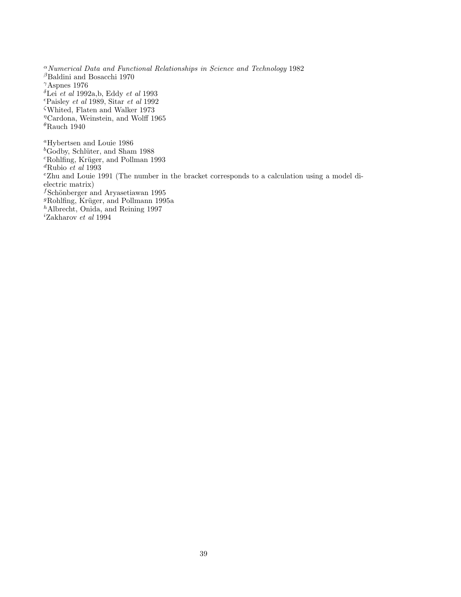<sup>α</sup>*Numerical Data and Functional Relationships in Science and Technology* 1982  $^\beta$ Baldini and Bosacchi 1970  $^{\gamma}$ Aspnes 1976 <sup>δ</sup>Lei *et al* 1992a,b, Eddy *et al* 1993 <sup>ǫ</sup>Paisley *et al* 1989, Sitar *et al* 1992 <sup>ζ</sup>Whited, Flaten and Walker 1973  $<sup>η</sup>Cardona$ , Weinstein, and Wolff 1965</sup>  $\theta$ Rauch 1940  $^a$ Hybertsen and Louie 1986  $b_{\text{Godby, Schlüter, and Sham 1988}}$ <sup>c</sup>Rohlfing, Krüger, and Pollman 1993 <sup>d</sup>Rubio *et al* 1993 <sup>e</sup>Zhu and Louie 1991 (The number in the bracket corresponds to a calculation using a model dielectric matrix)  $f$ Schönberger and Aryasetiawan 1995  ${}^{g}$ Rohlfing, Krüger, and Pollmann 1995a  $<sup>h</sup>$ Albrecht, Onida, and Reining 1997</sup> <sup>i</sup>Zakharov *et al* 1994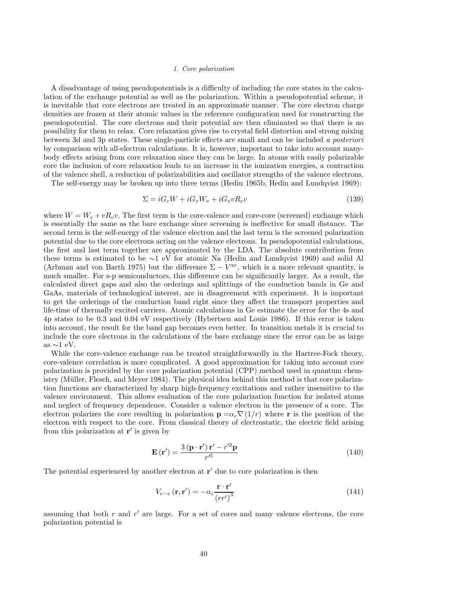## 1. Core polarization

A disadvantage of using pseudopotentials is a difficulty of including the core states in the calculation of the exchange potential as well as the polarization. Within a pseudopotential scheme, it is inevitable that core electrons are treated in an approximate manner. The core electron charge densities are frozen at their atomic values in the reference configuration used for constructing the pseudopotential. The core electrons and their potential are then eliminated so that there is no possibility for them to relax. Core relaxation gives rise to crystal field distortion and strong mixing between 3d and 3p states. These single-particle effects are small and can be included *a posteriori* by comparison with all-electron calculations. It is, however, important to take into account manybody effects arising from core relaxation since they can be large. In atoms with easily polarizable core the inclusion of core relaxation leads to an increase in the ionization energies, a contraction of the valence shell, a reduction of polarizabilities and oscillator strengths of the valence electrons.

The self-energy may be broken up into three terms (Hedin 1965b, Hedin and Lundqvist 1969):

$$
\Sigma = iG_c W + iG_v W_v + iG_v v R_c v \tag{139}
$$

where  $W = W_v + vR_c v$ . The first term is the core-valence and core-core (screened) exchange which is essentially the same as the bare exchange since screening is ineffective for small distance. The second term is the self-energy of the valence electron and the last term is the screened polarization potential due to the core electrons acting on the valence electrons. In pseudopotential calculations, the first and last term together are approximated by the LDA. The absolute contribution from these terms is estimated to be ∼1 eV for atomic Na (Hedin and Lundqvist 1969) and solid Al (Arbman and von Barth 1975) but the difference  $\Sigma - V^{\text{xc}}$ , which is a more relevant quantity, is much smaller. For s-p semiconductors, this difference can be significantly larger. As a result, the calculated direct gaps and also the orderings and splittings of the conduction bands in Ge and GaAs, materials of technological interest, are in disagreement with experiment. It is important to get the orderings of the conduction band right since they affect the transport properties and life-time of thermally excited carriers. Atomic calculations in Ge estimate the error for the 4s and 4p states to be 0.3 and 0.04 eV respectively (Hybertsen and Louie 1986). If this error is taken into account, the result for the band gap becomes even better. In transition metals it is crucial to include the core electrons in the calculations of the bare exchange since the error can be as large as  $\sim$ 1 eV.

While the core-valence exchange can be treated straightforwardly in the Hartree-Fock theory, core-valence correlation is more complicated. A good approximation for taking into account core polarization is provided by the core polarization potential (CPP) method used in quantum chemistry (Müller, Flesch, and Meyer 1984). The physical idea behind this method is that core polarization functions are characterized by sharp high-frequency excitations and rather insensitive to the valence environment. This allows evaluation of the core polarization function for isolated atoms and neglect of frequency dependence. Consider a valence electron in the presence of a core. The electron polarizes the core resulting in polarization  $\mathbf{p} = \alpha_c \nabla (1/r)$  where r is the position of the electron with respect to the core. From classical theory of electrostatic, the electric field arising from this polarization at **r'** is given by

$$
\mathbf{E}\left(\mathbf{r}'\right) = \frac{3\left(\mathbf{p}\cdot\mathbf{r}'\right)\mathbf{r}' - r'^2\mathbf{p}}{r'^5}
$$
\n(140)

The potential experienced by another electron at  $r'$  due to core polarization is then

$$
V_{e-e}(\mathbf{r}, \mathbf{r}') = -\alpha_c \frac{\mathbf{r} \cdot \mathbf{r}'}{\left(r r'\right)^3} \tag{141}
$$

assuming that both  $r$  and  $r'$  are large. For a set of cores and many valence electrons, the core polarization potential is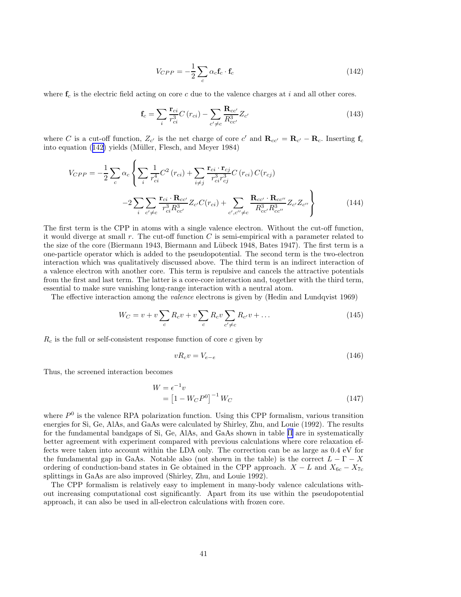$$
V_{CPP} = -\frac{1}{2} \sum_{c} \alpha_c \mathbf{f}_c \cdot \mathbf{f}_c \tag{142}
$$

where  $f_c$  is the electric field acting on core c due to the valence charges at i and all other cores.

$$
\mathbf{f}_c = \sum_i \frac{\mathbf{r}_{ci}}{r_{ci}^3} C(r_{ci}) - \sum_{c' \neq c} \frac{\mathbf{R}_{cc'}}{R_{cc'}^3} Z_{c'}
$$
(143)

where C is a cut-off function,  $Z_{c'}$  is the net charge of core  $c'$  and  $\mathbf{R}_{cc'} = \mathbf{R}_{c'} - \mathbf{R}_{c}$ . Inserting  $\mathbf{f}_c$ into equation (142) yields (Müller, Flesch, and Meyer 1984)

$$
V_{CPP} = -\frac{1}{2} \sum_{c} \alpha_{c} \left\{ \sum_{i} \frac{1}{r_{ci}^{4}} C^{2} (r_{ci}) + \sum_{i \neq j} \frac{\mathbf{r}_{ci} \cdot \mathbf{r}_{cj}}{r_{ci}^{3} r_{cj}^{3}} C (r_{ci}) C (r_{cj}) - 2 \sum_{i} \sum_{c' \neq c} \frac{\mathbf{r}_{ci} \cdot \mathbf{R}_{cc'}}{r_{ci}^{3} R_{cc'}^{3}} Z_{c'} C (r_{ci}) + \sum_{c', c'' \neq c} \frac{\mathbf{R}_{cc'} \cdot \mathbf{R}_{cc''}}{R_{cc'}^{3} R_{cc''}^{3}} Z_{c'} Z_{c''} \right\}
$$
(144)

The first term is the CPP in atoms with a single valence electron. Without the cut-off function, it would diverge at small  $r$ . The cut-off function  $C$  is semi-empirical with a parameter related to the size of the core (Biermann 1943, Biermann and Lübeck 1948, Bates 1947). The first term is a one-particle operator which is added to the pseudopotential. The second term is the two-electron interaction which was qualitatively discussed above. The third term is an indirect interaction of a valence electron with another core. This term is repulsive and cancels the attractive potentials from the first and last term. The latter is a core-core interaction and, together with the third term, essential to make sure vanishing long-range interaction with a neutral atom.

The effective interaction among the *valence* electrons is given by (Hedin and Lundqvist 1969)

$$
W_C = v + v \sum_{c} R_c v + v \sum_{c} R_c v \sum_{c' \neq c} R_{c'} v + \dots
$$
\n(145)

 $R_c$  is the full or self-consistent response function of core c given by

$$
vR_c v = V_{e-e} \tag{146}
$$

Thus, the screened interaction becomes

$$
W = \epsilon^{-1} v
$$
  
=  $\left[1 - W_C P^0\right]^{-1} W_C$  (147)

where  $P<sup>0</sup>$  is the valence RPA polarization function. Using this CPP formalism, various transition energies for Si, Ge, AlAs, and GaAs were calculated by Shirley, Zhu, and Louie (1992). The results for the fundamental bandgaps of Si, Ge, AlAs, and GaAs shown in table [II](#page-41-0) are in systematically better agreement with experiment compared with previous calculations where core relaxation effects were taken into account within the LDA only. The correction can be as large as 0.4 eV for the fundamental gap in GaAs. Notable also (not shown in the table) is the correct  $L - \Gamma - X$ ordering of conduction-band states in Ge obtained in the CPP approach.  $X - L$  and  $X_{6c} - X_{7c}$ splittings in GaAs are also improved (Shirley, Zhu, and Louie 1992).

The CPP formalism is relatively easy to implement in many-body valence calculations without increasing computational cost significantly. Apart from its use within the pseudopotential approach, it can also be used in all-electron calculations with frozen core.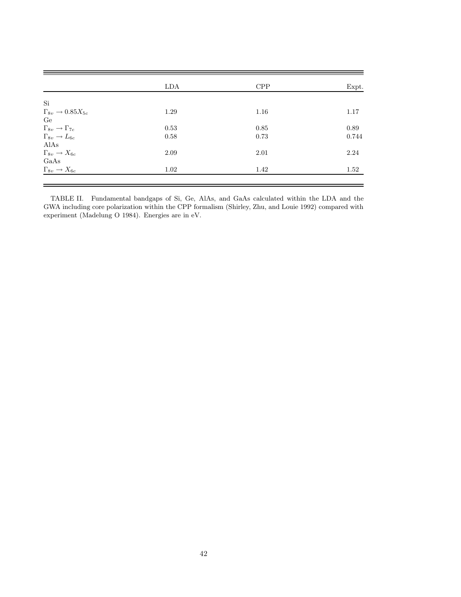<span id="page-41-0"></span>

|                                       | <b>LDA</b> | <b>CPP</b> | Expt. |
|---------------------------------------|------------|------------|-------|
| Si                                    |            |            |       |
| $\Gamma_{8v} \rightarrow 0.85 X_{5c}$ | 1.29       | 1.16       | 1.17  |
| Ge                                    |            |            |       |
| $\Gamma_{8v}\rightarrow \Gamma_{7c}$  | 0.53       | 0.85       | 0.89  |
| $\Gamma_{8v} \rightarrow L_{6c}$      | 0.58       | 0.73       | 0.744 |
| AlAs                                  |            |            |       |
| $\Gamma_{8v} \rightarrow X_{6c}$      | 2.09       | 2.01       | 2.24  |
| GaAs                                  |            |            |       |
| $\Gamma_{8v} \rightarrow X_{6c}$      | 1.02       | 1.42       | 1.52  |

TABLE II. Fundamental bandgaps of Si, Ge, AlAs, and GaAs calculated within the LDA and the GWA including core polarization within the CPP formalism (Shirley, Zhu, and Louie 1992) compared with experiment (Madelung O 1984). Energies are in eV.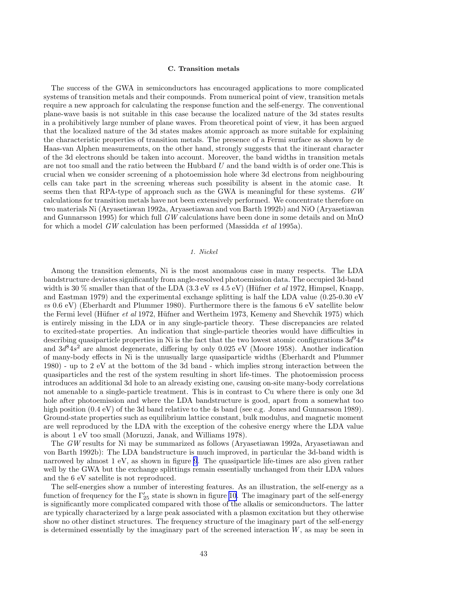## C. Transition metals

The success of the GWA in semiconductors has encouraged applications to more complicated systems of transition metals and their compounds. From numerical point of view, transition metals require a new approach for calculating the response function and the self-energy. The conventional plane-wave basis is not suitable in this case because the localized nature of the 3d states results in a prohibitively large number of plane waves. From theoretical point of view, it has been argued that the localized nature of the 3d states makes atomic approach as more suitable for explaining the characteristic properties of transition metals. The presence of a Fermi surface as shown by de Haas-van Alphen measurements, on the other hand, strongly suggests that the itinerant character of the 3d electrons should be taken into account. Moreover, the band widths in transition metals are not too small and the ratio between the Hubbard  $U$  and the band width is of order one. This is crucial when we consider screening of a photoemission hole where 3d electrons from neighbouring cells can take part in the screening whereas such possibility is absent in the atomic case. It seems then that RPA-type of approach such as the GWA is meaningful for these systems. *GW* calculations for transition metals have not been extensively performed. We concentrate therefore on two materials Ni (Aryasetiawan 1992a, Aryasetiawan and von Barth 1992b) and NiO (Aryasetiawan and Gunnarsson 1995) for which full *GW* calculations have been done in some details and on MnO for which a model *GW* calculation has been performed (Massidda *et al* 1995a).

## 1. Nickel

Among the transition elements, Ni is the most anomalous case in many respects. The LDA bandstructure deviates significantly from angle-resolved photoemission data. The occupied 3d-band width is 30 % smaller than that of the LDA (3.3 eV *vs* 4.5 eV) (Hüfner *et al* 1972, Himpsel, Knapp, and Eastman 1979) and the experimental exchange splitting is half the LDA value (0.25-0.30 eV *vs* 0.6 eV) (Eberhardt and Plummer 1980). Furthermore there is the famous 6 eV satellite below the Fermi level (Hüfner *et al* 1972, Hüfner and Wertheim 1973, Kemeny and Shevchik 1975) which is entirely missing in the LDA or in any single-particle theory. These discrepancies are related to excited-state properties. An indication that single-particle theories would have difficulties in describing quasiparticle properties in Ni is the fact that the two lowest atomic configurations  $3d^94s$ and  $3d^84s^2$  are almost degenerate, differing by only 0.025 eV (Moore 1958). Another indication of many-body effects in Ni is the unusually large quasiparticle widths (Eberhardt and Plummer 1980) - up to 2 eV at the bottom of the 3d band - which implies strong interaction between the quasiparticles and the rest of the system resulting in short life-times. The photoemission process introduces an additional 3d hole to an already existing one, causing on-site many-body correlations not amenable to a single-particle treatment. This is in contrast to Cu where there is only one 3d hole after photoemission and where the LDA bandstructure is good, apart from a somewhat too high position  $(0.4 \text{ eV})$  of the 3d band relative to the 4s band (see e.g. Jones and Gunnarsson 1989). Ground-state properties such as equilibrium lattice constant, bulk modulus, and magnetic moment are well reproduced by the LDA with the exception of the cohesive energy where the LDA value is about 1 eV too small (Moruzzi, Janak, and Williams 1978).

The *GW* results for Ni may be summarized as follows (Aryasetiawan 1992a, Aryasetiawan and von Barth 1992b): The LDA bandstructure is much improved, in particular the 3d-band width is narrowed by almost 1 eV, as shown in figure [9](#page-44-0). The quasiparticle life-times are also given rather well by the GWA but the exchange splittings remain essentially unchanged from their LDA values and the 6 eV satellite is not reproduced.

The self-energies show a number of interesting features. As an illustration, the self-energy as a function of frequency for the  $\Gamma'_{25}$  state is shown in figure [10](#page-45-0). The imaginary part of the self-energy is significantly more complicated compared with those of the alkalis or semiconductors. The latter are typically characterized by a large peak associated with a plasmon excitation but they otherwise show no other distinct structures. The frequency structure of the imaginary part of the self-energy is determined essentially by the imaginary part of the screened interaction  $W$ , as may be seen in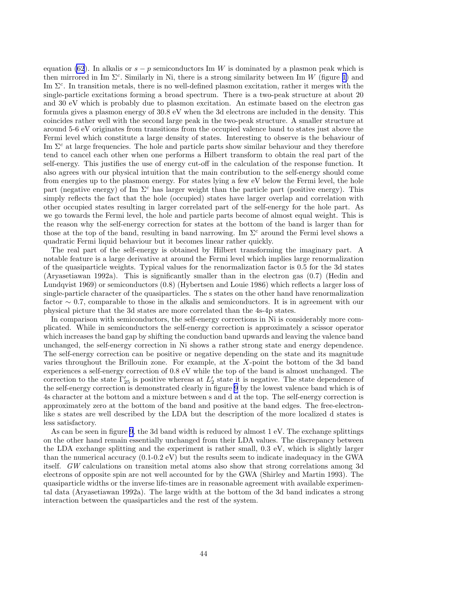equation [\(62](#page-13-0)). In alkalis or  $s - p$  semiconductors Im W is dominated by a plasmon peak which is then mirrored in Im  $\Sigma^c$ . Similarly in Ni, there is a strong similarity between Im W (figure [1\)](#page-17-0) and Im  $\Sigma^c$ . In transition metals, there is no well-defined plasmon excitation, rather it merges with the single-particle excitations forming a broad spectrum. There is a two-peak structure at about 20 and 30 eV which is probably due to plasmon excitation. An estimate based on the electron gas formula gives a plasmon energy of 30.8 eV when the 3d electrons are included in the density. This coincides rather well with the second large peak in the two-peak structure. A smaller structure at around 5-6 eV originates from transitions from the occupied valence band to states just above the Fermi level which constitute a large density of states. Interesting to observe is the behaviour of Im  $\Sigma^c$  at large frequencies. The hole and particle parts show similar behaviour and they therefore tend to cancel each other when one performs a Hilbert transform to obtain the real part of the self-energy. This justifies the use of energy cut-off in the calculation of the response function. It also agrees with our physical intuition that the main contribution to the self-energy should come from energies up to the plasmon energy. For states lying a few eV below the Fermi level, the hole part (negative energy) of Im  $\Sigma^c$  has larger weight than the particle part (positive energy). This simply reflects the fact that the hole (occupied) states have larger overlap and correlation with other occupied states resulting in larger correlated part of the self-energy for the hole part. As we go towards the Fermi level, the hole and particle parts become of almost equal weight. This is the reason why the self-energy correction for states at the bottom of the band is larger than for those at the top of the band, resulting in band narrowing. Im  $\Sigma^c$  around the Fermi level shows a quadratic Fermi liquid behaviour but it becomes linear rather quickly.

The real part of the self-energy is obtained by Hilbert transforming the imaginary part. A notable feature is a large derivative at around the Fermi level which implies large renormalization of the quasiparticle weights. Typical values for the renormalization factor is 0.5 for the 3d states (Aryasetiawan 1992a). This is significantly smaller than in the electron gas (0.7) (Hedin and Lundqvist 1969) or semiconductors (0.8) (Hybertsen and Louie 1986) which reflects a larger loss of single-particle character of the quasiparticles. The s states on the other hand have renormalization factor ∼ 0.7, comparable to those in the alkalis and semiconductors. It is in agreement with our physical picture that the 3d states are more correlated than the 4s-4p states.

In comparison with semiconductors, the self-energy corrections in Ni is considerably more complicated. While in semiconductors the self-energy correction is approximately a scissor operator which increases the band gap by shifting the conduction band upwards and leaving the valence band unchanged, the self-energy correction in Ni shows a rather strong state and energy dependence. The self-energy correction can be positive or negative depending on the state and its magnitude varies throughout the Brillouin zone. For example, at the X-point the bottom of the 3d band experiences a self-energy correction of 0.8 eV while the top of the band is almost unchanged. The correction to the state  $\Gamma'_{25}$  is positive whereas at  $L'_{2}$  state it is negative. The state dependence of the self-energy correction is demonstrated clearly in figure [9](#page-44-0) by the lowest valence band which is of 4s character at the bottom and a mixture between s and d at the top. The self-energy correction is approximately zero at the bottom of the band and positive at the band edges. The free-electronlike s states are well described by the LDA but the description of the more localized d states is less satisfactory.

As can be seen in figure [9](#page-44-0), the 3d band width is reduced by almost 1 eV. The exchange splittings on the other hand remain essentially unchanged from their LDA values. The discrepancy between the LDA exchange splitting and the experiment is rather small, 0.3 eV, which is slightly larger than the numerical accuracy (0.1-0.2 eV) but the results seem to indicate inadequacy in the GWA itself. *GW* calculations on transition metal atoms also show that strong correlations among 3d electrons of opposite spin are not well accounted for by the GWA (Shirley and Martin 1993). The quasiparticle widths or the inverse life-times are in reasonable agreement with available experimental data (Aryasetiawan 1992a). The large width at the bottom of the 3d band indicates a strong interaction between the quasiparticles and the rest of the system.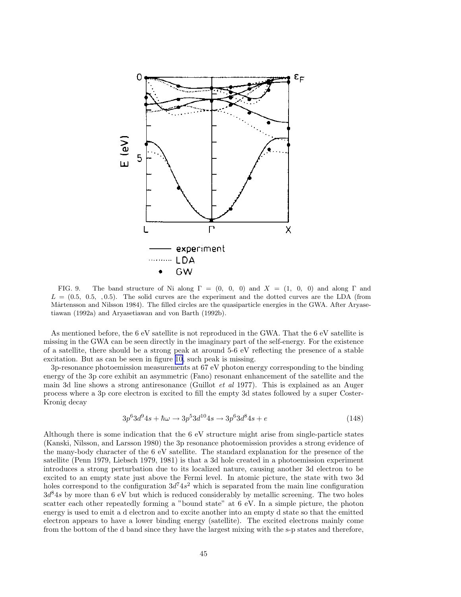<span id="page-44-0"></span>

FIG. 9. The band structure of Ni along  $\Gamma = (0, 0, 0)$  and  $X = (1, 0, 0)$  and along  $\Gamma$  and  $L = (0.5, 0.5, 0.5)$ . The solid curves are the experiment and the dotted curves are the LDA (from Mårtensson and Nilsson 1984). The filled circles are the quasiparticle energies in the GWA. After Aryasetiawan (1992a) and Aryasetiawan and von Barth (1992b).

As mentioned before, the 6 eV satellite is not reproduced in the GWA. That the 6 eV satellite is missing in the GWA can be seen directly in the imaginary part of the self-energy. For the existence of a satellite, there should be a strong peak at around 5-6 eV reflecting the presence of a stable excitation. But as can be seen in figure [10,](#page-45-0) such peak is missing.

3p-resonance photoemission measurements at 67 eV photon energy corresponding to the binding energy of the 3p core exhibit an asymmetric (Fano) resonant enhancement of the satellite and the main 3d line shows a strong antiresonance (Guillot *et al* 1977). This is explained as an Auger process where a 3p core electron is excited to fill the empty 3d states followed by a super Coster-Kronig decay

$$
3p^63d^94s + \hbar\omega \to 3p^53d^{10}4s \to 3p^63d^84s + e \tag{148}
$$

Although there is some indication that the 6 eV structure might arise from single-particle states (Kanski, Nilsson, and Larsson 1980) the 3p resonance photoemission provides a strong evidence of the many-body character of the 6 eV satellite. The standard explanation for the presence of the satellite (Penn 1979, Liebsch 1979, 1981) is that a 3d hole created in a photoemission experiment introduces a strong perturbation due to its localized nature, causing another 3d electron to be excited to an empty state just above the Fermi level. In atomic picture, the state with two 3d holes correspond to the configuration  $3d^7 4s^2$  which is separated from the main line configuration  $3d^84s$  by more than 6 eV but which is reduced considerably by metallic screening. The two holes scatter each other repeatedly forming a "bound state" at 6 eV. In a simple picture, the photon energy is used to emit a d electron and to excite another into an empty d state so that the emitted electron appears to have a lower binding energy (satellite). The excited electrons mainly come from the bottom of the d band since they have the largest mixing with the s-p states and therefore,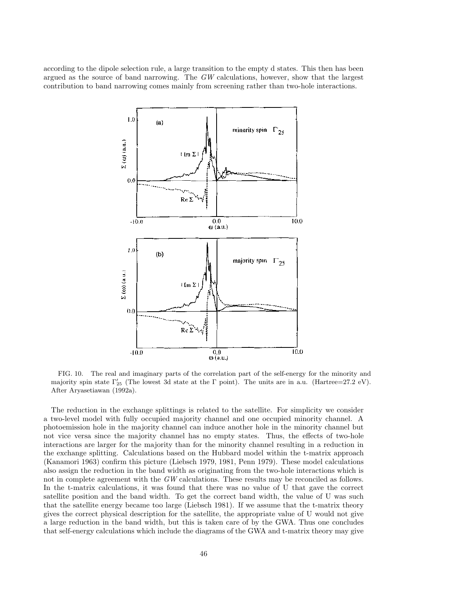<span id="page-45-0"></span>according to the dipole selection rule, a large transition to the empty d states. This then has been argued as the source of band narrowing. The *GW* calculations, however, show that the largest contribution to band narrowing comes mainly from screening rather than two-hole interactions.



FIG. 10. The real and imaginary parts of the correlation part of the self-energy for the minority and majority spin state  $\Gamma'_{25}$  (The lowest 3d state at the  $\Gamma$  point). The units are in a.u. (Hartree=27.2 eV). After Aryasetiawan (1992a).

The reduction in the exchange splittings is related to the satellite. For simplicity we consider a two-level model with fully occupied majority channel and one occupied minority channel. A photoemission hole in the majority channel can induce another hole in the minority channel but not vice versa since the majority channel has no empty states. Thus, the effects of two-hole interactions are larger for the majority than for the minority channel resulting in a reduction in the exchange splitting. Calculations based on the Hubbard model within the t-matrix approach (Kanamori 1963) confirm this picture (Liebsch 1979, 1981, Penn 1979). These model calculations also assign the reduction in the band width as originating from the two-hole interactions which is not in complete agreement with the *GW* calculations. These results may be reconciled as follows. In the t-matrix calculations, it was found that there was no value of U that gave the correct satellite position and the band width. To get the correct band width, the value of U was such that the satellite energy became too large (Liebsch 1981). If we assume that the t-matrix theory gives the correct physical description for the satellite, the appropriate value of U would not give a large reduction in the band width, but this is taken care of by the GWA. Thus one concludes that self-energy calculations which include the diagrams of the GWA and t-matrix theory may give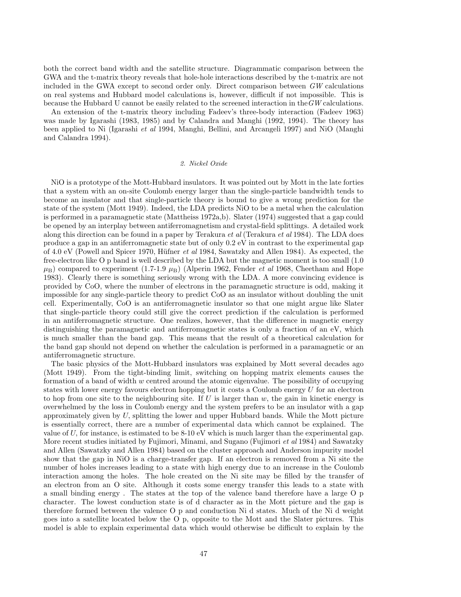both the correct band width and the satellite structure. Diagrammatic comparison between the GWA and the t-matrix theory reveals that hole-hole interactions described by the t-matrix are not included in the GWA except to second order only. Direct comparison between *GW* calculations on real systems and Hubbard model calculations is, however, difficult if not impossible. This is because the Hubbard U cannot be easily related to the screened interaction in the*GW* calculations.

An extension of the t-matrix theory including Fadeev's three-body interaction (Fadeev 1963) was made by Igarashi (1983, 1985) and by Calandra and Manghi (1992, 1994). The theory has been applied to Ni (Igarashi *et al* 1994, Manghi, Bellini, and Arcangeli 1997) and NiO (Manghi and Calandra 1994).

# 2. Nickel Oxide

NiO is a prototype of the Mott-Hubbard insulators. It was pointed out by Mott in the late forties that a system with an on-site Coulomb energy larger than the single-particle bandwidth tends to become an insulator and that single-particle theory is bound to give a wrong prediction for the state of the system (Mott 1949). Indeed, the LDA predicts NiO to be a metal when the calculation is performed in a paramagnetic state (Mattheiss 1972a,b). Slater (1974) suggested that a gap could be opened by an interplay between antiferromagnetism and crystal-field splittings. A detailed work along this direction can be found in a paper by Terakura *et al* (Terakura *et al* 1984). The LDA does produce a gap in an antiferromagnetic state but of only 0.2 eV in contrast to the experimental gap of 4.0 eV (Powell and Spicer 1970, Hüfner *et al* 1984, Sawatzky and Allen 1984). As expected, the free-electron like O p band is well described by the LDA but the magnetic moment is too small (1.0  $\mu_{\rm B}$ ) compared to experiment (1.7-1.9  $\mu_{\rm B}$ ) (Alperin 1962, Fender *et al* 1968, Cheetham and Hope 1983). Clearly there is something seriously wrong with the LDA. A more convincing evidence is provided by CoO, where the number of electrons in the paramagnetic structure is odd, making it impossible for any single-particle theory to predict CoO as an insulator without doubling the unit cell. Experimentally, CoO is an antiferromagnetic insulator so that one might argue like Slater that single-particle theory could still give the correct prediction if the calculation is performed in an antiferromagnetic structure. One realizes, however, that the difference in magnetic energy distinguishing the paramagnetic and antiferromagnetic states is only a fraction of an eV, which is much smaller than the band gap. This means that the result of a theoretical calculation for the band gap should not depend on whether the calculation is performed in a paramagnetic or an antiferromagnetic structure.

The basic physics of the Mott-Hubbard insulators was explained by Mott several decades ago (Mott 1949). From the tight-binding limit, switching on hopping matrix elements causes the formation of a band of width w centred around the atomic eigenvalue. The possibility of occupying states with lower energy favours electron hopping but it costs a Coulomb energy U for an electron to hop from one site to the neighbouring site. If  $U$  is larger than  $w$ , the gain in kinetic energy is overwhelmed by the loss in Coulomb energy and the system prefers to be an insulator with a gap approximately given by  $U$ , splitting the lower and upper Hubbard bands. While the Mott picture is essentially correct, there are a number of experimental data which cannot be explained. The value of U, for instance, is estimated to be  $8-10$  eV which is much larger than the experimental gap. More recent studies initiated by Fujimori, Minami, and Sugano (Fujimori *et al* 1984) and Sawatzky and Allen (Sawatzky and Allen 1984) based on the cluster approach and Anderson impurity model show that the gap in NiO is a charge-transfer gap. If an electron is removed from a Ni site the number of holes increases leading to a state with high energy due to an increase in the Coulomb interaction among the holes. The hole created on the Ni site may be filled by the transfer of an electron from an O site. Although it costs some energy transfer this leads to a state with a small binding energy . The states at the top of the valence band therefore have a large O p character. The lowest conduction state is of d character as in the Mott picture and the gap is therefore formed between the valence O p and conduction Ni d states. Much of the Ni d weight goes into a satellite located below the O p, opposite to the Mott and the Slater pictures. This model is able to explain experimental data which would otherwise be difficult to explain by the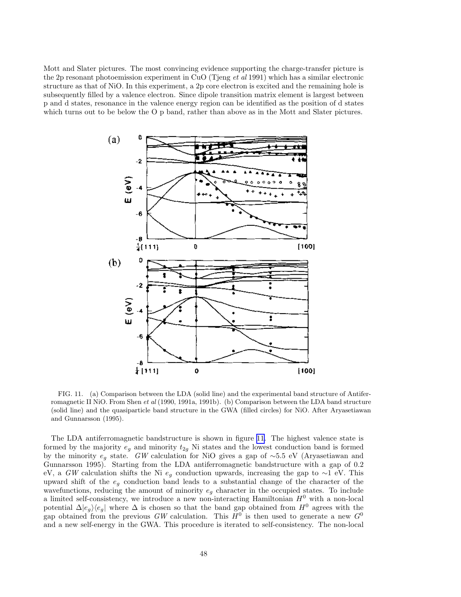Mott and Slater pictures. The most convincing evidence supporting the charge-transfer picture is the 2p resonant photoemission experiment in CuO (Tjeng *et al* 1991) which has a similar electronic structure as that of NiO. In this experiment, a 2p core electron is excited and the remaining hole is subsequently filled by a valence electron. Since dipole transition matrix element is largest between p and d states, resonance in the valence energy region can be identified as the position of d states which turns out to be below the O p band, rather than above as in the Mott and Slater pictures.



FIG. 11. (a) Comparison between the LDA (solid line) and the experimental band structure of Antiferromagnetic II NiO. From Shen et al (1990, 1991a, 1991b). (b) Comparison between the LDA band structure (solid line) and the quasiparticle band structure in the GWA (filled circles) for NiO. After Aryasetiawan and Gunnarsson (1995).

The LDA antiferromagnetic bandstructure is shown in figure 11. The highest valence state is formed by the majority  $e_g$  and minority  $t_{2g}$  Ni states and the lowest conduction band is formed by the minority e<sup>g</sup> state. *GW* calculation for NiO gives a gap of ∼5.5 eV (Aryasetiawan and Gunnarsson 1995). Starting from the LDA antiferromagnetic bandstructure with a gap of 0.2 eV, a *GW* calculation shifts the Ni  $e_g$  conduction upwards, increasing the gap to ∼1 eV. This upward shift of the  $e_q$  conduction band leads to a substantial change of the character of the wavefunctions, reducing the amount of minority  $e_g$  character in the occupied states. To include a limited self-consistency, we introduce a new non-interacting Hamiltonian  $H^0$  with a non-local potential  $\Delta |e_g\rangle\langle e_g|$  where  $\Delta$  is chosen so that the band gap obtained from  $H^0$  agrees with the gap obtained from the previous  $GW$  calculation. This  $H^0$  is then used to generate a new  $G^0$ and a new self-energy in the GWA. This procedure is iterated to self-consistency. The non-local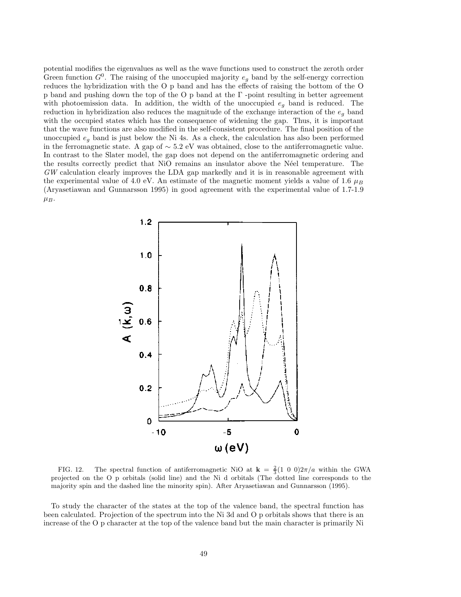potential modifies the eigenvalues as well as the wave functions used to construct the zeroth order Green function  $G^0$ . The raising of the unoccupied majority  $e_g$  band by the self-energy correction reduces the hybridization with the O p band and has the effects of raising the bottom of the O p band and pushing down the top of the O p band at the Γ -point resulting in better agreement with photoemission data. In addition, the width of the unoccupied  $e_q$  band is reduced. The reduction in hybridization also reduces the magnitude of the exchange interaction of the  $e_q$  band with the occupied states which has the consequence of widening the gap. Thus, it is important that the wave functions are also modified in the self-consistent procedure. The final position of the unoccupied  $e_q$  band is just below the Ni 4s. As a check, the calculation has also been performed in the ferromagnetic state. A gap of  $\sim$  5.2 eV was obtained, close to the antiferromagnetic value. In contrast to the Slater model, the gap does not depend on the antiferromagnetic ordering and the results correctly predict that NiO remains an insulator above the Néel temperature. The *GW* calculation clearly improves the LDA gap markedly and it is in reasonable agreement with the experimental value of 4.0 eV. An estimate of the magnetic moment yields a value of 1.6  $\mu_B$ (Aryasetiawan and Gunnarsson 1995) in good agreement with the experimental value of 1.7-1.9  $\mu_B$ .



FIG. 12. The spectral function of antiferromagnetic NiO at  $\mathbf{k} = \frac{2}{3}(1\ 0\ 0)2\pi/a$  within the GWA projected on the O p orbitals (solid line) and the Ni d orbitals (The dotted line corresponds to the majority spin and the dashed line the minority spin). After Aryasetiawan and Gunnarsson (1995).

To study the character of the states at the top of the valence band, the spectral function has been calculated. Projection of the spectrum into the Ni 3d and O p orbitals shows that there is an increase of the O p character at the top of the valence band but the main character is primarily Ni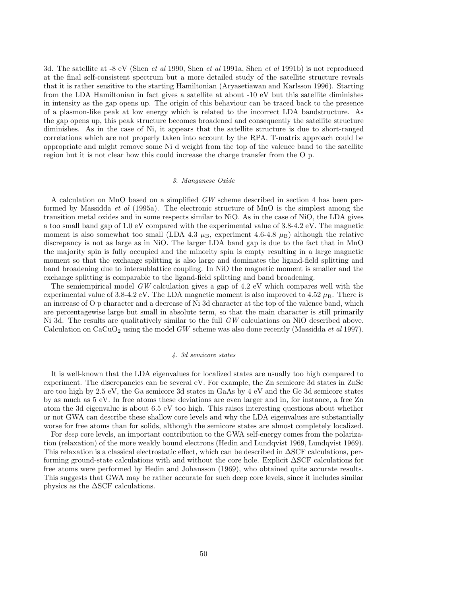3d. The satellite at -8 eV (Shen *et al* 1990, Shen *et al* 1991a, Shen *et al* 1991b) is not reproduced at the final self-consistent spectrum but a more detailed study of the satellite structure reveals that it is rather sensitive to the starting Hamiltonian (Aryasetiawan and Karlsson 1996). Starting from the LDA Hamiltonian in fact gives a satellite at about -10 eV but this satellite diminishes in intensity as the gap opens up. The origin of this behaviour can be traced back to the presence of a plasmon-like peak at low energy which is related to the incorrect LDA bandstructure. As the gap opens up, this peak structure becomes broadened and consequently the satellite structure diminishes. As in the case of Ni, it appears that the satellite structure is due to short-ranged correlations which are not properly taken into account by the RPA. T-matrix approach could be appropriate and might remove some Ni d weight from the top of the valence band to the satellite region but it is not clear how this could increase the charge transfer from the O p.

#### 3. Manganese Oxide

A calculation on MnO based on a simplified *GW* scheme described in section 4 has been performed by Massidda *et al* (1995a). The electronic structure of MnO is the simplest among the transition metal oxides and in some respects similar to NiO. As in the case of NiO, the LDA gives a too small band gap of 1.0 eV compared with the experimental value of 3.8-4.2 eV. The magnetic moment is also somewhat too small (LDA 4.3  $\mu$ B, experiment 4.6-4.8  $\mu$ B) although the relative discrepancy is not as large as in NiO. The larger LDA band gap is due to the fact that in MnO the majority spin is fully occupied and the minority spin is empty resulting in a large magnetic moment so that the exchange splitting is also large and dominates the ligand-field splitting and band broadening due to intersublattice coupling. In NiO the magnetic moment is smaller and the exchange splitting is comparable to the ligand-field splitting and band broadening.

The semiempirical model *GW* calculation gives a gap of 4.2 eV which compares well with the experimental value of  $3.8-4.2 \text{ eV}$ . The LDA magnetic moment is also improved to  $4.52 \mu_B$ . There is an increase of O p character and a decrease of Ni 3d character at the top of the valence band, which are percentagewise large but small in absolute term, so that the main character is still primarily Ni 3d. The results are qualitatively similar to the full *GW* calculations on NiO described above. Calculation on CaCuO<sup>2</sup> using the model GW scheme was also done recently (Massidda *et al* 1997).

# 4. 3d semicore states

It is well-known that the LDA eigenvalues for localized states are usually too high compared to experiment. The discrepancies can be several eV. For example, the Zn semicore 3d states in ZnSe are too high by 2.5 eV, the Ga semicore 3d states in GaAs by 4 eV and the Ge 3d semicore states by as much as 5 eV. In free atoms these deviations are even larger and in, for instance, a free Zn atom the 3d eigenvalue is about 6.5 eV too high. This raises interesting questions about whether or not GWA can describe these shallow core levels and why the LDA eigenvalues are substantially worse for free atoms than for solids, although the semicore states are almost completely localized.

For *deep* core levels, an important contribution to the GWA self-energy comes from the polarization (relaxation) of the more weakly bound electrons (Hedin and Lundqvist 1969, Lundqvist 1969). This relaxation is a classical electrostatic effect, which can be described in ∆SCF calculations, performing ground-state calculations with and without the core hole. Explicit ∆SCF calculations for free atoms were performed by Hedin and Johansson (1969), who obtained quite accurate results. This suggests that GWA may be rather accurate for such deep core levels, since it includes similar physics as the ∆SCF calculations.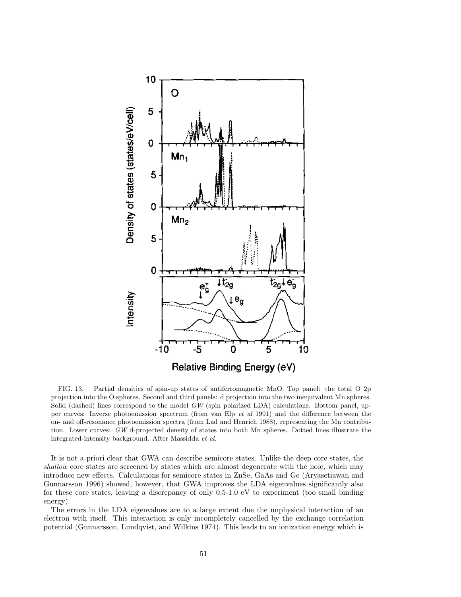

FIG. 13. Partial densities of spin-up states of antiferromagnetic MnO. Top panel: the total O 2p projection into the O spheres. Second and third panels: d projection into the two inequivalent Mn spheres. Solid (dashed) lines correspond to the model GW (spin polarized LDA) calculations. Bottom panel, upper curves: Inverse photoemission spectrum (from van Elp et al 1991) and the difference between the on- and off-resonance photoemission spectra (from Lad and Henrich 1988), representing the Mn contribution. Lower curves: GW d-projected density of states into both Mn spheres. Dotted lines illustrate the integrated-intensity background. After Massidda et al.

It is not a priori clear that GWA can describe semicore states. Unlike the deep core states, the *shallow* core states are screened by states which are almost degenerate with the hole, which may introduce new effects. Calculations for semicore states in ZnSe, GaAs and Ge (Aryasetiawan and Gunnarsson 1996) showed, however, that GWA improves the LDA eigenvalues significantly also for these core states, leaving a discrepancy of only 0.5-1.0 eV to experiment (too small binding energy).

The errors in the LDA eigenvalues are to a large extent due the unphysical interaction of an electron with itself. This interaction is only incompletely cancelled by the exchange correlation potential (Gunnarsson, Lundqvist, and Wilkins 1974). This leads to an ionization energy which is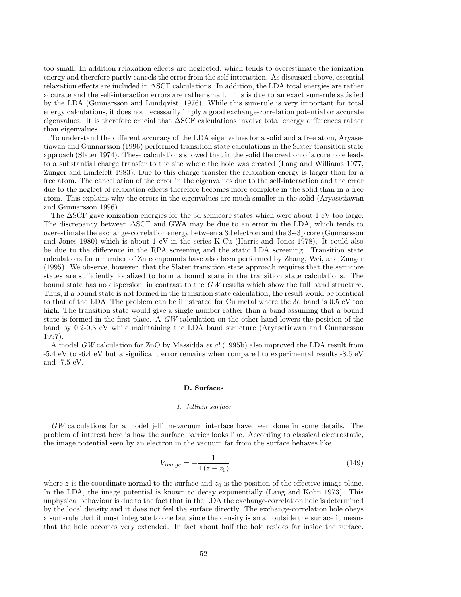too small. In addition relaxation effects are neglected, which tends to overestimate the ionization energy and therefore partly cancels the error from the self-interaction. As discussed above, essential relaxation effects are included in ∆SCF calculations. In addition, the LDA total energies are rather accurate and the self-interaction errors are rather small. This is due to an exact sum-rule satisfied by the LDA (Gunnarsson and Lundqvist, 1976). While this sum-rule is very important for total energy calculations, it does not necessarily imply a good exchange-correlation potential or accurate eigenvalues. It is therefore crucial that ∆SCF calculations involve total energy differences rather than eigenvalues.

To understand the different accuracy of the LDA eigenvalues for a solid and a free atom, Aryasetiawan and Gunnarsson (1996) performed transition state calculations in the Slater transition state approach (Slater 1974). These calculations showed that in the solid the creation of a core hole leads to a substantial charge transfer to the site where the hole was created (Lang and Williams 1977, Zunger and Lindefelt 1983). Due to this charge transfer the relaxation energy is larger than for a free atom. The cancellation of the error in the eigenvalues due to the self-interaction and the error due to the neglect of relaxation effects therefore becomes more complete in the solid than in a free atom. This explains why the errors in the eigenvalues are much smaller in the solid (Aryasetiawan and Gunnarsson 1996).

The ∆SCF gave ionization energies for the 3d semicore states which were about 1 eV too large. The discrepancy between ∆SCF and GWA may be due to an error in the LDA, which tends to overestimate the exchange-correlation energy between a 3d electron and the 3s-3p core (Gunnarsson and Jones 1980) which is about 1 eV in the series K-Cu (Harris and Jones 1978). It could also be due to the difference in the RPA screening and the static LDA screening. Transition state calculations for a number of Zn compounds have also been performed by Zhang, Wei, and Zunger (1995). We observe, however, that the Slater transition state approach requires that the semicore states are sufficiently localized to form a bound state in the transition state calculations. The bound state has no dispersion, in contrast to the *GW* results which show the full band structure. Thus, if a bound state is not formed in the transition state calculation, the result would be identical to that of the LDA. The problem can be illustrated for Cu metal where the 3d band is 0.5 eV too high. The transition state would give a single number rather than a band assuming that a bound state is formed in the first place. A *GW* calculation on the other hand lowers the position of the band by 0.2-0.3 eV while maintaining the LDA band structure (Aryasetiawan and Gunnarsson 1997).

A model *GW* calculation for ZnO by Massidda *et al* (1995b) also improved the LDA result from -5.4 eV to -6.4 eV but a significant error remains when compared to experimental results -8.6 eV and -7.5 eV.

#### D. Surfaces

#### 1. Jellium surface

*GW* calculations for a model jellium-vacuum interface have been done in some details. The problem of interest here is how the surface barrier looks like. According to classical electrostatic, the image potential seen by an electron in the vacuum far from the surface behaves like

$$
V_{image} = -\frac{1}{4(z - z_0)}
$$
\n(149)

where z is the coordinate normal to the surface and  $z_0$  is the position of the effective image plane. In the LDA, the image potential is known to decay exponentially (Lang and Kohn 1973). This unphysical behaviour is due to the fact that in the LDA the exchange-correlation hole is determined by the local density and it does not feel the surface directly. The exchange-correlation hole obeys a sum-rule that it must integrate to one but since the density is small outside the surface it means that the hole becomes very extended. In fact about half the hole resides far inside the surface.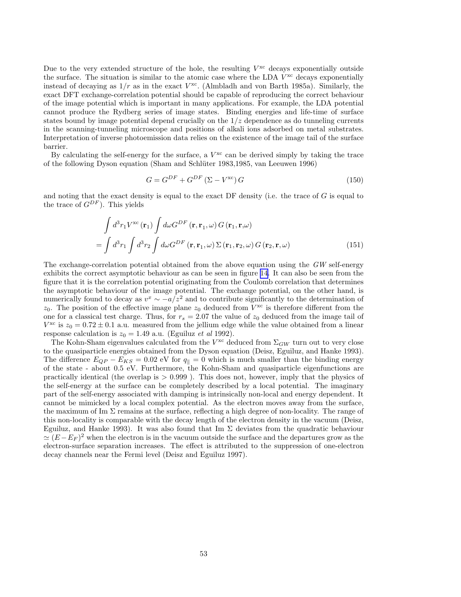<span id="page-52-0"></span>Due to the very extended structure of the hole, the resulting  $V^{xc}$  decays exponentially outside the surface. The situation is similar to the atomic case where the LDA  $V^{xc}$  decays exponentially instead of decaying as  $1/r$  as in the exact  $V^{\text{xc}}$ . (Almbladh and von Barth 1985a). Similarly, the exact DFT exchange-correlation potential should be capable of reproducing the correct behaviour of the image potential which is important in many applications. For example, the LDA potential cannot produce the Rydberg series of image states. Binding energies and life-time of surface states bound by image potential depend crucially on the  $1/z$  dependence as do tunneling currents in the scanning-tunneling microscope and positions of alkali ions adsorbed on metal substrates. Interpretation of inverse photoemission data relies on the existence of the image tail of the surface barrier.

By calculating the self-energy for the surface, a  $V^{\text{xc}}$  can be derived simply by taking the trace of the following Dyson equation (Sham and Schl¨uter 1983,1985, van Leeuwen 1996)

$$
G = G^{DF} + G^{DF} \left( \Sigma - V^{\text{xc}} \right) G \tag{150}
$$

and noting that the exact density is equal to the exact DF density (i.e. the trace of  $G$  is equal to the trace of  $G^{DF}$ ). This yields

$$
\int d^{3}r_{1}V^{\text{xc}}(\mathbf{r}_{1}) \int d\omega G^{DF}(\mathbf{r}, \mathbf{r}_{1}, \omega) G(\mathbf{r}_{1}, \mathbf{r}, \omega)
$$
\n
$$
= \int d^{3}r_{1} \int d^{3}r_{2} \int d\omega G^{DF}(\mathbf{r}, \mathbf{r}_{1}, \omega) \Sigma(\mathbf{r}_{1}, \mathbf{r}_{2}, \omega) G(\mathbf{r}_{2}, \mathbf{r}, \omega) \tag{151}
$$

The exchange-correlation potential obtained from the above equation using the *GW* self-energy exhibits the correct asymptotic behaviour as can be seen in figure [14.](#page-53-0) It can also be seen from the figure that it is the correlation potential originating from the Coulomb correlation that determines the asymptotic behaviour of the image potential. The exchange potential, on the other hand, is numerically found to decay as  $v^x \sim -a/z^2$  and to contribute significantly to the determination of  $z_0$ . The position of the effective image plane  $z_0$  deduced from  $V^{xc}$  is therefore different from the one for a classical test charge. Thus, for  $r_s = 2.07$  the value of  $z_0$  deduced from the image tail of  $V^{\text{xc}}$  is  $z_0 = 0.72 \pm 0.1$  a.u. measured from the jellium edge while the value obtained from a linear response calculation is  $z_0 = 1.49$  a.u. (Eguiluz *et al* 1992).

The Kohn-Sham eigenvalues calculated from the  $V^{xc}$  deduced from  $\Sigma_{GW}$  turn out to very close to the quasiparticle energies obtained from the Dyson equation (Deisz, Eguiluz, and Hanke 1993). The difference  $E_{QP} - E_{KS} = 0.02$  eV for  $q_{\parallel} = 0$  which is much smaller than the binding energy of the state - about 0.5 eV. Furthermore, the Kohn-Sham and quasiparticle eigenfunctions are practically identical (the overlap is  $> 0.999$ ). This does not, however, imply that the physics of the self-energy at the surface can be completely described by a local potential. The imaginary part of the self-energy associated with damping is intrinsically non-local and energy dependent. It cannot be mimicked by a local complex potential. As the electron moves away from the surface, the maximum of Im  $\Sigma$  remains at the surface, reflecting a high degree of non-locality. The range of this non-locality is comparable with the decay length of the electron density in the vacuum (Deisz, Eguiluz, and Hanke 1993). It was also found that Im  $\Sigma$  deviates from the quadratic behaviour  $\simeq (E-E_F)^2$  when the electron is in the vacuum outside the surface and the departures grow as the electron-surface separation increases. The effect is attributed to the suppression of one-electron decay channels near the Fermi level (Deisz and Eguiluz 1997).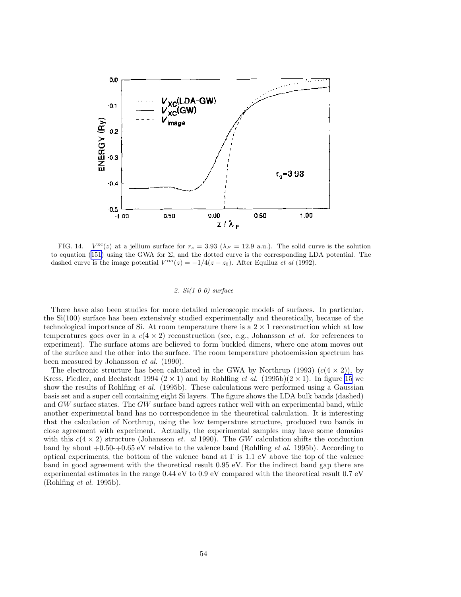<span id="page-53-0"></span>

FIG. 14.  $V^{xc}(z)$  at a jellium surface for  $r_s = 3.93$  ( $\lambda_F = 12.9$  a.u.). The solid curve is the solution to equation [\(151\)](#page-52-0) using the GWA for  $\Sigma$ , and the dotted curve is the corresponding LDA potential. The dashed curve is the image potential  $V^{im}(z) = -1/4(z - z_0)$ . After Equiluz *et al* (1992).

# 2. Si(1 0 0) surface

There have also been studies for more detailed microscopic models of surfaces. In particular, the Si(100) surface has been extensively studied experimentally and theoretically, because of the technological importance of Si. At room temperature there is a  $2 \times 1$  reconstruction which at low temperatures goes over in a  $c(4 \times 2)$  reconstruction (see, e.g., Johansson *et al.* for references to experiment). The surface atoms are believed to form buckled dimers, where one atom moves out of the surface and the other into the surface. The room temperature photoemission spectrum has been measured by Johansson *et al.* (1990).

The electronic structure has been calculated in the GWA by Northrup (1993)  $(c(4 \times 2))$ , by Kress, Fiedler, and Bechstedt 1994  $(2 \times 1)$  and by Rohlfing *et al.* (1995b) $(2 \times 1)$ . In figure [15](#page-54-0) we show the results of Rohlfing *et al.* (1995b). These calculations were performed using a Gaussian basis set and a super cell containing eight Si layers. The figure shows the LDA bulk bands (dashed) and GW surface states. The GW surface band agrees rather well with an experimental band, while another experimental band has no correspondence in the theoretical calculation. It is interesting that the calculation of Northrup, using the low temperature structure, produced two bands in close agreement with experiment. Actually, the experimental samples may have some domains with this  $c(4 \times 2)$  structure (Johansson *et. al* 1990). The GW calculation shifts the conduction band by about +0.50-+0.65 eV relative to the valence band (Rohlfing *et al.* 1995b). According to optical experiments, the bottom of the valence band at  $\Gamma$  is 1.1 eV above the top of the valence band in good agreement with the theoretical result 0.95 eV. For the indirect band gap there are experimental estimates in the range 0.44 eV to 0.9 eV compared with the theoretical result 0.7 eV (Rohlfing *et al.* 1995b).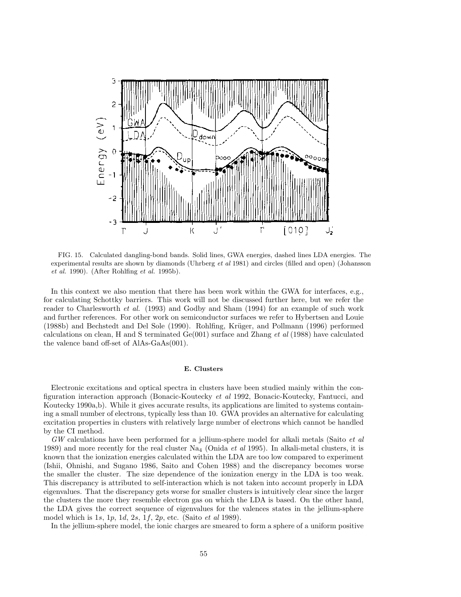<span id="page-54-0"></span>

FIG. 15. Calculated dangling-bond bands. Solid lines, GWA energies, dashed lines LDA energies. The experimental results are shown by diamonds (Uhrberg et al 1981) and circles (filled and open) (Johansson et al. 1990). (After Rohlfing et al. 1995b).

In this context we also mention that there has been work within the GWA for interfaces, e.g., for calculating Schottky barriers. This work will not be discussed further here, but we refer the reader to Charlesworth *et al.* (1993) and Godby and Sham (1994) for an example of such work and further references. For other work on semiconductor surfaces we refer to Hybertsen and Louie  $(1988b)$  and Bechstedt and Del Sole  $(1990)$ . Rohlfing, Krüger, and Pollmann  $(1996)$  performed calculations on clean, H and S terminated Ge(001) surface and Zhang *et al* (1988) have calculated the valence band off-set of AlAs-GaAs(001).

## E. Clusters

Electronic excitations and optical spectra in clusters have been studied mainly within the configuration interaction approach (Bonacic-Koutecky *et al* 1992, Bonacic-Koutecky, Fantucci, and Koutecky 1990a,b). While it gives accurate results, its applications are limited to systems containing a small number of electrons, typically less than 10. GWA provides an alternative for calculating excitation properties in clusters with relatively large number of electrons which cannot be handled by the CI method.

*GW* calculations have been performed for a jellium-sphere model for alkali metals (Saito *et al* 1989) and more recently for the real cluster Na<sup>4</sup> (Onida *et al* 1995). In alkali-metal clusters, it is known that the ionization energies calculated within the LDA are too low compared to experiment (Ishii, Ohnishi, and Sugano 1986, Saito and Cohen 1988) and the discrepancy becomes worse the smaller the cluster. The size dependence of the ionization energy in the LDA is too weak. This discrepancy is attributed to self-interaction which is not taken into account properly in LDA eigenvalues. That the discrepancy gets worse for smaller clusters is intuitively clear since the larger the clusters the more they resemble electron gas on which the LDA is based. On the other hand, the LDA gives the correct sequence of eigenvalues for the valences states in the jellium-sphere model which is 1s, 1p, 1d, 2s, 1f, 2p, etc. (Saito *et al* 1989).

In the jellium-sphere model, the ionic charges are smeared to form a sphere of a uniform positive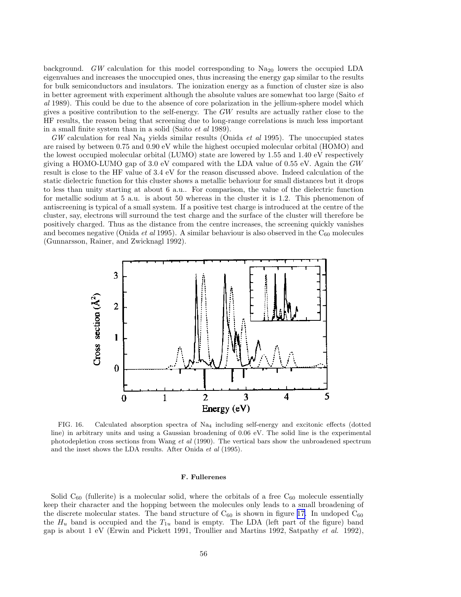background. *GW* calculation for this model corresponding to  $\text{Na}_{20}$  lowers the occupied LDA eigenvalues and increases the unoccupied ones, thus increasing the energy gap similar to the results for bulk semiconductors and insulators. The ionization energy as a function of cluster size is also in better agreement with experiment although the absolute values are somewhat too large (Saito *et al* 1989). This could be due to the absence of core polarization in the jellium-sphere model which gives a positive contribution to the self-energy. The GW results are actually rather close to the HF results, the reason being that screening due to long-range correlations is much less important in a small finite system than in a solid (Saito *et al* 1989).

*GW* calculation for real Na<sup>4</sup> yields similar results (Onida *et al* 1995). The unoccupied states are raised by between 0.75 and 0.90 eV while the highest occupied molecular orbital (HOMO) and the lowest occupied molecular orbital (LUMO) state are lowered by 1.55 and 1.40 eV respectively giving a HOMO-LUMO gap of 3.0 eV compared with the LDA value of 0.55 eV. Again the GW result is close to the HF value of 3.4 eV for the reason discussed above. Indeed calculation of the static dielectric function for this cluster shows a metallic behaviour for small distances but it drops to less than unity starting at about 6 a.u.. For comparison, the value of the dielectric function for metallic sodium at 5 a.u. is about 50 whereas in the cluster it is 1.2. This phenomenon of antiscreening is typical of a small system. If a positive test charge is introduced at the centre of the cluster, say, electrons will surround the test charge and the surface of the cluster will therefore be positively charged. Thus as the distance from the centre increases, the screening quickly vanishes and becomes negative (Onida *et al* 1995). A similar behaviour is also observed in the  $C_{60}$  molecules (Gunnarsson, Rainer, and Zwicknagl 1992).



FIG. 16. Calculated absorption spectra of Na<sup>4</sup> including self-energy and excitonic effects (dotted line) in arbitrary units and using a Gaussian broadening of 0.06 eV. The solid line is the experimental photodepletion cross sections from Wang et al (1990). The vertical bars show the unbroadened spectrum and the inset shows the LDA results. After Onida et al (1995).

#### F. Fullerenes

Solid  $C_{60}$  (fullerite) is a molecular solid, where the orbitals of a free  $C_{60}$  molecule essentially keep their character and the hopping between the molecules only leads to a small broadening of the discrete molecular states. The band structure of  $C_{60}$  is shown in figure [17.](#page-56-0) In undoped  $C_{60}$ the  $H_u$  band is occupied and the  $T_{1u}$  band is empty. The LDA (left part of the figure) band gap is about 1 eV (Erwin and Pickett 1991, Troullier and Martins 1992, Satpathy *et al.* 1992),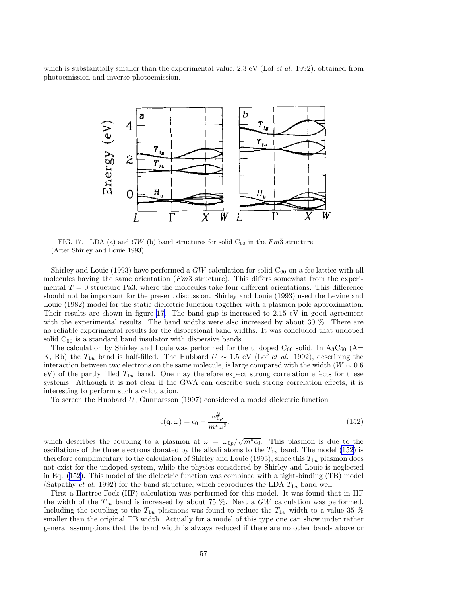<span id="page-56-0"></span>which is substantially smaller than the experimental value, 2.3 eV (Lof *et al.* 1992), obtained from photoemission and inverse photoemission.



FIG. 17. LDA (a) and GW (b) band structures for solid  $C_{60}$  in the  $Fm\overline{3}$  structure (After Shirley and Louie 1993).

Shirley and Louie (1993) have performed a  $GW$  calculation for solid  $C_{60}$  on a fcc lattice with all molecules having the same orientation ( $Fm\overline{3}$  structure). This differs somewhat from the experimental  $T = 0$  structure Pa3, where the molecules take four different orientations. This difference should not be important for the present discussion. Shirley and Louie (1993) used the Levine and Louie (1982) model for the static dielectric function together with a plasmon pole approximation. Their results are shown in figure 17. The band gap is increased to 2.15 eV in good agreement with the experimental results. The band widths were also increased by about 30 %. There are no reliable experimental results for the dispersional band widths. It was concluded that undoped solid  $C_{60}$  is a standard band insulator with dispersive bands.

The calculation by Shirley and Louie was performed for the undoped  $C_{60}$  solid. In  $A_3C_{60}$  (A= K, Rb) the  $T_{1u}$  band is half-filled. The Hubbard  $U \sim 1.5$  eV (Lof *et al.* 1992), describing the interaction between two electrons on the same molecule, is large compared with the width ( $W \sim 0.6$ ) eV) of the partly filled  $T_{1u}$  band. One may therefore expect strong correlation effects for these systems. Although it is not clear if the GWA can describe such strong correlation effects, it is interesting to perform such a calculation.

To screen the Hubbard U, Gunnarsson (1997) considered a model dielectric function

$$
\epsilon(\mathbf{q}, \omega) = \epsilon_0 - \frac{\omega_{0p}^2}{m^* \omega^2},\tag{152}
$$

which describes the coupling to a plasmon at  $\omega = \omega_{0p}/\sqrt{m^*\epsilon_0}$ . This plasmon is due to the oscillations of the three electrons donated by the alkali atoms to the  $T_{1u}$  band. The model (152) is therefore complimentary to the calculation of Shirley and Louie (1993), since this  $T_{1u}$  plasmon does not exist for the undoped system, while the physics considered by Shirley and Louie is neglected in Eq. (152). This model of the dielectric function was combined with a tight-binding (TB) model (Satpathy *et al.* 1992) for the band structure, which reproduces the LDA  $T_{1u}$  band well.

First a Hartree-Fock (HF) calculation was performed for this model. It was found that in HF the width of the  $T_{1u}$  band is increased by about 75 %. Next a GW calculation was performed. Including the coupling to the  $T_{1u}$  plasmons was found to reduce the  $T_{1u}$  width to a value 35 % smaller than the original TB width. Actually for a model of this type one can show under rather general assumptions that the band width is always reduced if there are no other bands above or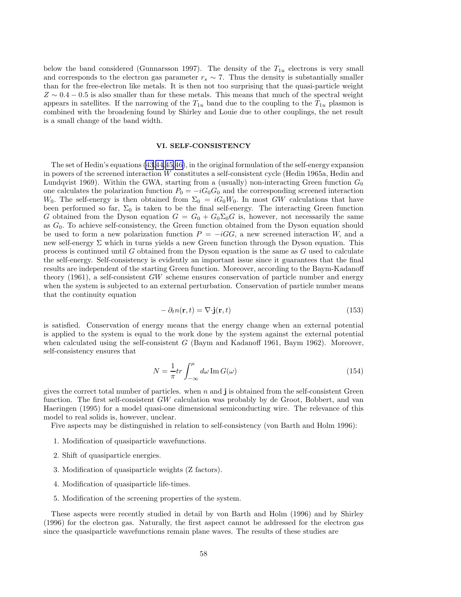below the band considered (Gunnarsson 1997). The density of the  $T_{1u}$  electrons is very small and corresponds to the electron gas parameter  $r_s \sim 7$ . Thus the density is substantially smaller than for the free-electron like metals. It is then not too surprising that the quasi-particle weight  $Z \sim 0.4 - 0.5$  is also smaller than for these metals. This means that much of the spectral weight appears in satellites. If the narrowing of the  $T_{1u}$  band due to the coupling to the  $T_{1u}$  plasmon is combined with the broadening found by Shirley and Louie due to other couplings, the net result is a small change of the band width.

## VI. SELF-CONSISTENCY

The set of Hedin's equations [\(43](#page-11-0),[44,45,46\)](#page-11-0), in the original formulation of the self-energy expansion in powers of the screened interaction W constitutes a self-consistent cycle (Hedin 1965a, Hedin and Lundqvist 1969). Within the GWA, starting from a (usually) non-interacting Green function  $G_0$ one calculates the polarization function  $P_0 = -iG_0G_0$  and the corresponding screened interaction W<sub>0</sub>. The self-energy is then obtained from  $\Sigma_0 = iG_0W_0$ . In most GW calculations that have been performed so far,  $\Sigma_0$  is taken to be the final self-energy. The interacting Green function G obtained from the Dyson equation  $G = G_0 + G_0 \Sigma_0 G$  is, however, not necessarily the same as  $G_0$ . To achieve self-consistency, the Green function obtained from the Dyson equation should be used to form a new polarization function  $P = -iGG$ , a new screened interaction W, and a new self-energy  $\Sigma$  which in turns yields a new Green function through the Dyson equation. This process is continued until  $G$  obtained from the Dyson equation is the same as  $G$  used to calculate the self-energy. Self-consistency is evidently an important issue since it guarantees that the final results are independent of the starting Green function. Moreover, according to the Baym-Kadanoff theory (1961), a self-consistent GW scheme ensures conservation of particle number and energy when the system is subjected to an external perturbation. Conservation of particle number means that the continuity equation

$$
-\partial_t n(\mathbf{r},t) = \nabla \cdot \mathbf{j}(\mathbf{r},t)
$$
\n(153)

is satisfied. Conservation of energy means that the energy change when an external potential is applied to the system is equal to the work done by the system against the external potential when calculated using the self-consistent G (Baym and Kadanoff 1961, Baym 1962). Moreover, self-consistency ensures that

$$
N = \frac{1}{\pi} \operatorname{tr} \int_{-\infty}^{\mu} d\omega \operatorname{Im} G(\omega) \tag{154}
$$

gives the correct total number of particles. when n and j is obtained from the self-consistent Green function. The first self-consistent GW calculation was probably by de Groot, Bobbert, and van Haeringen (1995) for a model quasi-one dimensional semiconducting wire. The relevance of this model to real solids is, however, unclear.

Five aspects may be distinguished in relation to self-consistency (von Barth and Holm 1996):

- 1. Modification of quasiparticle wavefunctions.
- 2. Shift of quasiparticle energies.
- 3. Modification of quasiparticle weights (Z factors).
- 4. Modification of quasiparticle life-times.
- 5. Modification of the screening properties of the system.

These aspects were recently studied in detail by von Barth and Holm (1996) and by Shirley (1996) for the electron gas. Naturally, the first aspect cannot be addressed for the electron gas since the quasiparticle wavefunctions remain plane waves. The results of these studies are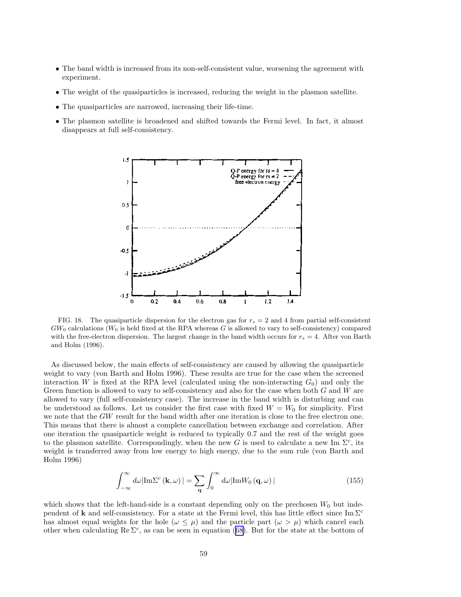- The band width is increased from its non-self-consistent value, worsening the agreement with experiment.
- The weight of the quasiparticles is increased, reducing the weight in the plasmon satellite.
- The quasiparticles are narrowed, increasing their life-time.
- The plasmon satellite is broadened and shifted towards the Fermi level. In fact, it almost disappears at full self-consistency.



FIG. 18. The quasiparticle dispersion for the electron gas for  $r_s = 2$  and 4 from partial self-consistent  $GW_0$  calculations ( $W_0$  is held fixed at the RPA whereas G is allowed to vary to self-consistency) compared with the free-electron dispersion. The largest change in the band width occurs for  $r_s = 4$ . After von Barth and Holm (1996).

As discussed below, the main effects of self-consistency are caused by allowing the quasiparticle weight to vary (von Barth and Holm 1996). These results are true for the case when the screened interaction W is fixed at the RPA level (calculated using the non-interacting  $G_0$ ) and only the Green function is allowed to vary to self-consistency and also for the case when both  $G$  and  $W$  are allowed to vary (full self-consistency case). The increase in the band width is disturbing and can be understood as follows. Let us consider the first case with fixed  $W = W_0$  for simplicity. First we note that the GW result for the band width after one iteration is close to the free electron one. This means that there is almost a complete cancellation between exchange and correlation. After one iteration the quasiparticle weight is reduced to typically 0.7 and the rest of the weight goes to the plasmon satellite. Correspondingly, when the new G is used to calculate a new Im  $\Sigma^c$ , its weight is transferred away from low energy to high energy, due to the sum rule (von Barth and Holm 1996)

$$
\int_{-\infty}^{\infty} d\omega |\mathrm{Im}\Sigma^{c}(\mathbf{k},\omega)| = \sum_{\mathbf{q}} \int_{0}^{\infty} d\omega |\mathrm{Im}W_{0}(\mathbf{q},\omega)| \tag{155}
$$

which shows that the left-hand-side is a constant depending only on the prechosen  $W_0$  but independent of k and self-consistency. For a state at the Fermi level, this has little effect since Im  $\Sigma^c$ has almost equal weights for the hole ( $\omega \leq \mu$ ) and the particle part ( $\omega > \mu$ ) which cancel each otherwhen calculating  $\text{Re }\Sigma^c$ , as can be seen in equation ([68\)](#page-14-0). But for the state at the bottom of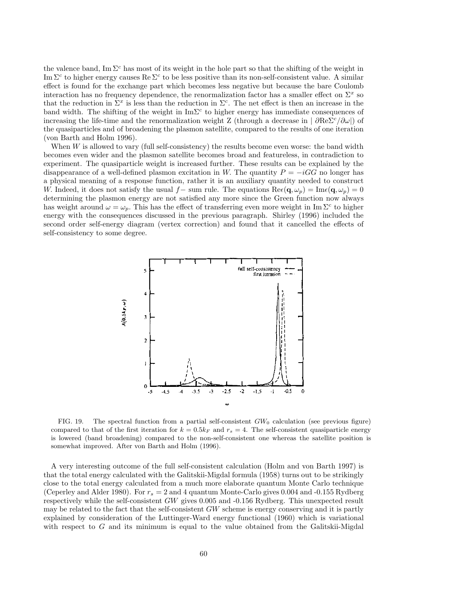the valence band, Im  $\Sigma^c$  has most of its weight in the hole part so that the shifting of the weight in Im  $\Sigma^c$  to higher energy causes Re  $\Sigma^c$  to be less positive than its non-self-consistent value. A similar effect is found for the exchange part which becomes less negative but because the bare Coulomb interaction has no frequency dependence, the renormalization factor has a smaller effect on  $\Sigma^x$  so that the reduction in  $\Sigma^x$  is less than the reduction in  $\Sigma^c$ . The net effect is then an increase in the band width. The shifting of the weight in  $\text{Im}\Sigma^c$  to higher energy has immediate consequences of increasing the life-time and the renormalization weight Z (through a decrease in  $\partial \text{Re}\Sigma^c/\partial \omega$ ) of the quasiparticles and of broadening the plasmon satellite, compared to the results of one iteration (von Barth and Holm 1996).

When  $W$  is allowed to vary (full self-consistency) the results become even worse: the band width becomes even wider and the plasmon satellite becomes broad and featureless, in contradiction to experiment. The quasiparticle weight is increased further. These results can be explained by the disappearance of a well-defined plasmon excitation in W. The quantity  $P = -iGG$  no longer has a physical meaning of a response function, rather it is an auxiliary quantity needed to construct W. Indeed, it does not satisfy the usual f – sum rule. The equations  $\text{Re}(\mathbf{q}, \omega_p) = \text{Im}(\mathbf{q}, \omega_p) = 0$ determining the plasmon energy are not satisfied any more since the Green function now always has weight around  $\omega = \omega_p$ . This has the effect of transferring even more weight in Im  $\Sigma^c$  to higher energy with the consequences discussed in the previous paragraph. Shirley (1996) included the second order self-energy diagram (vertex correction) and found that it cancelled the effects of self-consistency to some degree.



FIG. 19. The spectral function from a partial self-consistent  $GW_0$  calculation (see previous figure) compared to that of the first iteration for  $k = 0.5k_F$  and  $r_s = 4$ . The self-consistent quasiparticle energy is lowered (band broadening) compared to the non-self-consistent one whereas the satellite position is somewhat improved. After von Barth and Holm (1996).

A very interesting outcome of the full self-consistent calculation (Holm and von Barth 1997) is that the total energy calculated with the Galitskii-Migdal formula (1958) turns out to be strikingly close to the total energy calculated from a much more elaborate quantum Monte Carlo technique (Ceperley and Alder 1980). For  $r_s = 2$  and 4 quantum Monte-Carlo gives 0.004 and -0.155 Rydberg respectively while the self-consistent GW gives 0.005 and -0.156 Rydberg. This unexpected result may be related to the fact that the self-consistent GW scheme is energy conserving and it is partly explained by consideration of the Luttinger-Ward energy functional (1960) which is variational with respect to  $G$  and its minimum is equal to the value obtained from the Galitskii-Migdal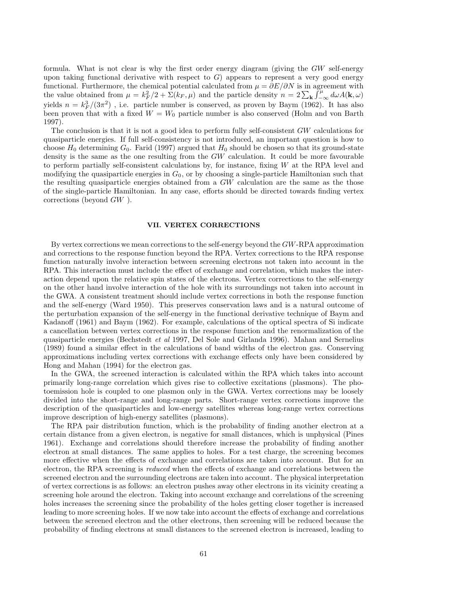formula. What is not clear is why the first order energy diagram (giving the GW self-energy upon taking functional derivative with respect to  $G$ ) appears to represent a very good energy functional. Furthermore, the chemical potential calculated from  $\mu = \partial E/\partial N$  is in agreement with the value obtained from  $\mu = k_F^2/2 + \Sigma(k_F, \mu)$  and the particle density  $n = 2 \sum_{\mathbf{k}} \int_{-\infty}^{\mu} d\omega A(\mathbf{k}, \omega)$ yields  $n = k_F^3/(3\pi^2)$ , i.e. particle number is conserved, as proven by Baym (1962). It has also been proven that with a fixed  $W = W_0$  particle number is also conserved (Holm and von Barth 1997).

The conclusion is that it is not a good idea to perform fully self-consistent GW calculations for quasiparticle energies. If full self-consistency is not introduced, an important question is how to choose  $H_0$  determining  $G_0$ . Farid (1997) argued that  $H_0$  should be chosen so that its ground-state density is the same as the one resulting from the GW calculation. It could be more favourable to perform partially self-consistent calculations by, for instance, fixing W at the RPA level and modifying the quasiparticle energies in  $G_0$ , or by choosing a single-particle Hamiltonian such that the resulting quasiparticle energies obtained from a GW calculation are the same as the those of the single-particle Hamiltonian. In any case, efforts should be directed towards finding vertex corrections (beyond GW ).

## VII. VERTEX CORRECTIONS

By vertex corrections we mean corrections to the self-energy beyond the GW-RPA approximation and corrections to the response function beyond the RPA. Vertex corrections to the RPA response function naturally involve interaction between screening electrons not taken into account in the RPA. This interaction must include the effect of exchange and correlation, which makes the interaction depend upon the relative spin states of the electrons. Vertex corrections to the self-energy on the other hand involve interaction of the hole with its surroundings not taken into account in the GWA. A consistent treatment should include vertex corrections in both the response function and the self-energy (Ward 1950). This preserves conservation laws and is a natural outcome of the perturbation expansion of the self-energy in the functional derivative technique of Baym and Kadanoff (1961) and Baym (1962). For example, calculations of the optical spectra of Si indicate a cancellation between vertex corrections in the response function and the renormalization of the quasiparticle energies (Bechstedt *et al* 1997, Del Sole and Girlanda 1996). Mahan and Sernelius (1989) found a similar effect in the calculations of band widths of the electron gas. Conserving approximations including vertex corrections with exchange effects only have been considered by Hong and Mahan (1994) for the electron gas.

In the GWA, the screened interaction is calculated within the RPA which takes into account primarily long-range correlation which gives rise to collective excitations (plasmons). The photoemission hole is coupled to one plasmon only in the GWA. Vertex corrections may be loosely divided into the short-range and long-range parts. Short-range vertex corrections improve the description of the quasiparticles and low-energy satellites whereas long-range vertex corrections improve description of high-energy satellites (plasmons).

The RPA pair distribution function, which is the probability of finding another electron at a certain distance from a given electron, is negative for small distances, which is unphysical (Pines 1961). Exchange and correlations should therefore increase the probability of finding another electron at small distances. The same applies to holes. For a test charge, the screening becomes more effective when the effects of exchange and correlations are taken into account. But for an electron, the RPA screening is *reduced* when the effects of exchange and correlations between the screened electron and the surrounding electrons are taken into account. The physical interpretation of vertex corrections is as follows: an electron pushes away other electrons in its vicinity creating a screening hole around the electron. Taking into account exchange and correlations of the screening holes increases the screening since the probability of the holes getting closer together is increased leading to more screening holes. If we now take into account the effects of exchange and correlations between the screened electron and the other electrons, then screening will be reduced because the probability of finding electrons at small distances to the screened electron is increased, leading to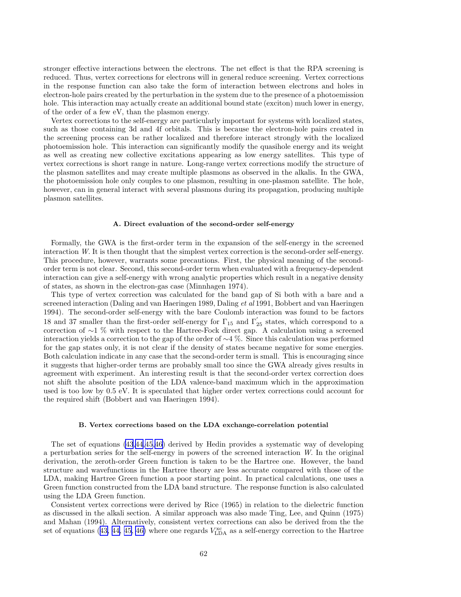stronger effective interactions between the electrons. The net effect is that the RPA screening is reduced. Thus, vertex corrections for electrons will in general reduce screening. Vertex corrections in the response function can also take the form of interaction between electrons and holes in electron-hole pairs created by the perturbation in the system due to the presence of a photoemission hole. This interaction may actually create an additional bound state (exciton) much lower in energy, of the order of a few eV, than the plasmon energy.

Vertex corrections to the self-energy are particularly important for systems with localized states, such as those containing 3d and 4f orbitals. This is because the electron-hole pairs created in the screening process can be rather localized and therefore interact strongly with the localized photoemission hole. This interaction can significantly modify the quasihole energy and its weight as well as creating new collective excitations appearing as low energy satellites. This type of vertex corrections is short range in nature. Long-range vertex corrections modify the structure of the plasmon satellites and may create multiple plasmons as observed in the alkalis. In the GWA, the photoemission hole only couples to one plasmon, resulting in one-plasmon satellite. The hole, however, can in general interact with several plasmons during its propagation, producing multiple plasmon satellites.

### A. Direct evaluation of the second-order self-energy

Formally, the GWA is the first-order term in the expansion of the self-energy in the screened interaction *W*. It is then thought that the simplest vertex correction is the second-order self-energy. This procedure, however, warrants some precautions. First, the physical meaning of the secondorder term is not clear. Second, this second-order term when evaluated with a frequency-dependent interaction can give a self-energy with wrong analytic properties which result in a negative density of states, as shown in the electron-gas case (Minnhagen 1974).

This type of vertex correction was calculated for the band gap of Si both with a bare and a screened interaction (Daling and van Haeringen 1989, Daling *et al* 1991, Bobbert and van Haeringen 1994). The second-order self-energy with the bare Coulomb interaction was found to be factors 18 and 37 smaller than the first-order self-energy for  $\Gamma_{15}$  and  $\Gamma'_{25}$  states, which correspond to a correction of ∼1 % with respect to the Hartree-Fock direct gap. A calculation using a screened interaction yields a correction to the gap of the order of ∼4 %. Since this calculation was performed for the gap states only, it is not clear if the density of states became negative for some energies. Both calculation indicate in any case that the second-order term is small. This is encouraging since it suggests that higher-order terms are probably small too since the GWA already gives results in agreement with experiment. An interesting result is that the second-order vertex correction does not shift the absolute position of the LDA valence-band maximum which in the approximation used is too low by 0.5 eV. It is speculated that higher order vertex corrections could account for the required shift (Bobbert and van Haeringen 1994).

#### B. Vertex corrections based on the LDA exchange-correlation potential

The set of equations [\(43,44](#page-11-0),[45](#page-11-0),[46\)](#page-11-0) derived by Hedin provides a systematic way of developing a perturbation series for the self-energy in powers of the screened interaction *W*. In the original derivation, the zeroth-order Green function is taken to be the Hartree one. However, the band structure and wavefunctions in the Hartree theory are less accurate compared with those of the LDA, making Hartree Green function a poor starting point. In practical calculations, one uses a Green function constructed from the LDA band structure. The response function is also calculated using the LDA Green function.

Consistent vertex corrections were derived by Rice (1965) in relation to the dielectric function as discussed in the alkali section. A similar approach was also made Ting, Lee, and Quinn (1975) and Mahan (1994). Alternatively, consistent vertex corrections can also be derived from the the setof equations ([43, 44, 45, 46\)](#page-11-0) where one regards  $V_{\text{LDA}}^{\text{xc}}$  as a self-energy correction to the Hartree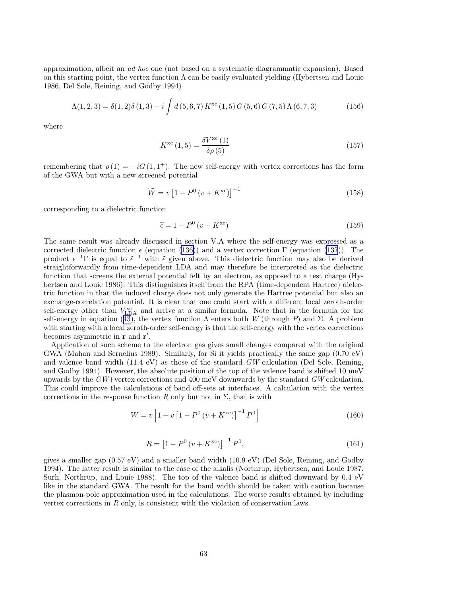approximation, albeit an *ad hoc* one (not based on a systematic diagrammatic expansion). Based on this starting point, the vertex function  $\Lambda$  can be easily evaluated yielding (Hybertsen and Louie 1986, Del Sole, Reining, and Godby 1994)

$$
\Lambda(1,2,3) = \delta(1,2)\delta(1,3) - i \int d(5,6,7) K^{xc}(1,5) G(5,6) G(7,5) \Lambda(6,7,3)
$$
 (156)

where

$$
K^{\rm xc}\left(1,5\right) = \frac{\delta V^{\rm xc}\left(1\right)}{\delta \rho\left(5\right)}\tag{157}
$$

remembering that  $\rho(1) = -iG(1, 1^+)$ . The new self-energy with vertex corrections has the form of the GWA but with a new screened potential

$$
\widetilde{W} = v \left[ 1 - P^0 \left( v + K^{\text{xc}} \right) \right]^{-1} \tag{158}
$$

corresponding to a dielectric function

$$
\tilde{\epsilon} = 1 - P^0 \left( v + K^{\text{xc}} \right) \tag{159}
$$

The same result was already discussed in section V.A where the self-energy was expressed as a corrected dielectric function  $\epsilon$  (equation [\(136\)](#page-30-0)) and a vertex correction  $\Gamma$  (equation [\(137](#page-30-0))). The product  $\epsilon^{-1}\Gamma$  is equal to  $\tilde{\epsilon}^{-1}$  with  $\tilde{\epsilon}$  given above. This dielectric function may also be derived straightforwardly from time-dependent LDA and may therefore be interpreted as the dielectric function that screens the external potential felt by an electron, as opposed to a test charge (Hybertsen and Louie 1986). This distinguishes itself from the RPA (time-dependent Hartree) dielectric function in that the induced charge does not only generate the Hartree potential but also an exchange-correlation potential. It is clear that one could start with a different local zeroth-order self-energy other than  $V_{\text{LDA}}^{\text{xc}}$  and arrive at a similar formula. Note that in the formula for the self-energyin equation ([43\)](#page-11-0), the vertex function  $\Lambda$  enters both *W* (through *P*) and Σ. A problem with starting with a local zeroth-order self-energy is that the self-energy with the vertex corrections becomes asymmetric in **r** and **r'**.

Application of such scheme to the electron gas gives small changes compared with the original GWA (Mahan and Sernelius 1989). Similarly, for Si it yields practically the same gap (0.70 eV) and valence band width (11.4 eV) as those of the standard *GW* calculation (Del Sole, Reining, and Godby 1994). However, the absolute position of the top of the valence band is shifted 10 meV upwards by the *GW*+vertex corrections and 400 meV downwards by the standard *GW* calculation. This could improve the calculations of band off-sets at interfaces. A calculation with the vertex corrections in the response function *R* only but not in  $\Sigma$ , that is with

$$
W = v \left[ 1 + v \left[ 1 - P^0 \left( v + K^{\text{xc}} \right) \right]^{-1} P^0 \right]
$$
 (160)

$$
R = \left[1 - P^0 \left(v + K^{\text{xc}}\right)\right]^{-1} P^0,\tag{161}
$$

gives a smaller gap (0.57 eV) and a smaller band width (10.9 eV) (Del Sole, Reining, and Godby 1994). The latter result is similar to the case of the alkalis (Northrup, Hybertsen, and Louie 1987, Surh, Northrup, and Louie 1988). The top of the valence band is shifted downward by 0.4 eV like in the standard GWA. The result for the band width should be taken with caution because the plasmon-pole approximation used in the calculations. The worse results obtained by including vertex corrections in *R* only, is consistent with the violation of conservation laws.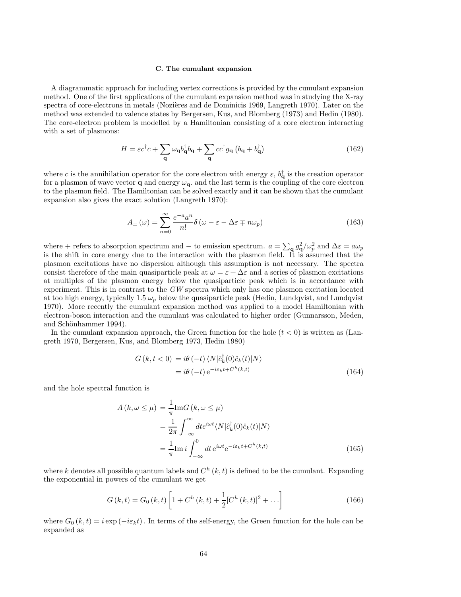## C. The cumulant expansion

<span id="page-63-0"></span>A diagrammatic approach for including vertex corrections is provided by the cumulant expansion method. One of the first applications of the cumulant expansion method was in studying the X-ray spectra of core-electrons in metals (Nozières and de Dominicis 1969, Langreth 1970). Later on the method was extended to valence states by Bergersen, Kus, and Blomberg (1973) and Hedin (1980). The core-electron problem is modelled by a Hamiltonian consisting of a core electron interacting with a set of plasmons:

$$
H = \varepsilon c^{\dagger} c + \sum_{\mathbf{q}} \omega_{\mathbf{q}} b_{\mathbf{q}}^{\dagger} b_{\mathbf{q}} + \sum_{\mathbf{q}} c c^{\dagger} g_{\mathbf{q}} \left( b_{\mathbf{q}} + b_{\mathbf{q}}^{\dagger} \right)
$$
 (162)

where c is the annihilation operator for the core electron with energy  $\varepsilon$ ,  $b_{\mathbf{q}}^{\dagger}$  is the creation operator for a plasmon of wave vector q and energy  $\omega_{q}$  and the last term is the coupling of the core electron to the plasmon field. The Hamiltonian can be solved exactly and it can be shown that the cumulant expansion also gives the exact solution (Langreth 1970):

$$
A_{\pm}(\omega) = \sum_{n=0}^{\infty} \frac{e^{-a}a^n}{n!} \delta(\omega - \varepsilon - \Delta \varepsilon \mp n\omega_p)
$$
 (163)

where + refers to absorption spectrum and – to emission spectrum.  $a = \sum_{\mathbf{q}} g_{\mathbf{q}}^2 / \omega_p^2$  and  $\Delta \varepsilon = a \omega_p$ is the shift in core energy due to the interaction with the plasmon field. It is assumed that the plasmon excitations have no dispersion although this assumption is not necessary. The spectra consist therefore of the main quasiparticle peak at  $\omega = \varepsilon + \Delta \varepsilon$  and a series of plasmon excitations at multiples of the plasmon energy below the quasiparticle peak which is in accordance with experiment. This is in contrast to the *GW* spectra which only has one plasmon excitation located at too high energy, typically 1.5  $\omega_p$  below the quasiparticle peak (Hedin, Lundqvist, and Lundqvist 1970). More recently the cumulant expansion method was applied to a model Hamiltonian with electron-boson interaction and the cumulant was calculated to higher order (Gunnarsson, Meden, and Schönhammer 1994).

In the cumulant expansion approach, the Green function for the hole  $(t < 0)$  is written as (Langreth 1970, Bergersen, Kus, and Blomberg 1973, Hedin 1980)

$$
G(k, t < 0) = i\theta (-t) \langle N|\hat{c}_k^{\dagger}(0)\hat{c}_k(t)|N\rangle
$$
  
=  $i\theta (-t) e^{-i\varepsilon_k t + C^h(k, t)}$  (164)

and the hole spectral function is

$$
A(k,\omega \le \mu) = \frac{1}{\pi} \text{Im} G(k,\omega \le \mu)
$$
  
= 
$$
\frac{1}{2\pi} \int_{-\infty}^{\infty} dt e^{i\omega t} \langle N|\hat{c}_k^{\dagger}(0)\hat{c}_k(t)|N\rangle
$$
  
= 
$$
\frac{1}{\pi} \text{Im} i \int_{-\infty}^{0} dt e^{i\omega t} e^{-i\varepsilon_k t + C^h(k,t)}
$$
(165)

where k denotes all possible quantum labels and  $C<sup>h</sup>(k,t)$  is defined to be the cumulant. Expanding the exponential in powers of the cumulant we get

$$
G(k,t) = G_0(k,t) \left[ 1 + C^h(k,t) + \frac{1}{2} [C^h(k,t)]^2 + \dots \right]
$$
 (166)

where  $G_0(k, t) = i \exp(-i \varepsilon_k t)$ . In terms of the self-energy, the Green function for the hole can be expanded as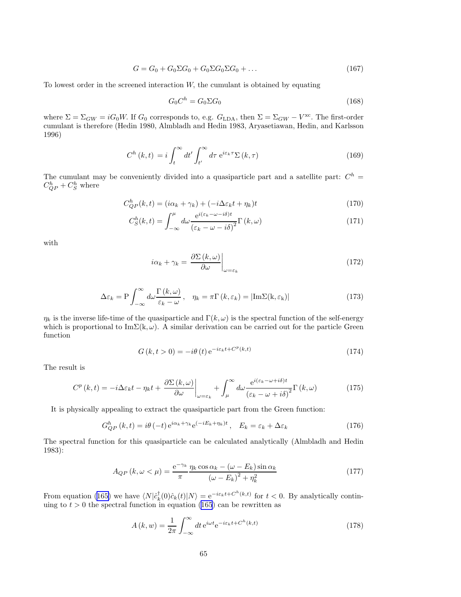$$
G = G_0 + G_0 \Sigma G_0 + G_0 \Sigma G_0 \Sigma G_0 + \dots \tag{167}
$$

<span id="page-64-0"></span>To lowest order in the screened interaction  $W$ , the cumulant is obtained by equating

$$
G_0 C^h = G_0 \Sigma G_0 \tag{168}
$$

where  $\Sigma = \Sigma_{GW} = iG_0W$ . If  $G_0$  corresponds to, e.g.  $G_{\text{LDA}}$ , then  $\Sigma = \Sigma_{GW} - V^{\text{xc}}$ . The first-order cumulant is therefore (Hedin 1980, Almbladh and Hedin 1983, Aryasetiawan, Hedin, and Karlsson 1996)

$$
C^{h}(k,t) = i \int_{t}^{\infty} dt' \int_{t'}^{\infty} d\tau \ e^{i\varepsilon_{k}\tau} \Sigma(k,\tau)
$$
 (169)

The cumulant may be conveniently divided into a quasiparticle part and a satellite part:  $C<sup>h</sup>$  =  $C_{QP}^h + C_S^h$  where

$$
C_{QP}^h(k,t) = (i\alpha_k + \gamma_k) + (-i\Delta\varepsilon_k t + \eta_k)t
$$
\n(170)

$$
C_S^h(k,t) = \int_{-\infty}^{\mu} d\omega \frac{e^{i(\varepsilon_k - \omega - i\delta)t}}{(\varepsilon_k - \omega - i\delta)^2} \Gamma(k,\omega)
$$
 (171)

with

$$
i\alpha_k + \gamma_k = \left. \frac{\partial \Sigma(k,\omega)}{\partial \omega} \right|_{\omega = \varepsilon_k} \tag{172}
$$

$$
\Delta \varepsilon_k = \mathcal{P} \int_{-\infty}^{\infty} d\omega \frac{\Gamma(k, \omega)}{\varepsilon_k - \omega}, \quad \eta_k = \pi \Gamma(k, \varepsilon_k) = |\text{Im}\Sigma(\mathbf{k}, \varepsilon_{\mathbf{k}})| \tag{173}
$$

 $\eta_k$  is the inverse life-time of the quasiparticle and  $\Gamma(k,\omega)$  is the spectral function of the self-energy which is proportional to  $Im\Sigma(k,\omega)$ . A similar derivation can be carried out for the particle Green function

$$
G(k, t > 0) = -i\theta(t) e^{-i\varepsilon_k t + C^p(k, t)}
$$
\n(174)

The result is

$$
C^{p}(k,t) = -i\Delta\varepsilon_{k}t - \eta_{k}t + \left.\frac{\partial\Sigma(k,\omega)}{\partial\omega}\right|_{\omega=\varepsilon_{k}} + \int_{\mu}^{\infty} d\omega \frac{e^{i(\varepsilon_{k}-\omega+i\delta)t}}{\left(\varepsilon_{k}-\omega+i\delta\right)^{2}}\Gamma(k,\omega)
$$
(175)

It is physically appealing to extract the quasiparticle part from the Green function:

$$
G_{QP}^{h}\left(k,t\right) = i\theta\left(-t\right)e^{i\alpha_{k}+\gamma_{k}}e^{\left(-iE_{k}+\eta_{k}\right)t}, \quad E_{k} = \varepsilon_{k} + \Delta\varepsilon_{k} \tag{176}
$$

The spectral function for this quasiparticle can be calculated analytically (Almbladh and Hedin 1983):

$$
A_{QP}(k, \omega < \mu) = \frac{e^{-\gamma_k}}{\pi} \frac{\eta_k \cos \alpha_k - (\omega - E_k) \sin \alpha_k}{(\omega - E_k)^2 + \eta_k^2}
$$
(177)

Fromequation ([165\)](#page-63-0) we have  $\langle N|\hat{c}_k^{\dagger}(0)\hat{c}_k(t)|N\rangle = e^{-i\varepsilon_k t + C^h(k,t)}$  for  $t < 0$ . By analytically continuing to  $t > 0$  the spectral function in equation [\(165](#page-63-0)) can be rewritten as

$$
A(k, w) = \frac{1}{2\pi} \int_{-\infty}^{\infty} dt \,\mathrm{e}^{i\omega t} \mathrm{e}^{-i\varepsilon_k t + C^h(k, t)}
$$
\n(178)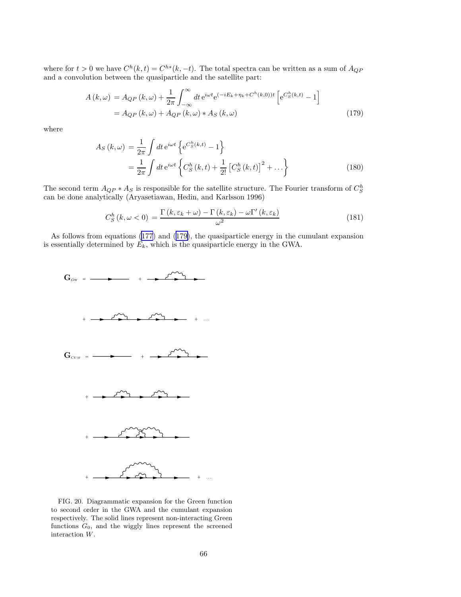<span id="page-65-0"></span>where for  $t > 0$  we have  $C^h(k, t) = C^{h*}(k, -t)$ . The total spectra can be written as a sum of  $A_{QF}$ and a convolution between the quasiparticle and the satellite part:

$$
A(k,\omega) = A_{QP}(k,\omega) + \frac{1}{2\pi} \int_{-\infty}^{\infty} dt e^{i\omega t} e^{(-iE_k + \eta_k + C^h(k,0))t} \left[ e^{C_S^h(k,t)} - 1 \right]
$$

$$
= A_{QP}(k,\omega) + A_{QP}(k,\omega) * A_S(k,\omega)
$$
(179)

where

$$
A_{S}(k,\omega) = \frac{1}{2\pi} \int dt \, e^{i\omega t} \left\{ e^{C_{S}^{h}(k,t)} - 1 \right\}
$$
  
= 
$$
\frac{1}{2\pi} \int dt \, e^{i\omega t} \left\{ C_{S}^{h}(k,t) + \frac{1}{2!} \left[ C_{S}^{h}(k,t) \right]^{2} + \dots \right\}
$$
 (180)

The second term  $A_{QP} * A_S$  is responsible for the satellite structure. The Fourier transform of  $C_S^h$ can be done analytically (Aryasetiawan, Hedin, and Karlsson 1996)

$$
C_{S}^{h}(k, \omega < 0) = \frac{\Gamma(k, \varepsilon_{k} + \omega) - \Gamma(k, \varepsilon_{k}) - \omega \Gamma'(k, \varepsilon_{k})}{\omega^{2}}
$$
(181)

As follows from equations [\(177](#page-64-0)) and (179), the quasiparticle energy in the cumulant expansion is essentially determined by  $E_k$ , which is the quasiparticle energy in the GWA.



FIG. 20. Diagrammatic expansion for the Green function to second order in the GWA and the cumulant expansion respectively. The solid lines represent non-interacting Green functions G0, and the wiggly lines represent the screened interaction W.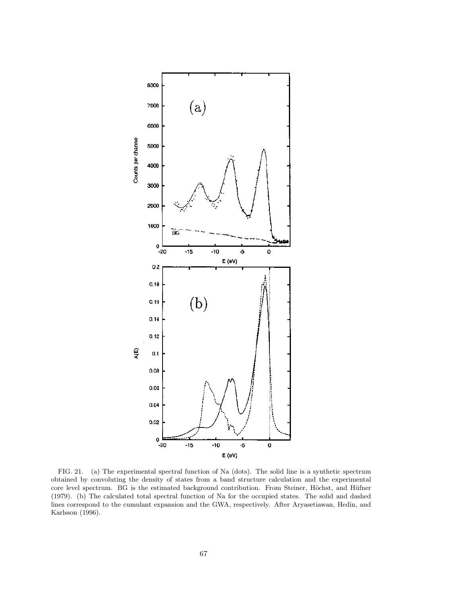

FIG. 21. (a) The experimental spectral function of Na (dots). The solid line is a synthetic spectrum obtained by convoluting the density of states from a band structure calculation and the experimental core level spectrum. BG is the estimated background contribution. From Steiner, Höchst, and Hüfner (1979). (b) The calculated total spectral function of Na for the occupied states. The solid and dashed lines correspond to the cumulant expansion and the GWA, respectively. After Aryasetiawan, Hedin, and Karlsson (1996).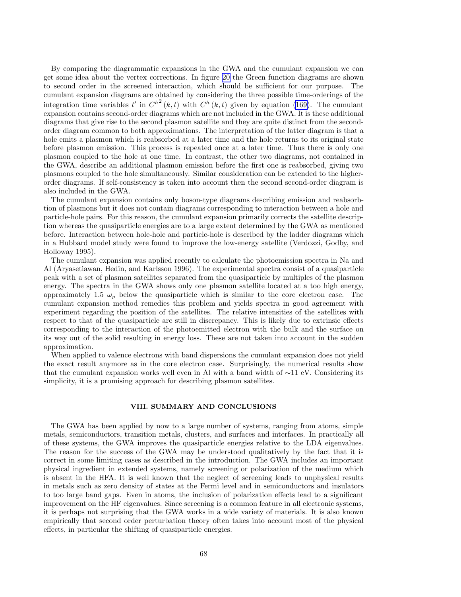By comparing the diagrammatic expansions in the GWA and the cumulant expansion we can get some idea about the vertex corrections. In figure [20](#page-65-0) the Green function diagrams are shown to second order in the screened interaction, which should be sufficient for our purpose. The cumulant expansion diagrams are obtained by considering the three possible time-orderings of the integrationtime variables t' in  $C^{h^2}(k,t)$  with  $C^h(k,t)$  given by equation ([169](#page-64-0)). The cumulant expansion contains second-order diagrams which are not included in the GWA. It is these additional diagrams that give rise to the second plasmon satellite and they are quite distinct from the secondorder diagram common to both approximations. The interpretation of the latter diagram is that a hole emits a plasmon which is reabsorbed at a later time and the hole returns to its original state before plasmon emission. This process is repeated once at a later time. Thus there is only one plasmon coupled to the hole at one time. In contrast, the other two diagrams, not contained in the GWA, describe an additional plasmon emission before the first one is reabsorbed, giving two plasmons coupled to the hole simultaneously. Similar consideration can be extended to the higherorder diagrams. If self-consistency is taken into account then the second second-order diagram is also included in the GWA.

The cumulant expansion contains only boson-type diagrams describing emission and reabsorbtion of plasmons but it does not contain diagrams corresponding to interaction between a hole and particle-hole pairs. For this reason, the cumulant expansion primarily corrects the satellite description whereas the quasiparticle energies are to a large extent determined by the GWA as mentioned before. Interaction between hole-hole and particle-hole is described by the ladder diagrams which in a Hubbard model study were found to improve the low-energy satellite (Verdozzi, Godby, and Holloway 1995).

The cumulant expansion was applied recently to calculate the photoemission spectra in Na and Al (Aryasetiawan, Hedin, and Karlsson 1996). The experimental spectra consist of a quasiparticle peak with a set of plasmon satellites separated from the quasiparticle by multiples of the plasmon energy. The spectra in the GWA shows only one plasmon satellite located at a too high energy, approximately 1.5  $\omega_p$  below the quasiparticle which is similar to the core electron case. The cumulant expansion method remedies this problem and yields spectra in good agreement with experiment regarding the position of the satellites. The relative intensities of the satellites with respect to that of the quasiparticle are still in discrepancy. This is likely due to extrinsic effects corresponding to the interaction of the photoemitted electron with the bulk and the surface on its way out of the solid resulting in energy loss. These are not taken into account in the sudden approximation.

When applied to valence electrons with band dispersions the cumulant expansion does not yield the exact result anymore as in the core electron case. Surprisingly, the numerical results show that the cumulant expansion works well even in Al with a band width of ∼11 eV. Considering its simplicity, it is a promising approach for describing plasmon satellites.

# VIII. SUMMARY AND CONCLUSIONS

The GWA has been applied by now to a large number of systems, ranging from atoms, simple metals, semiconductors, transition metals, clusters, and surfaces and interfaces. In practically all of these systems, the GWA improves the quasiparticle energies relative to the LDA eigenvalues. The reason for the success of the GWA may be understood qualitatively by the fact that it is correct in some limiting cases as described in the introduction. The GWA includes an important physical ingredient in extended systems, namely screening or polarization of the medium which is absent in the HFA. It is well known that the neglect of screening leads to unphysical results in metals such as zero density of states at the Fermi level and in semiconductors and insulators to too large band gaps. Even in atoms, the inclusion of polarization effects lead to a significant improvement on the HF eigenvalues. Since screening is a common feature in all electronic systems, it is perhaps not surprising that the GWA works in a wide variety of materials. It is also known empirically that second order perturbation theory often takes into account most of the physical effects, in particular the shifting of quasiparticle energies.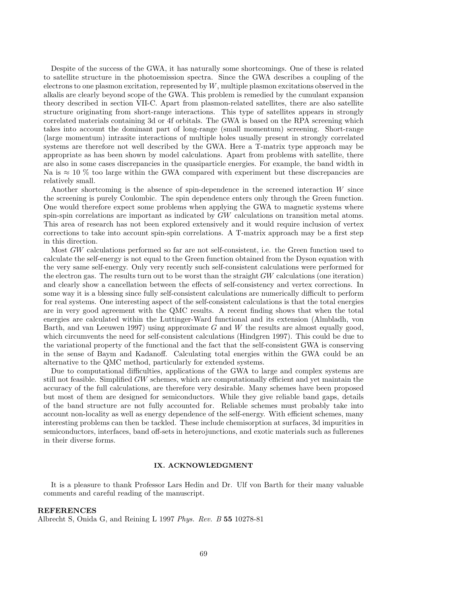Despite of the success of the GWA, it has naturally some shortcomings. One of these is related to satellite structure in the photoemission spectra. Since the GWA describes a coupling of the electrons to one plasmon excitation, represented by  $W$ , multiple plasmon excitations observed in the alkalis are clearly beyond scope of the GWA. This problem is remedied by the cumulant expansion theory described in section VII-C. Apart from plasmon-related satellites, there are also satellite structure originating from short-range interactions. This type of satellites appears in strongly correlated materials containing 3d or 4f orbitals. The GWA is based on the RPA screening which takes into account the dominant part of long-range (small momentum) screening. Short-range (large momentum) intrasite interactions of multiple holes usually present in strongly correlated systems are therefore not well described by the GWA. Here a T-matrix type approach may be appropriate as has been shown by model calculations. Apart from problems with satellite, there are also in some cases discrepancies in the quasiparticle energies. For example, the band width in Na is  $\approx$  10 % too large within the GWA compared with experiment but these discrepancies are relatively small.

Another shortcoming is the absence of spin-dependence in the screened interaction W since the screening is purely Coulombic. The spin dependence enters only through the Green function. One would therefore expect some problems when applying the GWA to magnetic systems where spin-spin correlations are important as indicated by GW calculations on transition metal atoms. This area of research has not been explored extensively and it would require inclusion of vertex corrections to take into account spin-spin correlations. A T-matrix approach may be a first step in this direction.

Most GW calculations performed so far are not self-consistent, i.e. the Green function used to calculate the self-energy is not equal to the Green function obtained from the Dyson equation with the very same self-energy. Only very recently such self-consistent calculations were performed for the electron gas. The results turn out to be worst than the straight GW calculations (one iteration) and clearly show a cancellation between the effects of self-consistency and vertex corrections. In some way it is a blessing since fully self-consistent calculations are numerically difficult to perform for real systems. One interesting aspect of the self-consistent calculations is that the total energies are in very good agreement with the QMC results. A recent finding shows that when the total energies are calculated within the Luttinger-Ward functional and its extension (Almbladh, von Barth, and van Leeuwen 1997) using approximate  $G$  and  $W$  the results are almost equally good, which circumvents the need for self-consistent calculations (Hindgren 1997). This could be due to the variational property of the functional and the fact that the self-consistent GWA is conserving in the sense of Baym and Kadanoff. Calculating total energies within the GWA could be an alternative to the QMC method, particularly for extended systems.

Due to computational difficulties, applications of the GWA to large and complex systems are still not feasible. Simplified GW schemes, which are computationally efficient and yet maintain the accuracy of the full calculations, are therefore very desirable. Many schemes have been proposed but most of them are designed for semiconductors. While they give reliable band gaps, details of the band structure are not fully accounted for. Reliable schemes must probably take into account non-locality as well as energy dependence of the self-energy. With efficient schemes, many interesting problems can then be tackled. These include chemisorption at surfaces, 3d impurities in semiconductors, interfaces, band off-sets in heterojunctions, and exotic materials such as fullerenes in their diverse forms.

## IX. ACKNOWLEDGMENT

It is a pleasure to thank Professor Lars Hedin and Dr. Ulf von Barth for their many valuable comments and careful reading of the manuscript.

## REFERENCES

Albrecht S, Onida G, and Reining L 1997 *Phys. Rev. B* 55 10278-81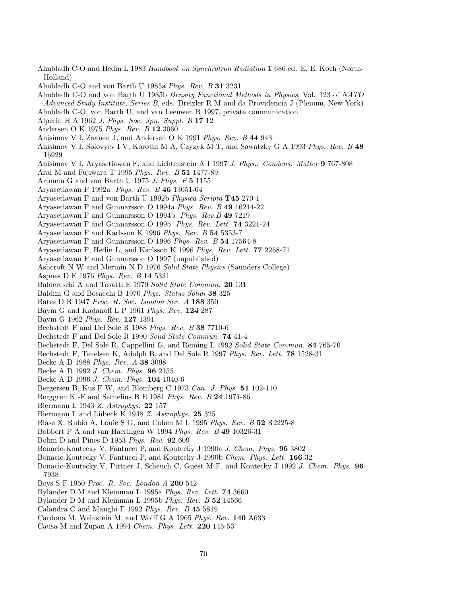- Almbladh C-O and Hedin L 1983 *Handbook on Synchrotron Radiation* 1 686 ed. E. E. Koch (North-Holland)
- Almbladh C-O and von Barth U 1985a *Phys. Rev. B* 31 3231
- Almbladh C-O and von Barth U 1985b *Density Functional Methods in Physics*, Vol. 123 of *NATO Advanced Study Institute, Series B*, eds. Dreizler R M and da Providencia J (Plenum, New York) Almbladh C-O, von Barth U, and van Leeuwen R 1997, private communication
- Alperin H A 1962 *J. Phys. Soc. Jpn. Suppl. B* 17 12
- Andersen O K 1975 *Phys. Rev. B* 12 3060
- 
- Anisimov V I, Zaanen J, and Andersen O K 1991 *Phys. Rev. B* 44 943
- Anisimov V I, Solovyev I V, Korotin M A, Czyzyk M T, and Sawatzky G A 1993 *Phys. Rev. B* 48 16929
- Anisimov V I, Aryasetiawan F, and Lichtenstein A I 1997 *J. Phys.: Condens. Matter* 9 767-808
- Arai M and Fujiwara T 1995 *Phys. Rev. B* 51 1477-89
- Arbman G and von Barth U 1975 *J. Phys. F* 5 1155
- Aryasetiawan F 1992a *Phys. Rev. B* 46 13051-64
- Aryasetiawan F and von Barth U 1992b *Physica Scripta* T45 270-1
- Aryasetiawan F and Gunnarsson O 1994a *Phys. Rev. B* 49 16214-22
- Aryasetiawan F and Gunnarsson O 1994b *Phys. Rev.B* 49 7219
- Aryasetiawan F and Gunnarsson O 1995 *Phys. Rev. Lett.* 74 3221-24
- Aryasetiawan F and Karlsson K 1996 *Phys. Rev. B* 54 5353-7
- Aryasetiawan F and Gunnarsson O 1996 *Phys. Rev. B* 54 17564-8
- Aryasetiawan F, Hedin L, and Karlsson K 1996 *Phys. Rev. Lett.* 77 2268-71
- Aryasetiawan F and Gunnarsson O 1997 (unpublished)
- Ashcroft N W and Mermin N D 1976 *Solid State Physics* (Saunders College)
- Aspnes D E 1976 *Phys. Rev. B* 14 5331
- Baldereschi A and Tosatti E 1979 *Solid State Commun.* 20 131
- Baldini G and Bosacchi B 1970 *Phys. Status Solidi* 38 325
- Bates D R 1947 *Proc. R. Soc. London Ser. A* 188 350
- Baym G and Kadanoff L P 1961 *Phys. Rev.* 124 287
- Baym G 1962 *Phys. Rev.* 127 1391
- Bechstedt F and Del Sole R 1988 *Phys. Rev. B* 38 7710-6
- Bechstedt F and Del Sole R 1990 *Solid State Commun.* 74 41-4
- Bechstedt F, Del Sole R, Cappellini G, and Reining L 1992 *Solid State Commun.* 84 765-70
- Bechstedt F, Tenelsen K, Adolph B, and Del Sole R 1997 *Phys. Rev. Lett.* 78 1528-31
- Becke A D 1988 *Phys. Rev. A* 38 3098
- Becke A D 1992 *J. Chem. Phys.* 96 2155
- Becke A D 1996 *J. Chem. Phys.* 104 1040-6
- Bergersen B, Kus F W, and Blomberg C 1973 *Can. J. Phys.* 51 102-110
- Berggren K -F and Sernelius B E 1981 *Phys. Rev. B* 24 1971-86
- Biermann L 1943 *Z. Astrophys.* 22 157
- Biermann L and Lübeck K 1948 Z. Astrophys. 25 325
- Blase X, Rubio A, Louie S G, and Cohen M L 1995 *Phys. Rev. B* 52 R2225-8
- Bobbert P A and van Haeringen W 1994 *Phys. Rev. B* 49 10326-31
- Bohm D and Pines D 1953 *Phys. Rev.* 92 609
- Bonacic-Koutecky V, Fantucci P, and Koutecky J 1990a *J. Chem. Phys.* 96 3802
- Bonacic-Koutecky V, Fantucci P, and Koutecky J 1990b *Chem. Phys. Lett.* 166 32
- Bonacic-Koutecky V, Pittner J, Scheuch C, Guest M F, and Koutecky J 1992 *J. Chem. Phys.* 96 7938
- Boys S F 1950 *Proc. R. Soc. London A* 200 542
- Bylander D M and Kleinman L 1995a *Phys. Rev. Lett.* 74 3660
- Bylander D M and Kleinman L 1995b *Phys. Rev. B* 52 14566
- Calandra C and Manghi F 1992 *Phys. Rev. B* 45 5819
- Cardona M, Weinstein M, and Wolff G A 1965 *Phys. Rev.* 140 A633
- Causa M and Zupan A 1994 *Chem. Phys. Lett.* 220 145-53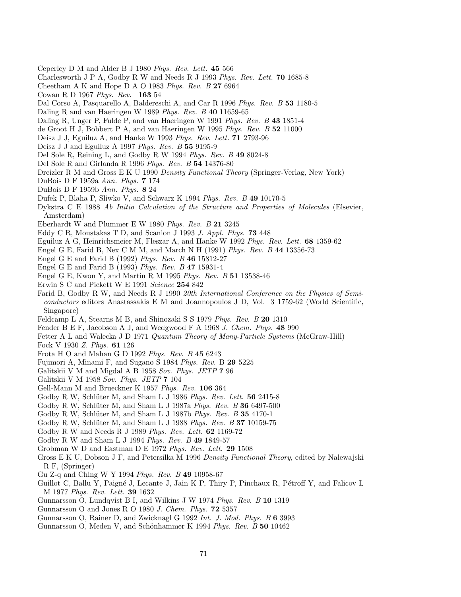- Ceperley D M and Alder B J 1980 *Phys. Rev. Lett.* 45 566
- Charlesworth J P A, Godby R W and Needs R J 1993 *Phys. Rev. Lett.* 70 1685-8
- Cheetham A K and Hope D A O 1983 *Phys. Rev. B* 27 6964
- Cowan R D 1967 *Phys. Rev.* 163 54
- Dal Corso A, Pasquarello A, Baldereschi A, and Car R 1996 *Phys. Rev. B* 53 1180-5
- Daling R and van Haeringen W 1989 *Phys. Rev. B* 40 11659-65
- Daling R, Unger P, Fulde P, and van Haeringen W 1991 *Phys. Rev. B* 43 1851-4
- de Groot H J, Bobbert P A, and van Haeringen W 1995 *Phys. Rev. B* 52 11000
- Deisz J J, Eguiluz A, and Hanke W 1993 *Phys. Rev. Lett.* 71 2793-96
- Deisz J J and Eguiluz A 1997 *Phys. Rev. B* 55 9195-9
- Del Sole R, Reining L, and Godby R W 1994 *Phys. Rev. B* 49 8024-8
- Del Sole R and Girlanda R 1996 *Phys. Rev. B* 54 14376-80
- Dreizler R M and Gross E K U 1990 *Density Functional Theory* (Springer-Verlag, New York)
- DuBois D F 1959a *Ann. Phys.* 7 174
- DuBois D F 1959b *Ann. Phys.* 8 24
- Dufek P, Blaha P, Sliwko V, and Schwarz K 1994 *Phys. Rev. B* 49 10170-5
- Dykstra C E 1988 *Ab Initio Calculation of the Structure and Properties of Molecules* (Elsevier, Amsterdam)
- Eberhardt W and Plummer E W 1980 *Phys. Rev. B* 21 3245
- Eddy C R, Moustakas T D, and Scanlon J 1993 *J. Appl. Phys.* 73 448
- Eguiluz A G, Heinrichsmeier M, Fleszar A, and Hanke W 1992 *Phys. Rev. Lett.* 68 1359-62
- Engel G E, Farid B, Nex C M M, and March N H (1991) *Phys. Rev. B* 44 13356-73
- Engel G E and Farid B (1992) *Phys. Rev. B* 46 15812-27
- Engel G E and Farid B (1993) *Phys. Rev. B* 47 15931-4
- Engel G E, Kwon Y, and Martin R M 1995 *Phys. Rev. B* 51 13538-46
- Erwin S C and Pickett W E 1991 *Science* 254 842
- Farid B, Godby R W, and Needs R J 1990 *20th International Conference on the Physics of Semiconductors* editors Anastassakis E M and Joannopoulos J D, Vol. 3 1759-62 (World Scientific, Singapore)
- Feldcamp L A, Stearns M B, and Shinozaki S S 1979 *Phys. Rev. B* 20 1310
- Fender B E F, Jacobson A J, and Wedgwood F A 1968 *J. Chem. Phys.* 48 990
- Fetter A L and Walecka J D 1971 *Quantum Theory of Many-Particle Systems* (McGraw-Hill)
- Fock V 1930 *Z. Phys.* 61 126
- Frota H O and Mahan G D 1992 *Phys. Rev. B* 45 6243
- Fujimori A, Minami F, and Sugano S 1984 *Phys. Rev.* B 29 5225
- Galitskii V M and Migdal A B 1958 *Sov. Phys. JETP* 7 96
- Galitskii V M 1958 *Sov. Phys. JETP* 7 104
- Gell-Mann M and Brueckner K 1957 *Phys. Rev.* 106 364
- Godby R W, Schlüter M, and Sham L J 1986 *Phys. Rev. Lett.* 56 2415-8
- Godby R W, Schlüter M, and Sham L J 1987a *Phys. Rev. B* 36 6497-500
- Godby R W, Schlüter M, and Sham L J 1987b *Phys. Rev. B* 35 4170-1
- Godby R W, Schlüter M, and Sham L J 1988 *Phys. Rev. B* 37 10159-75
- Godby R W and Needs R J 1989 *Phys. Rev. Lett.* 62 1169-72
- Godby R W and Sham L J 1994 *Phys. Rev. B* 49 1849-57
- Grobman W D and Eastman D E 1972 *Phys. Rev. Lett.* 29 1508
- Gross E K U, Dobson J F, and Petersilka M 1996 *Density Functional Theory*, edited by Nalewajski R F, (Springer)
- Gu Z-q and Ching W Y 1994 *Phys. Rev. B* 49 10958-67
- Guillot C, Ballu Y, Paigné J, Lecante J, Jain K P, Thiry P, Pinchaux R, Pétroff Y, and Falicov L M 1977 *Phys. Rev. Lett.* 39 1632
- Gunnarsson O, Lundqvist B I, and Wilkins J W 1974 *Phys. Rev. B* 10 1319
- Gunnarsson O and Jones R O 1980 *J. Chem. Phys.* 72 5357
- Gunnarsson O, Rainer D, and Zwicknagl G 1992 *Int. J. Mod. Phys. B* 6 3993
- Gunnarsson O, Meden V, and Schönhammer K 1994 *Phys. Rev. B* 50 10462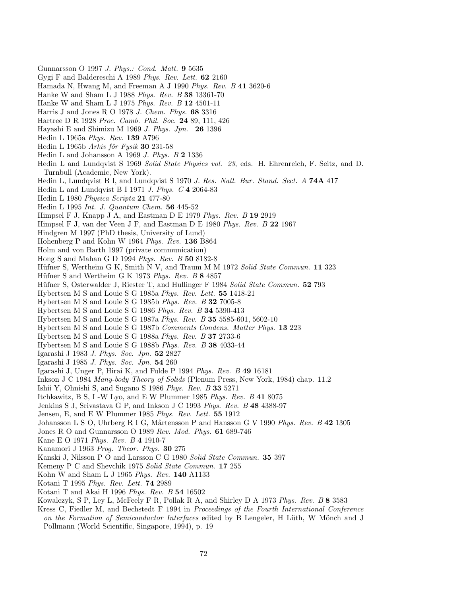Gunnarsson O 1997 *J. Phys.: Cond. Matt.* 9 5635 Gygi F and Baldereschi A 1989 *Phys. Rev. Lett.* 62 2160 Hamada N, Hwang M, and Freeman A J 1990 *Phys. Rev. B* 41 3620-6 Hanke W and Sham L J 1988 *Phys. Rev. B* 38 13361-70 Hanke W and Sham L J 1975 *Phys. Rev. B* 12 4501-11 Harris J and Jones R O 1978 *J. Chem. Phys.* 68 3316 Hartree D R 1928 *Proc. Camb. Phil. Soc.* 24 89, 111, 426 Hayashi E and Shimizu M 1969 *J. Phys. Jpn.* 26 1396 Hedin L 1965a *Phys. Rev*. 139 A796 Hedin L 1965b *Arkiv för Fysik* **30** 231-58 Hedin L and Johansson A 1969 *J. Phys. B* 2 1336 Hedin L and Lundqvist S 1969 *Solid State Physics vol. 23*, eds. H. Ehrenreich, F. Seitz, and D. Turnbull (Academic, New York). Hedin L, Lundqvist B I, and Lundqvist S 1970 *J. Res. Natl. Bur. Stand. Sect. A* 74A 417 Hedin L and Lundqvist B I 1971 *J. Phys. C* 4 2064-83 Hedin L 1980 *Physica Scripta* 21 477-80 Hedin L 1995 *Int. J. Quantum Chem.* 56 445-52 Himpsel F J, Knapp J A, and Eastman D E 1979 *Phys. Rev. B* 19 2919 Himpsel F J, van der Veen J F, and Eastman D E 1980 *Phys. Rev. B* 22 1967 Hindgren M 1997 (PhD thesis, University of Lund) Hohenberg P and Kohn W 1964 *Phys. Rev.* 136 B864 Holm and von Barth 1997 (private communication) Hong S and Mahan G D 1994 *Phys. Rev. B* 50 8182-8 Hüfner S, Wertheim G K, Smith N V, and Traum M M 1972 Solid State Commun. 11 323 Hüfner S and Wertheim G K 1973 *Phys. Rev. B* 8 4857 Hüfner S, Osterwalder J, Riester T, and Hullinger F 1984 *Solid State Commun.* 52 793 Hybertsen M S and Louie S G 1985a *Phys. Rev. Lett.* 55 1418-21 Hybertsen M S and Louie S G 1985b *Phys. Rev. B* 32 7005-8 Hybertsen M S and Louie S G 1986 *Phys. Rev. B* 34 5390-413 Hybertsen M S and Louie S G 1987a *Phys. Rev. B* 35 5585-601, 5602-10 Hybertsen M S and Louie S G 1987b *Comments Condens. Matter Phys.* 13 223 Hybertsen M S and Louie S G 1988a *Phys. Rev. B* 37 2733-6 Hybertsen M S and Louie S G 1988b *Phys. Rev. B* 38 4033-44 Igarashi J 1983 *J. Phys. Soc. Jpn.* 52 2827 Igarashi J 1985 *J. Phys. Soc. Jpn.* 54 260 Igarashi J, Unger P, Hirai K, and Fulde P 1994 *Phys. Rev. B* 49 16181 Inkson J C 1984 *Many-body Theory of Solids* (Plenum Press, New York, 1984) chap. 11.2 Ishii Y, Ohnishi S, and Sugano S 1986 *Phys. Rev. B* 33 5271 Itchkawitz, B S, I -W Lyo, and E W Plummer 1985 *Phys. Rev. B* 41 8075 Jenkins S J, Srivastava G P, and Inkson J C 1993 *Phys. Rev. B* 48 4388-97 Jensen, E, and E W Plummer 1985 *Phys. Rev. Lett.* 55 1912 Johansson L S O, Uhrberg R I G, Mårtensson P and Hansson G V 1990 *Phys. Rev. B* 42 1305 Jones R O and Gunnarsson O 1989 *Rev. Mod. Phys.* 61 689-746 Kane E O 1971 *Phys. Rev. B* 4 1910-7 Kanamori J 1963 *Prog. Theor. Phys.* 30 275 Kanski J, Nilsson P O and Larsson C G 1980 *Solid State Commun.* 35 397

- Kemeny P C and Shevchik 1975 *Solid State Commun.* 17 255
- Kohn W and Sham L J 1965 *Phys. Rev.* 140 A1133
- Kotani T 1995 *Phys. Rev. Lett.* 74 2989
- Kotani T and Akai H 1996 *Phys. Rev. B* 54 16502
- Kowalczyk, S P, Ley L, McFeely F R, Pollak R A, and Shirley D A 1973 *Phys. Rev. B* 8 3583
- Kress C, Fiedler M, and Bechstedt F 1994 in *Proceedings of the Fourth International Conference on the Formation of Semiconductor Interfaces* edited by B Lengeler, H Lüth, W Mönch and J
	- Pollmann (World Scientific, Singapore, 1994), p. 19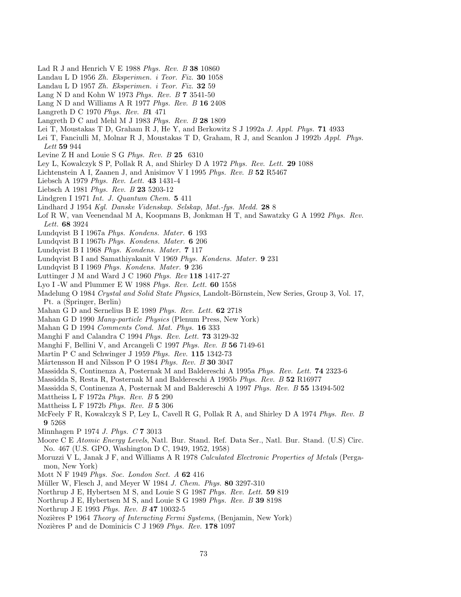- Lad R J and Henrich V E 1988 *Phys. Rev. B* 38 10860
- Landau L D 1956 *Zh. Eksperimen. i Teor. Fiz.* 30 1058
- Landau L D 1957 *Zh. Eksperimen. i Teor. Fiz.* 32 59
- Lang N D and Kohn W 1973 *Phys. Rev. B* 7 3541-50
- Lang N D and Williams A R 1977 *Phys. Rev. B* 16 2408
- Langreth D C 1970 *Phys. Rev. B*1 471
- Langreth D C and Mehl M J 1983 *Phys. Rev. B* 28 1809
- Lei T, Moustakas T D, Graham R J, He Y, and Berkowitz S J 1992a *J. Appl. Phys.* 71 4933
- Lei T, Fanciulli M, Molnar R J, Moustakas T D, Graham, R J, and Scanlon J 1992b *Appl. Phys. Lett* 59 944
- Levine Z H and Louie S G *Phys. Rev. B* 25 6310
- Ley L, Kowalczyk S P, Pollak R A, and Shirley D A 1972 *Phys. Rev. Lett.* 29 1088
- Lichtenstein A I, Zaanen J, and Anisimov V I 1995 *Phys. Rev. B* 52 R5467
- Liebsch A 1979 *Phys. Rev. Lett.* 43 1431-4
- Liebsch A 1981 *Phys. Rev. B* 23 5203-12
- Lindgren I 1971 *Int. J. Quantum Chem.* 5 411
- Lindhard J 1954 *Kgl. Danske Videnskap. Selskap, Mat.-fys. Medd.* 28 8
- Lof R W, van Veenendaal M A, Koopmans B, Jonkman H T, and Sawatzky G A 1992 *Phys. Rev. Lett.* 68 3924
- Lundqvist B I 1967a *Phys. Kondens. Mater.* 6 193
- Lundqvist B I 1967b *Phys. Kondens. Mater.* 6 206
- Lundqvist B I 1968 *Phys. Kondens. Mater.* 7 117
- Lundqvist B I and Samathiyakanit V 1969 *Phys. Kondens. Mater.* 9 231
- Lundqvist B I 1969 *Phys. Kondens. Mater.* 9 236
- Luttinger J M and Ward J C 1960 *Phys. Rev* 118 1417-27
- Lyo I -W and Plummer E W 1988 *Phys. Rev. Lett.* 60 1558
- Madelung O 1984 *Crystal and Solid State Physics*, Landolt-Börnstein, New Series, Group 3, Vol. 17, Pt. a (Springer, Berlin)
- Mahan G D and Sernelius B E 1989 *Phys. Rev. Lett.* 62 2718
- Mahan G D 1990 *Many-particle Physics* (Plenum Press, New York)
- Mahan G D 1994 *Comments Cond. Mat. Phys.* 16 333
- Manghi F and Calandra C 1994 *Phys. Rev. Lett.* 73 3129-32
- Manghi F, Bellini V, and Arcangeli C 1997 *Phys. Rev. B* 56 7149-61
- Martin P C and Schwinger J 1959 *Phys. Rev.* 115 1342-73
- Mårtensson H and Nilsson P O 1984 *Phys. Rev. B* 30 3047
- Massidda S, Continenza A, Posternak M and Baldereschi A 1995a *Phys. Rev. Lett.* 74 2323-6
- Massidda S, Resta R, Posternak M and Baldereschi A 1995b *Phys. Rev. B* 52 R16977
- Massidda S, Continenza A, Posternak M and Baldereschi A 1997 *Phys. Rev. B* 55 13494-502
- Mattheiss L F 1972a *Phys. Rev. B* 5 290
- Mattheiss L F 1972b *Phys. Rev. B* 5 306
- McFeely F R, Kowalczyk S P, Ley L, Cavell R G, Pollak R A, and Shirley D A 1974 *Phys. Rev. B* 9 5268
- Minnhagen P 1974 *J. Phys. C* 7 3013
- Moore C E *Atomic Energy Levels*, Natl. Bur. Stand. Ref. Data Ser., Natl. Bur. Stand. (U.S) Circ. No. 467 (U.S. GPO, Washington D C, 1949, 1952, 1958)
- Moruzzi V L, Janak J F, and Williams A R 1978 *Calculated Electronic Properties of Metals* (Pergamon, New York)
- Mott N F 1949 *Phys. Soc. London Sect. A* 62 416
- M¨uller W, Flesch J, and Meyer W 1984 *J. Chem. Phys.* 80 3297-310
- Northrup J E, Hybertsen M S, and Louie S G 1987 *Phys. Rev. Lett.* 59 819
- Northrup J E, Hybertsen M S, and Louie S G 1989 *Phys. Rev. B* 39 8198
- Northrup J E 1993 *Phys. Rev. B* 47 10032-5
- Nozières P 1964 *Theory of Interacting Fermi Systems*, (Benjamin, New York)
- Nozières P and de Dominicis C J 1969 *Phys. Rev.* 178 1097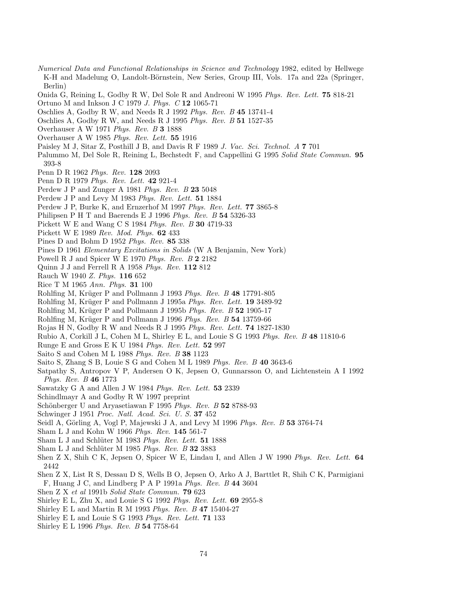- *Numerical Data and Functional Relationships in Science and Technology* 1982, edited by Hellwege K-H and Madelung O, Landolt-Börnstein, New Series, Group III, Vols. 17a and 22a (Springer, Berlin)
- Onida G, Reining L, Godby R W, Del Sole R and Andreoni W 1995 *Phys. Rev. Lett.* 75 818-21
- Ortuno M and Inkson J C 1979 *J. Phys. C* 12 1065-71
- Oschlies A, Godby R W, and Needs R J 1992 *Phys. Rev. B* 45 13741-4
- Oschlies A, Godby R W, and Needs R J 1995 *Phys. Rev. B* 51 1527-35
- Overhauser A W 1971 *Phys. Rev. B* 3 1888
- Overhauser A W 1985 *Phys. Rev. Lett.* 55 1916
- Paisley M J, Sitar Z, Posthill J B, and Davis R F 1989 *J. Vac. Sci. Technol. A* 7 701
- Palummo M, Del Sole R, Reining L, Bechstedt F, and Cappellini G 1995 *Solid State Commun.* 95 393-8
- Penn D R 1962 *Phys. Rev.* 128 2093
- Penn D R 1979 *Phys. Rev. Lett.* 42 921-4
- Perdew J P and Zunger A 1981 *Phys. Rev. B* 23 5048
- Perdew J P and Levy M 1983 *Phys. Rev. Lett.* 51 1884
- Perdew J P, Burke K, and Ernzerhof M 1997 *Phys. Rev. Lett.* 77 3865-8
- Philipsen P H T and Baerends E J 1996 *Phys. Rev. B* 54 5326-33
- Pickett W E and Wang C S 1984 *Phys. Rev. B* 30 4719-33
- Pickett W E 1989 *Rev. Mod. Phys.* 62 433
- Pines D and Bohm D 1952 *Phys. Rev.* 85 338
- Pines D 1961 *Elementary Excitations in Solids* (W A Benjamin, New York)
- Powell R J and Spicer W E 1970 *Phys. Rev. B* 2 2182
- Quinn J J and Ferrell R A 1958 *Phys. Rev.* 112 812
- Rauch W 1940 *Z. Phys.* 116 652
- Rice T M 1965 *Ann. Phys.* 31 100
- Rohlfing M, Krüger P and Pollmann J 1993 *Phys. Rev. B* 48 17791-805
- Rohlfing M, Krüger P and Pollmann J 1995a Phys. Rev. Lett. **19** 3489-92
- Rohlfing M, Krüger P and Pollmann J 1995b *Phys. Rev. B* 52 1905-17
- Rohlfing M, Krüger P and Pollmann J 1996 *Phys. Rev. B* 54 13759-66
- Rojas H N, Godby R W and Needs R J 1995 *Phys. Rev. Lett.* 74 1827-1830
- Rubio A, Corkill J L, Cohen M L, Shirley E L, and Louie S G 1993 *Phys. Rev. B* 48 11810-6
- Runge E and Gross E K U 1984 *Phys. Rev. Lett.* 52 997
- Saito S and Cohen M L 1988 *Phys. Rev. B* 38 1123
- Saito S, Zhang S B, Louie S G and Cohen M L 1989 *Phys. Rev. B* 40 3643-6
- Satpathy S, Antropov V P, Andersen O K, Jepsen O, Gunnarsson O, and Lichtenstein A I 1992 *Phys. Rev. B* 46 1773
- Sawatzky G A and Allen J W 1984 *Phys. Rev. Lett.* 53 2339
- Schindlmayr A and Godby R W 1997 preprint
- Schönberger U and Aryasetiawan F 1995 *Phys. Rev. B* 52 8788-93
- Schwinger J 1951 *Proc. Natl. Acad. Sci. U. S.* 37 452
- Seidl A, Görling A, Vogl P, Majewski J A, and Levy M 1996 *Phys. Rev. B* 53 3764-74
- Sham L J and Kohn W 1966 *Phys. Rev.* 145 561-7
- Sham L J and Schlüter M 1983 *Phys. Rev. Lett.* 51 1888
- Sham L J and Schlüter M 1985 *Phys. Rev. B* **32** 3883
- Shen Z X, Shih C K, Jepsen O, Spicer W E, Lindau I, and Allen J W 1990 *Phys. Rev. Lett.* 64 2442
- Shen Z X, List R S, Dessau D S, Wells B O, Jepsen O, Arko A J, Barttlet R, Shih C K, Parmigiani F, Huang J C, and Lindberg P A P 1991a *Phys. Rev. B* 44 3604
- Shen Z X *et al* 1991b *Solid State Commun.* 79 623
- Shirley E L, Zhu X, and Louie S G 1992 *Phys. Rev. Lett.* 69 2955-8
- Shirley E L and Martin R M 1993 *Phys. Rev. B* 47 15404-27
- Shirley E L and Louie S G 1993 *Phys. Rev. Lett.* 71 133
- Shirley E L 1996 *Phys. Rev. B* 54 7758-64